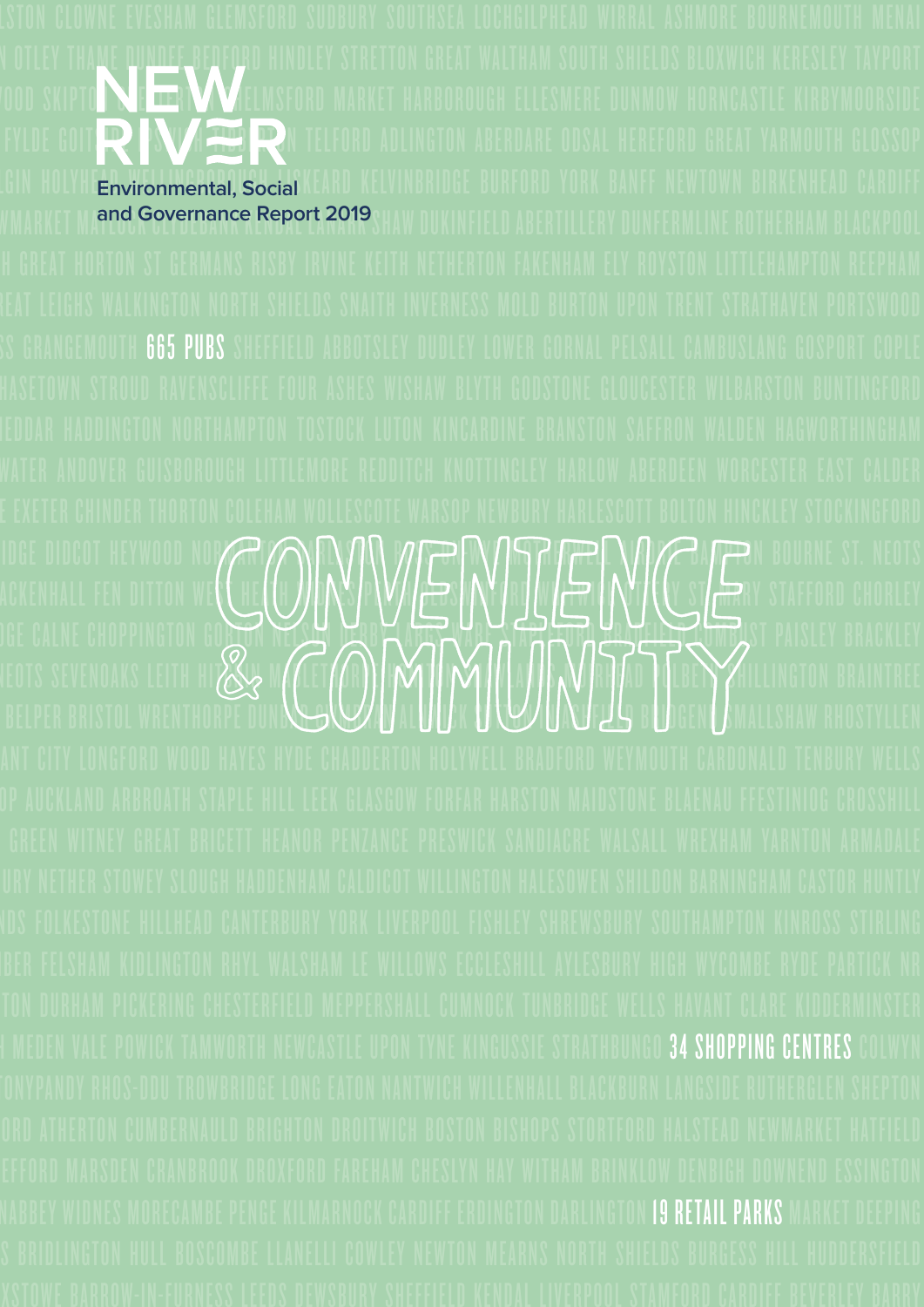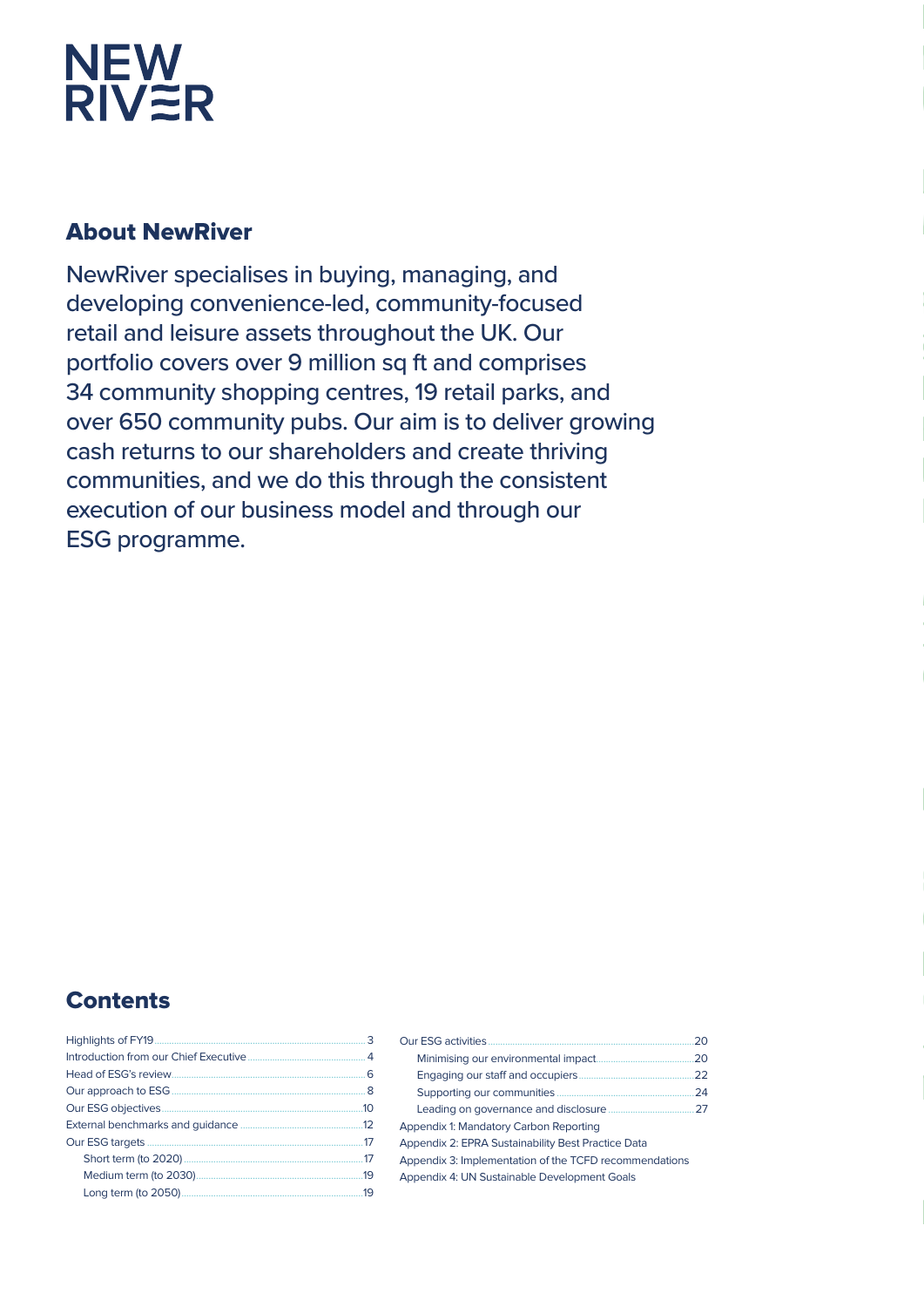# NEW<br>RIV<del>Z</del>R

## **About NewRiver**

NewRiver specialises in buying, managing, and developing convenience-led, community-focused retail and leisure assets throughout the UK. Our portfolio covers over 9 million sq ft and comprises 34 community shopping centres, 19 retail parks, and over 650 community pubs. Our aim is to deliver growing cash returns to our shareholders and create thriving communities, and we do this through the consistent execution of our business model and through our **ESG** programme.

## **Contents**

|                        | 3   |
|------------------------|-----|
|                        |     |
| Head of ESG's review.  | 6   |
| Our approach to ESG    | . 8 |
| Our ESG objectives.    | 10  |
|                        | 12  |
| Our ESG targets        | 17  |
|                        | 17  |
| Medium term (to 2030). | 19  |
| Long term (to 2050).   | 19  |

| Our ESG activities                                     | 20 |
|--------------------------------------------------------|----|
| Minimising our environmental impact.                   | 20 |
| Engaging our staff and occupiers.                      | 22 |
| Supporting our communities                             | 24 |
| Leading on governance and disclosure                   | 27 |
| Appendix 1: Mandatory Carbon Reporting                 |    |
| Appendix 2: EPRA Sustainability Best Practice Data     |    |
| Appendix 3: Implementation of the TCFD recommendations |    |
| Appendix 4: UN Sustainable Development Goals           |    |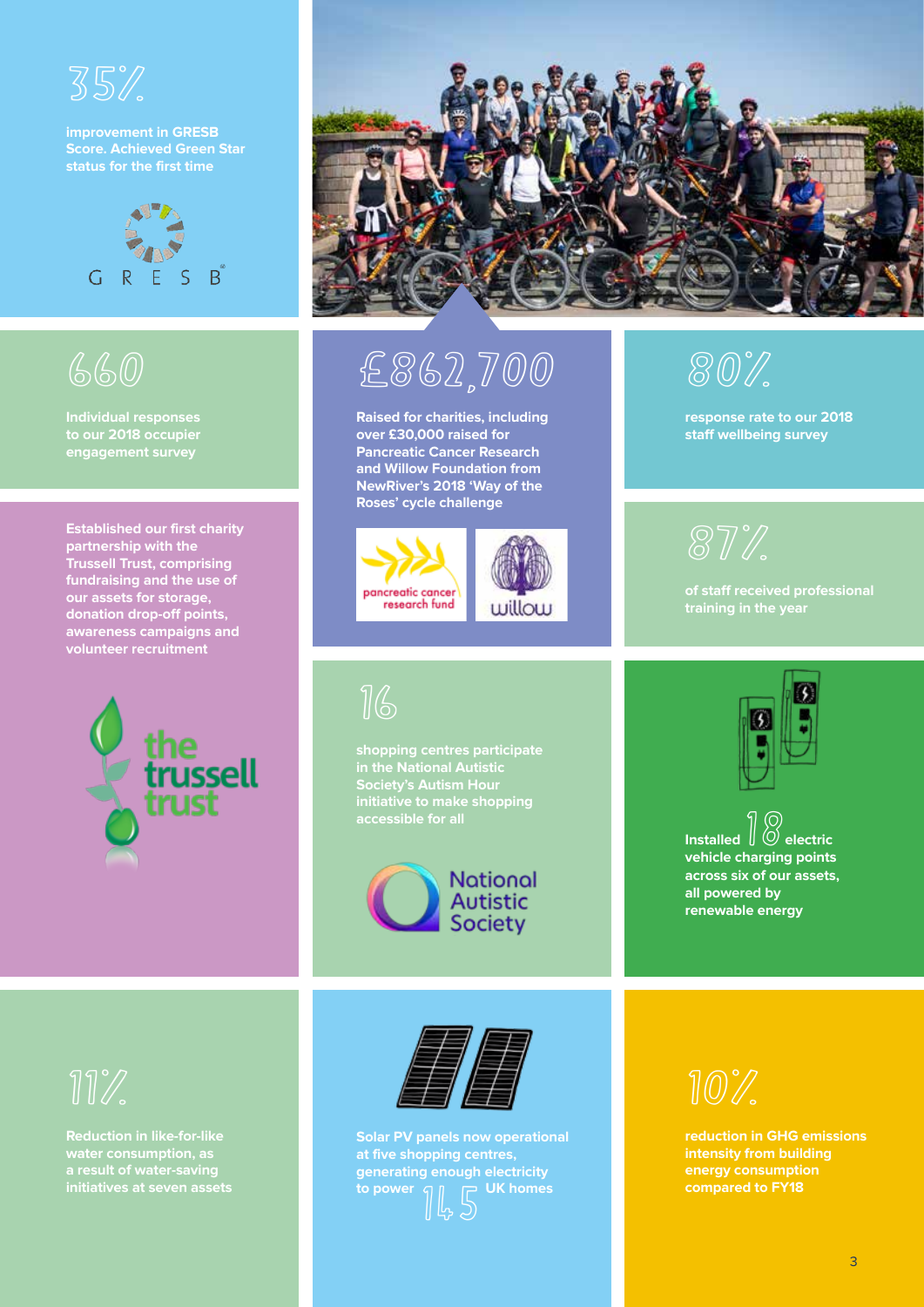

**improvement in GRESB Score. Achieved Green Star status for the first time**



## 660

**Individual responses to our 2018 occupier engagement survey**

**Established our first charity partnership with the Trussell Trust, comprising fundraising and the use of our assets for storage, donation drop-off points, awareness campaigns and volunteer recruitment**





£862,700

**Raised for charities, including over £30,000 raised for Pancreatic Cancer Research and Willow Foundation from NewRiver's 2018 'Way of the Roses' cycle challenge**



16

**shopping centres participate initiative to make shopping** 



**training in the year**

**response rate to our 2018 staff wellbeing survey**

87%

80%



**Installed**  $\begin{bmatrix} \circledR \ \circledR \end{bmatrix}$  electric **vehicle charging points across six of our assets, all powered by renewable energy**

**water consumption, as a result of water-saving** 



**Solar PV panels now operational at five shopping centres, generating enough electricity to power**  $\begin{bmatrix} \begin{bmatrix} 1 \ 1 \end{bmatrix}, \begin{bmatrix} 1 \ 2 \end{bmatrix} \end{bmatrix}$ 



**reduction in GHG emissions intensity from building energy consumption compared to FY18**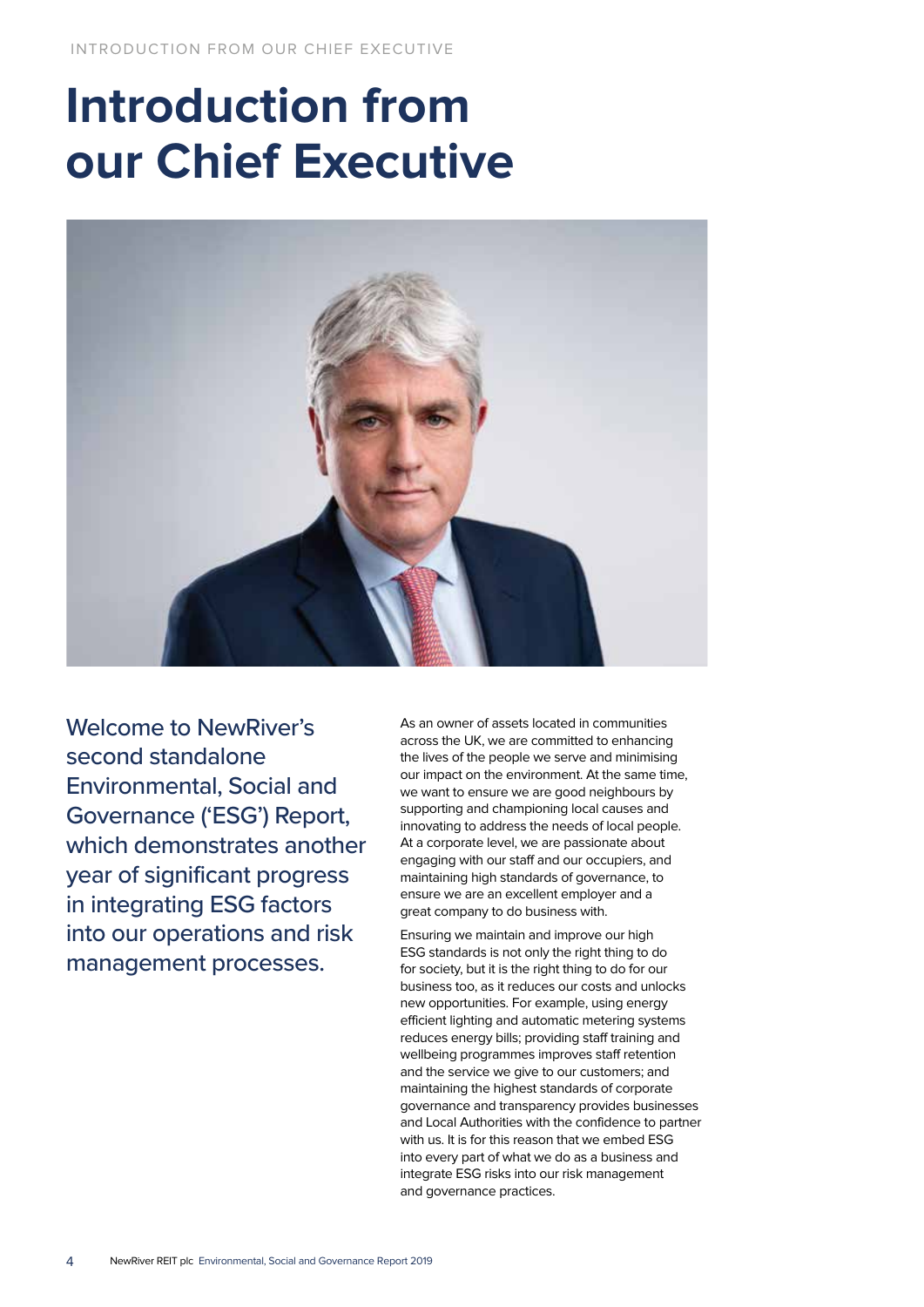## **Introduction from our Chief Executive**



Welcome to NewRiver's second standalone Environmental, Social and Governance ('ESG') Report, which demonstrates another year of significant progress in integrating ESG factors into our operations and risk management processes.

As an owner of assets located in communities across the UK, we are committed to enhancing the lives of the people we serve and minimising our impact on the environment. At the same time, we want to ensure we are good neighbours by supporting and championing local causes and innovating to address the needs of local people. At a corporate level, we are passionate about engaging with our staff and our occupiers, and maintaining high standards of governance, to ensure we are an excellent employer and a great company to do business with.

Ensuring we maintain and improve our high ESG standards is not only the right thing to do for society, but it is the right thing to do for our business too, as it reduces our costs and unlocks new opportunities. For example, using energy efficient lighting and automatic metering systems reduces energy bills; providing staff training and wellbeing programmes improves staff retention and the service we give to our customers; and maintaining the highest standards of corporate governance and transparency provides businesses and Local Authorities with the confidence to partner with us. It is for this reason that we embed ESG into every part of what we do as a business and integrate ESG risks into our risk management and governance practices.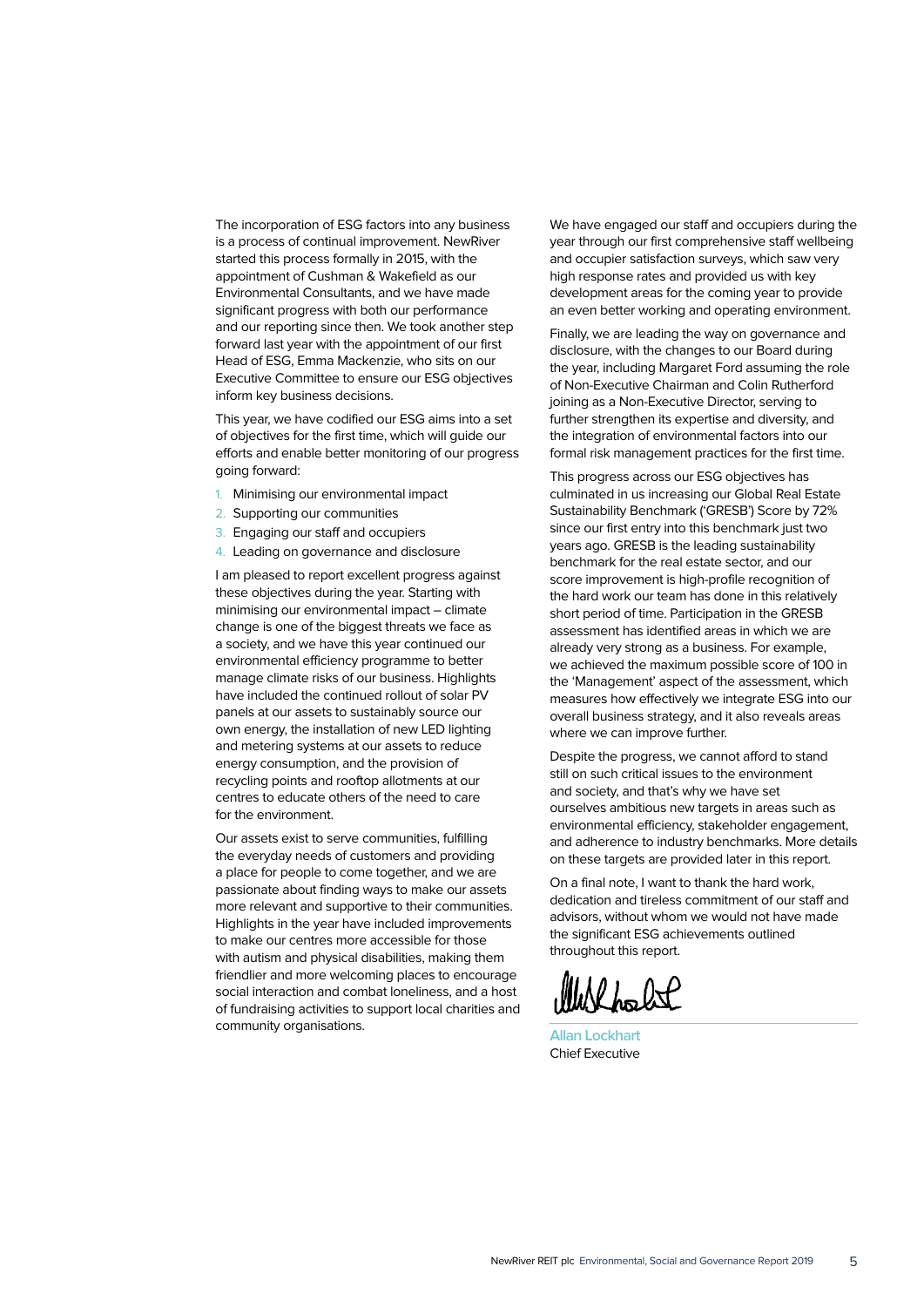The incorporation of ESG factors into any business is a process of continual improvement. NewRiver started this process formally in 2015, with the appointment of Cushman & Wakefield as our Environmental Consultants, and we have made significant progress with both our performance and our reporting since then. We took another step forward last year with the appointment of our first Head of ESG, Emma Mackenzie, who sits on our Executive Committee to ensure our ESG objectives inform key business decisions.

This year, we have codified our ESG aims into a set of objectives for the first time, which will guide our efforts and enable better monitoring of our progress going forward:

- 1. Minimising our environmental impact
- 2. Supporting our communities
- 3. Engaging our staff and occupiers
- 4. Leading on governance and disclosure

I am pleased to report excellent progress against these objectives during the year. Starting with minimising our environmental impact – climate change is one of the biggest threats we face as a society, and we have this year continued our environmental efficiency programme to better manage climate risks of our business. Highlights have included the continued rollout of solar PV panels at our assets to sustainably source our own energy, the installation of new LED lighting and metering systems at our assets to reduce energy consumption, and the provision of recycling points and rooftop allotments at our centres to educate others of the need to care for the environment.

Our assets exist to serve communities, fulfilling the everyday needs of customers and providing a place for people to come together, and we are passionate about finding ways to make our assets more relevant and supportive to their communities. Highlights in the year have included improvements to make our centres more accessible for those with autism and physical disabilities, making them friendlier and more welcoming places to encourage social interaction and combat loneliness, and a host of fundraising activities to support local charities and community organisations.

We have engaged our staff and occupiers during the year through our first comprehensive staff wellbeing and occupier satisfaction surveys, which saw very high response rates and provided us with key development areas for the coming year to provide an even better working and operating environment.

Finally, we are leading the way on governance and disclosure, with the changes to our Board during the year, including Margaret Ford assuming the role of Non-Executive Chairman and Colin Rutherford joining as a Non-Executive Director, serving to further strengthen its expertise and diversity, and the integration of environmental factors into our formal risk management practices for the first time.

This progress across our ESG objectives has culminated in us increasing our Global Real Estate Sustainability Benchmark ('GRESB') Score by 72% since our first entry into this benchmark just two years ago. GRESB is the leading sustainability benchmark for the real estate sector, and our score improvement is high-profile recognition of the hard work our team has done in this relatively short period of time. Participation in the GRESB assessment has identified areas in which we are already very strong as a business. For example, we achieved the maximum possible score of 100 in the 'Management' aspect of the assessment, which measures how effectively we integrate ESG into our overall business strategy, and it also reveals areas where we can improve further.

Despite the progress, we cannot afford to stand still on such critical issues to the environment and society, and that's why we have set ourselves ambitious new targets in areas such as environmental efficiency, stakeholder engagement, and adherence to industry benchmarks. More details on these targets are provided later in this report.

On a final note, I want to thank the hard work, dedication and tireless commitment of our staff and advisors, without whom we would not have made the significant ESG achievements outlined throughout this report.

**Allan Lockhart** Chief Executive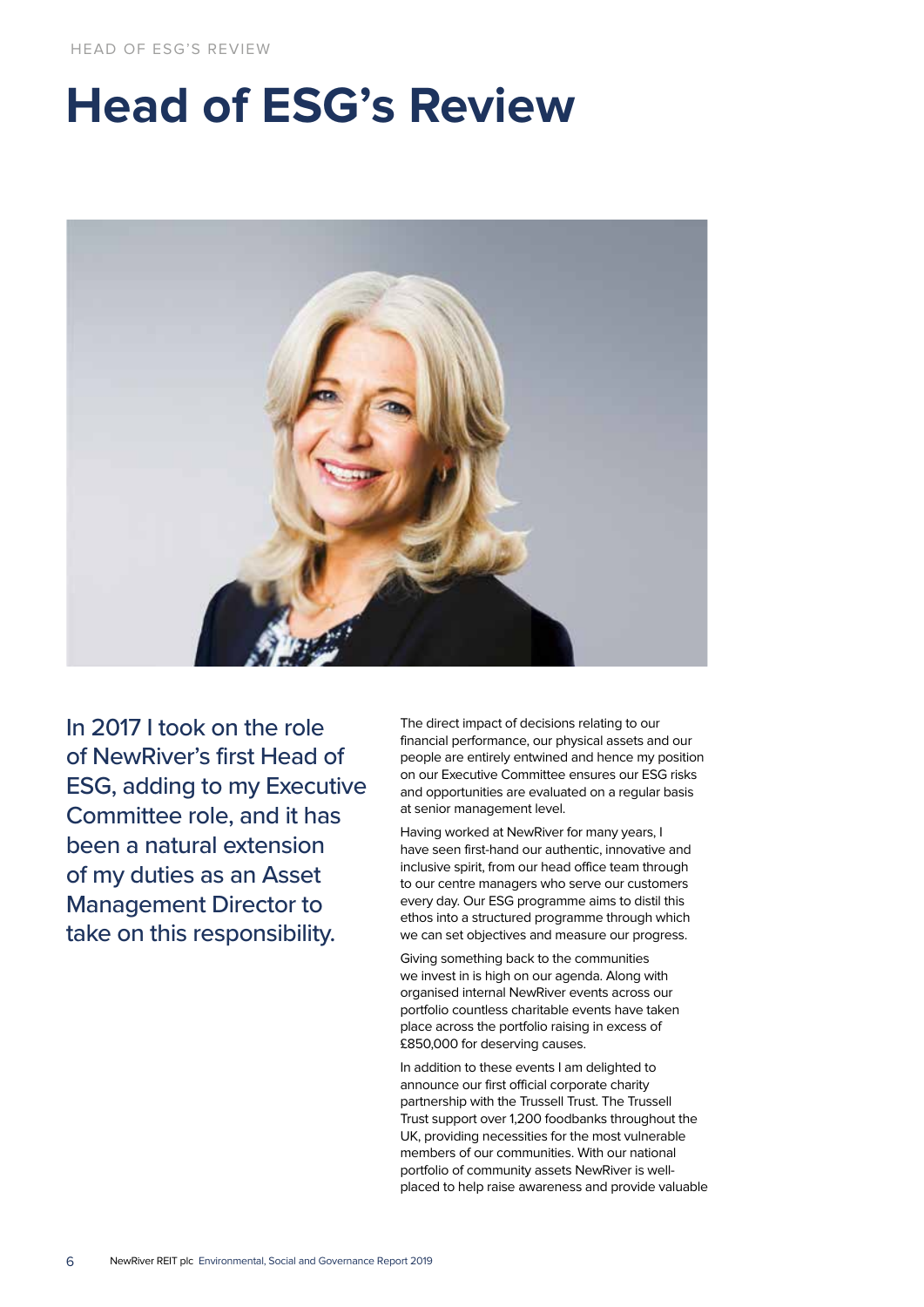## **Head of ESG's Review**



In 2017 I took on the role of NewRiver's first Head of ESG, adding to my Executive Committee role, and it has been a natural extension of my duties as an Asset Management Director to take on this responsibility.

The direct impact of decisions relating to our financial performance, our physical assets and our people are entirely entwined and hence my position on our Executive Committee ensures our ESG risks and opportunities are evaluated on a regular basis at senior management level.

Having worked at NewRiver for many years, I have seen first-hand our authentic, innovative and inclusive spirit, from our head office team through to our centre managers who serve our customers every day. Our ESG programme aims to distil this ethos into a structured programme through which we can set objectives and measure our progress.

Giving something back to the communities we invest in is high on our agenda. Along with organised internal NewRiver events across our portfolio countless charitable events have taken place across the portfolio raising in excess of £850,000 for deserving causes.

In addition to these events I am delighted to announce our first official corporate charity partnership with the Trussell Trust. The Trussell Trust support over 1,200 foodbanks throughout the UK, providing necessities for the most vulnerable members of our communities. With our national portfolio of community assets NewRiver is wellplaced to help raise awareness and provide valuable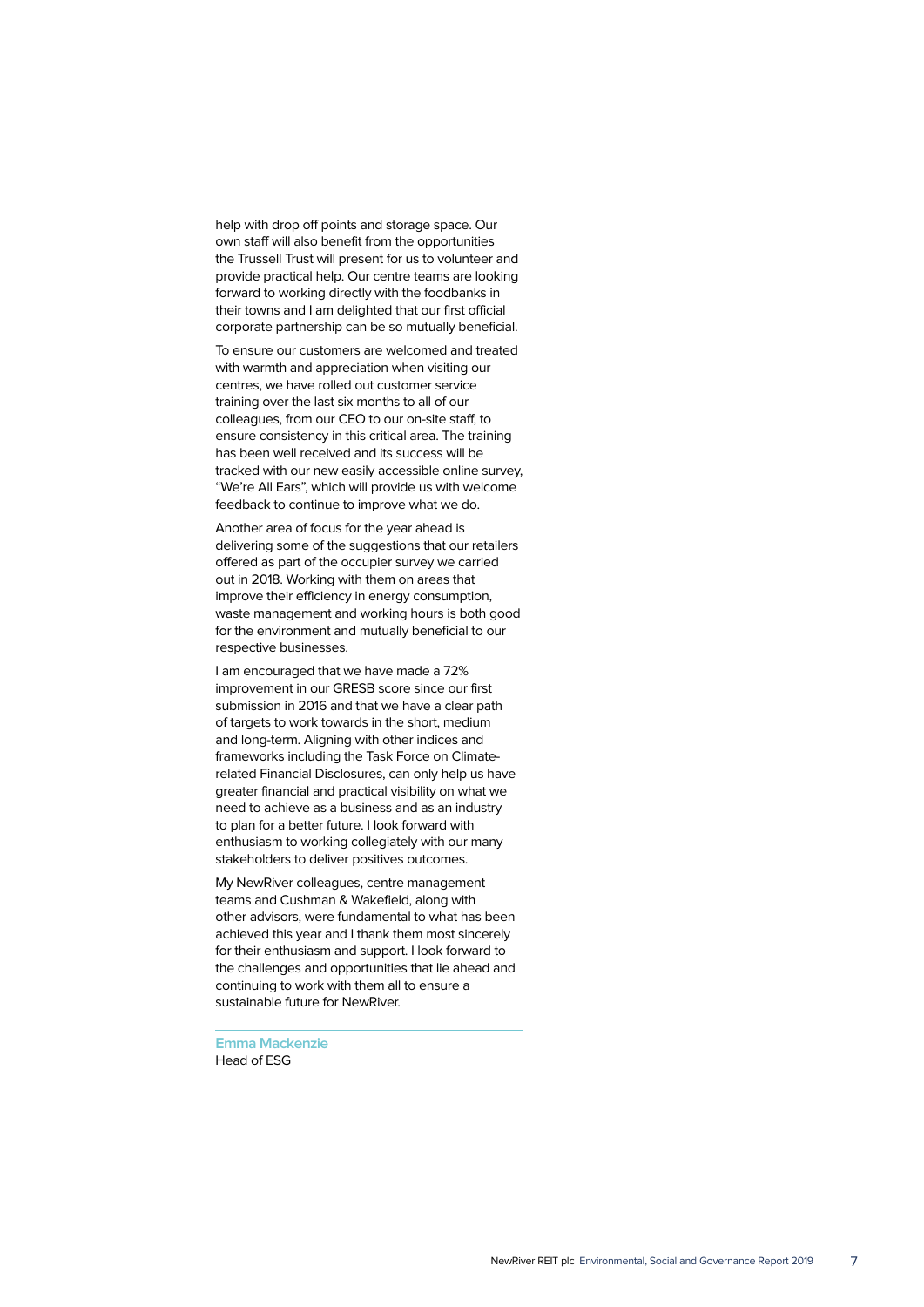help with drop off points and storage space. Our own staff will also benefit from the opportunities the Trussell Trust will present for us to volunteer and provide practical help. Our centre teams are looking forward to working directly with the foodbanks in their towns and I am delighted that our first official corporate partnership can be so mutually beneficial.

To ensure our customers are welcomed and treated with warmth and appreciation when visiting our centres, we have rolled out customer service training over the last six months to all of our colleagues, from our CEO to our on-site staff, to ensure consistency in this critical area. The training has been well received and its success will be tracked with our new easily accessible online survey, "We're All Ears", which will provide us with welcome feedback to continue to improve what we do.

Another area of focus for the year ahead is delivering some of the suggestions that our retailers offered as part of the occupier survey we carried out in 2018. Working with them on areas that improve their efficiency in energy consumption, waste management and working hours is both good for the environment and mutually beneficial to our respective businesses.

I am encouraged that we have made a 72% improvement in our GRESB score since our first submission in 2016 and that we have a clear path of targets to work towards in the short, medium and long-term. Aligning with other indices and frameworks including the Task Force on Climaterelated Financial Disclosures, can only help us have greater financial and practical visibility on what we need to achieve as a business and as an industry to plan for a better future. I look forward with enthusiasm to working collegiately with our many stakeholders to deliver positives outcomes.

My NewRiver colleagues, centre management teams and Cushman & Wakefield, along with other advisors, were fundamental to what has been achieved this year and I thank them most sincerely for their enthusiasm and support. I look forward to the challenges and opportunities that lie ahead and continuing to work with them all to ensure a sustainable future for NewRiver.

**Emma Mackenzie** Head of ESG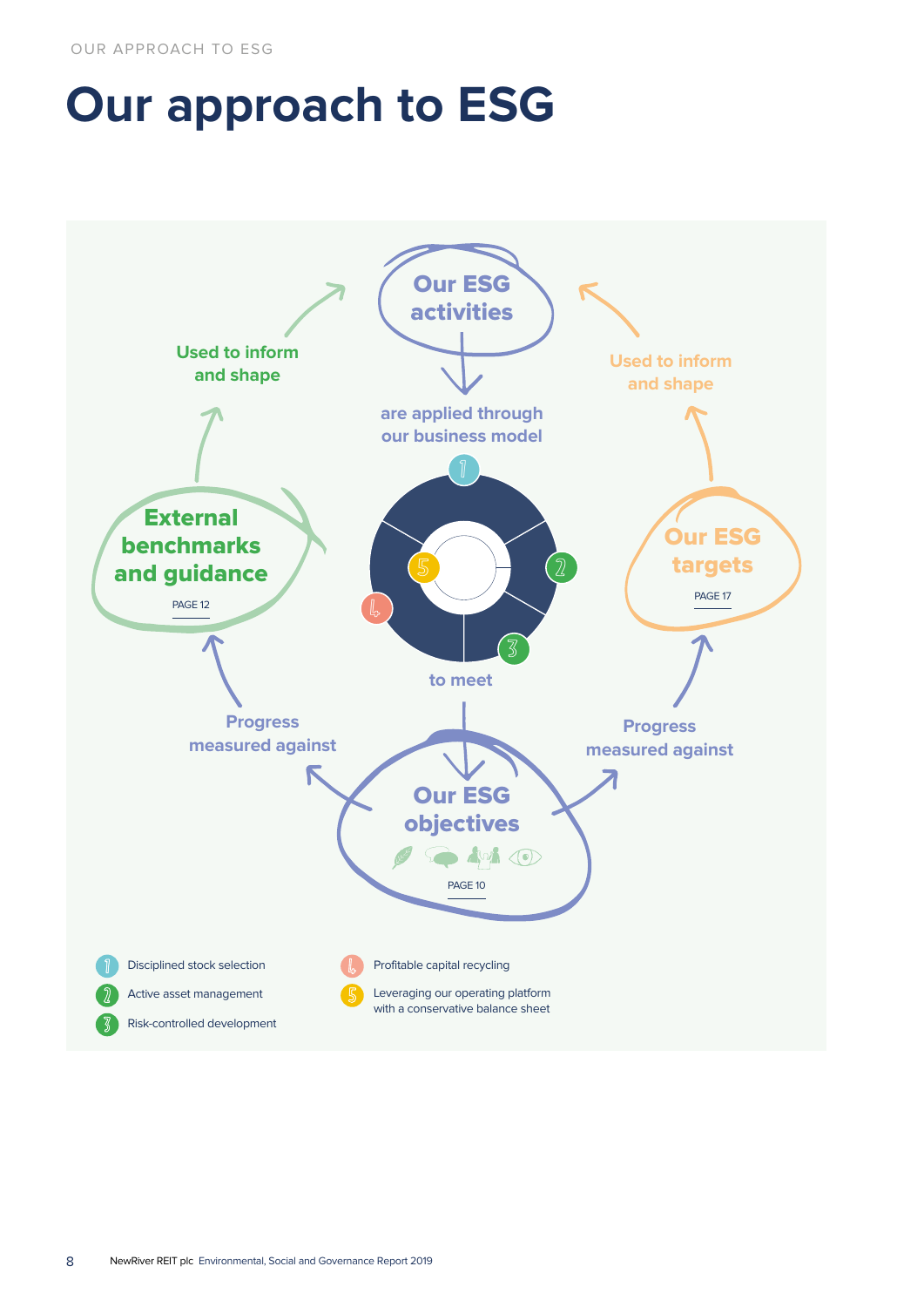## **Our approach to ESG**

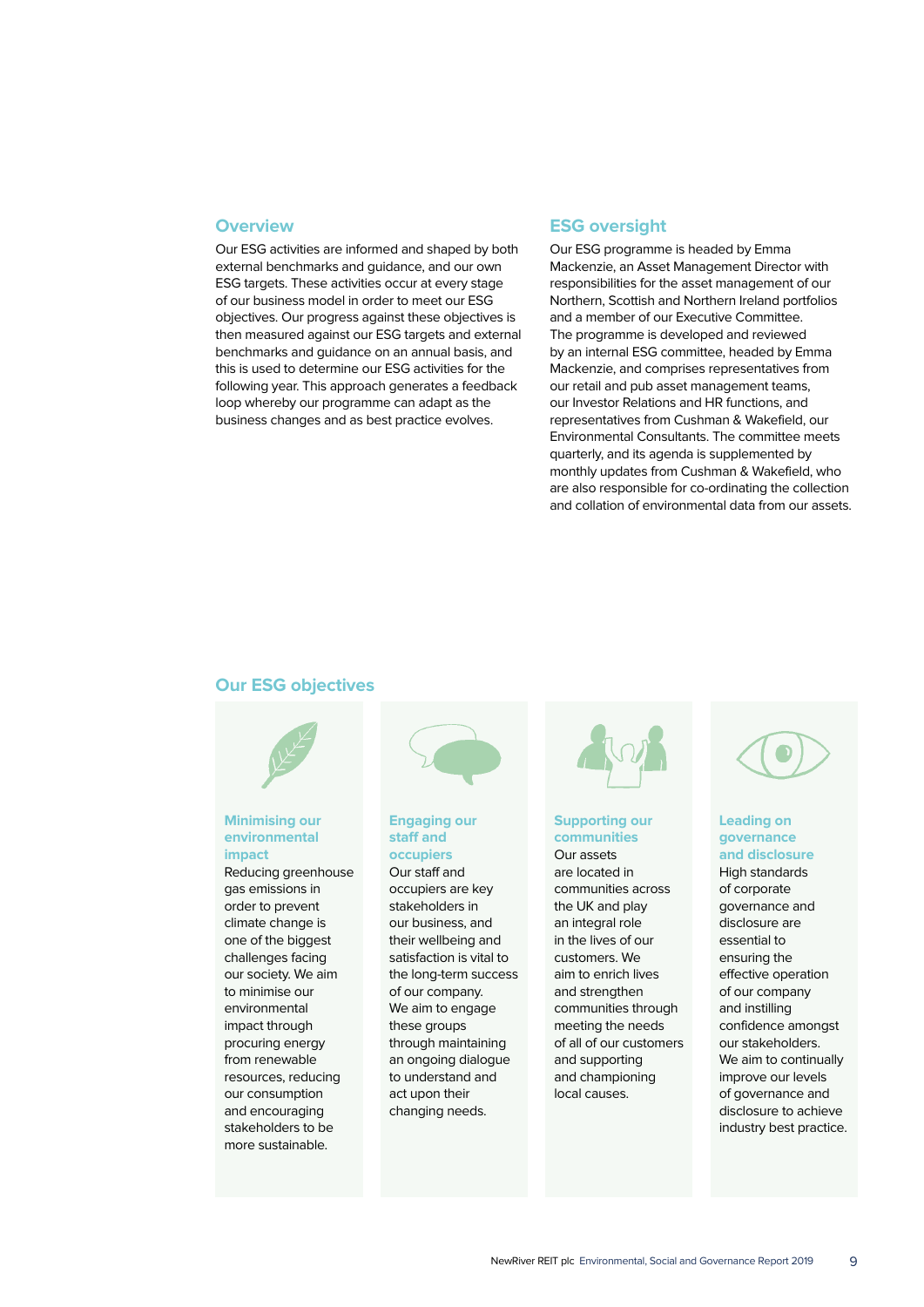## **Overview**

Our ESG activities are informed and shaped by both external benchmarks and guidance, and our own ESG targets. These activities occur at every stage of our business model in order to meet our ESG objectives. Our progress against these objectives is then measured against our ESG targets and external benchmarks and guidance on an annual basis, and this is used to determine our ESG activities for the following year. This approach generates a feedback loop whereby our programme can adapt as the business changes and as best practice evolves.

## **ESG oversight**

Our ESG programme is headed by Emma Mackenzie, an Asset Management Director with responsibilities for the asset management of our Northern, Scottish and Northern Ireland portfolios and a member of our Executive Committee. The programme is developed and reviewed by an internal ESG committee, headed by Emma Mackenzie, and comprises representatives from our retail and pub asset management teams, our Investor Relations and HR functions, and representatives from Cushman & Wakefield, our Environmental Consultants. The committee meets quarterly, and its agenda is supplemented by monthly updates from Cushman & Wakefield, who are also responsible for co-ordinating the collection and collation of environmental data from our assets.

## **Our ESG objectives**



## **Minimising our environmental impact**

Reducing greenhouse gas emissions in order to prevent climate change is one of the biggest challenges facing our society. We aim to minimise our environmental impact through procuring energy from renewable resources, reducing our consumption and encouraging stakeholders to be more sustainable.



## **Engaging our staff and occupiers**

Our staff and occupiers are key stakeholders in our business, and their wellbeing and satisfaction is vital to the long-term success of our company. We aim to engage these groups through maintaining an ongoing dialogue to understand and act upon their changing needs.



#### **Supporting our communities**

Our assets are located in communities across the UK and play an integral role in the lives of our customers. We aim to enrich lives and strengthen communities through meeting the needs of all of our customers and supporting and championing local causes.



### **Leading on governance and disclosure**

High standards of corporate governance and disclosure are essential to ensuring the effective operation of our company and instilling confidence amongst our stakeholders. We aim to continually improve our levels of governance and disclosure to achieve industry best practice.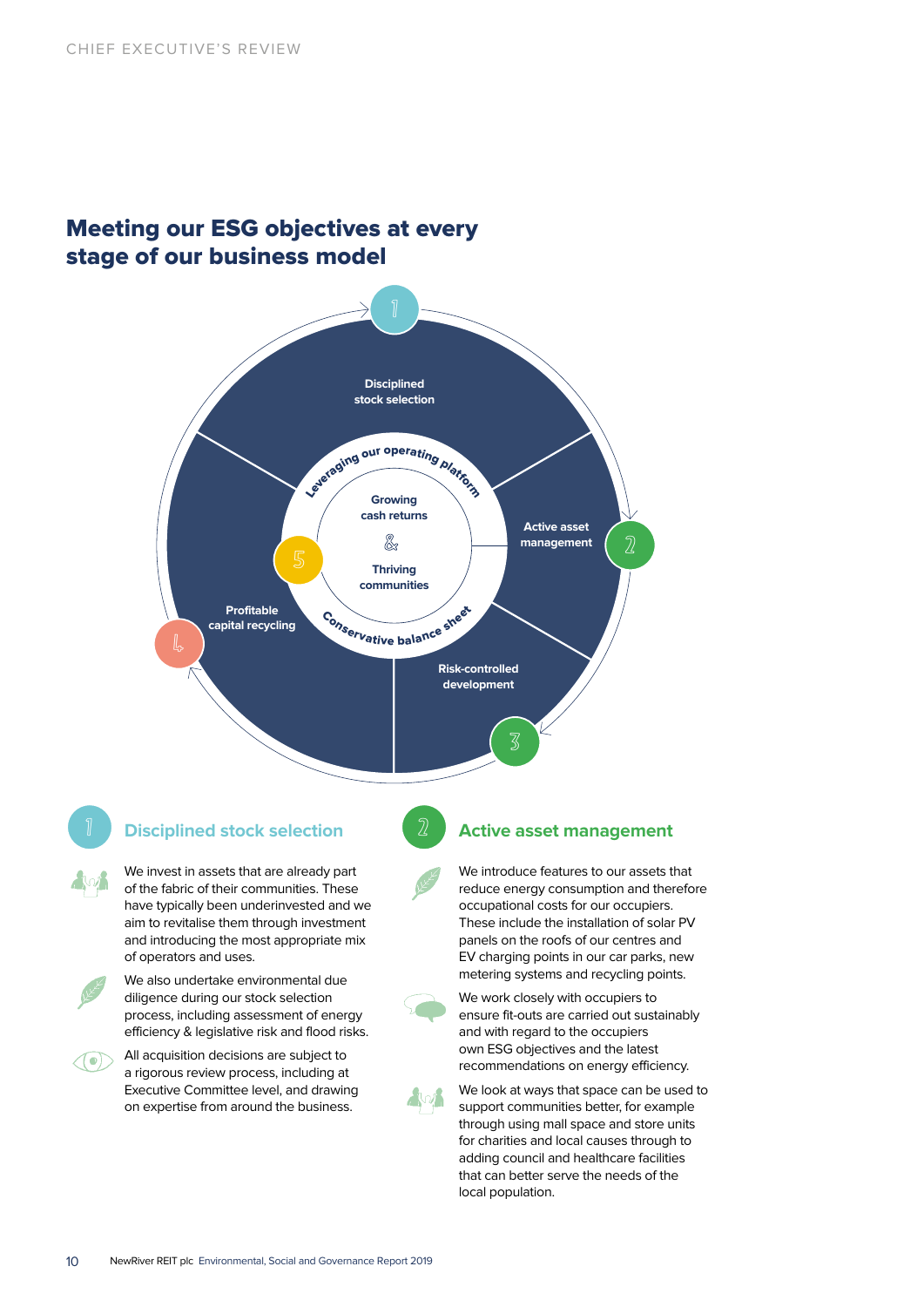## Meeting our ESG objectives at every stage of our business model



## 1 2 **Disciplined stock selection**

We invest in assets that are already part of the fabric of their communities. These have typically been underinvested and we aim to revitalise them through investment and introducing the most appropriate mix of operators and uses.



We also undertake environmental due diligence during our stock selection process, including assessment of energy efficiency & legislative risk and flood risks.



All acquisition decisions are subject to a rigorous review process, including at Executive Committee level, and drawing on expertise from around the business.

## **Active asset management**

We work closely with occupiers to ensure fit-outs are carried out sustainably

and with regard to the occupiers own ESG objectives and the latest recommendations on energy efficiency.

We introduce features to our assets that reduce energy consumption and therefore occupational costs for our occupiers. These include the installation of solar PV panels on the roofs of our centres and EV charging points in our car parks, new metering systems and recycling points.



We look at ways that space can be used to support communities better, for example through using mall space and store units for charities and local causes through to adding council and healthcare facilities that can better serve the needs of the local population.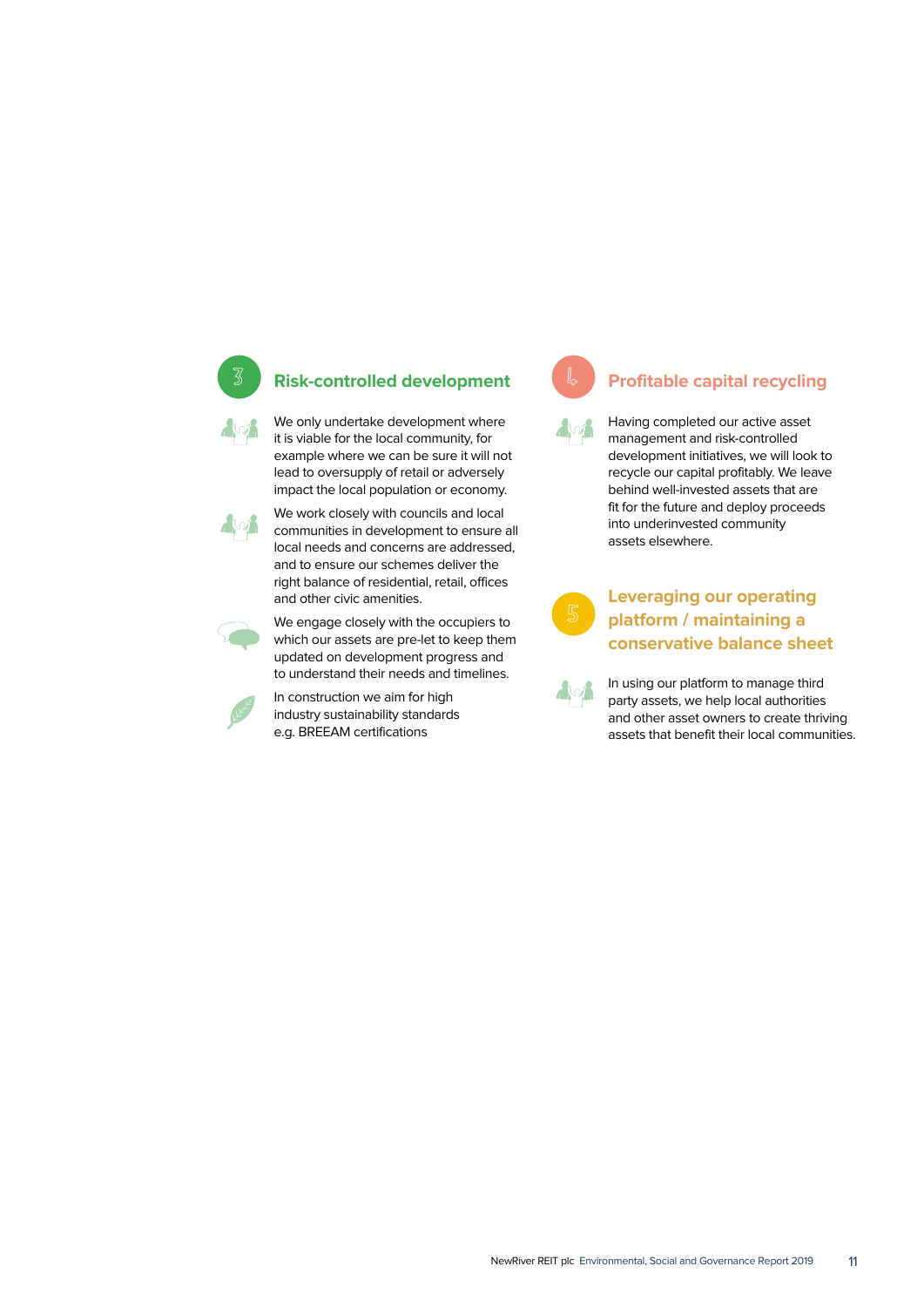

## 3 **Risk-controlled development**

We only undertake development where it is viable for the local community, for example where we can be sure it will not lead to oversupply of retail or adversely impact the local population or economy.



We work closely with councils and local communities in development to ensure all local needs and concerns are addressed, and to ensure our schemes deliver the right balance of residential, retail, offices and other civic amenities.



We engage closely with the occupiers to which our assets are pre-let to keep them updated on development progress and to understand their needs and timelines.

In construction we aim for high industry sustainability standards e.g. BREEAM certifications



## **Profitable capital recycling**

Having completed our active asset management and risk-controlled development initiatives, we will look to recycle our capital profitably. We leave behind well-invested assets that are fit for the future and deploy proceeds into underinvested community assets elsewhere.

## **Leveraging our operating platform / maintaining a conservative balance sheet**

In using our platform to manage third party assets, we help local authorities and other asset owners to create thriving assets that benefit their local communities.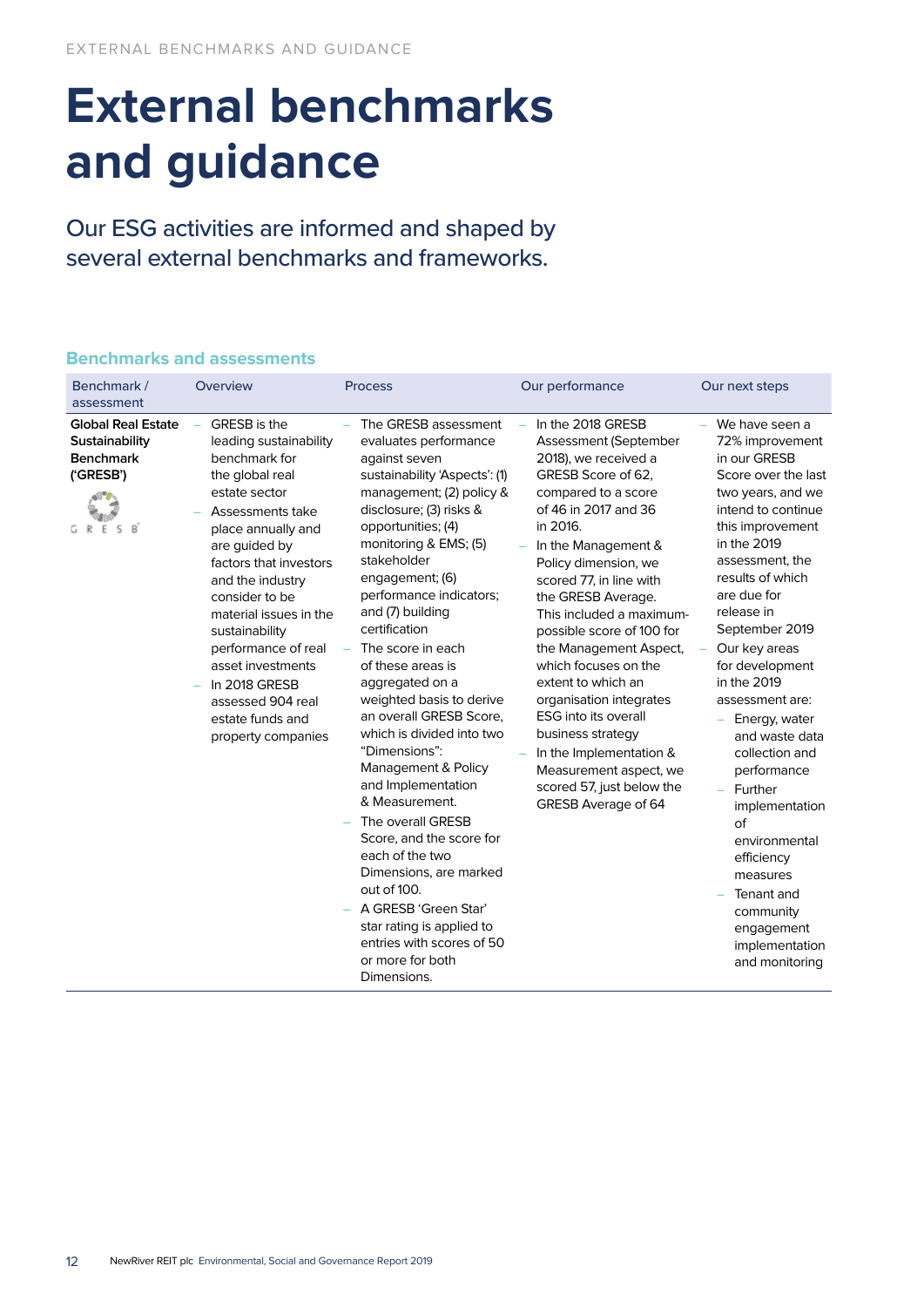## **External benchmarks and guidance**

Our ESG activities are informed and shaped by several external benchmarks and frameworks.

## **Benchmarks and assessments**

| Benchmark /<br>assessment                                                         | Overview                                                                                                                                                                                                                                                                                                                                                                                       | <b>Process</b>                                                                                                                                                                                                                                                                                                                                                                                                                                                                                                                                                                                                                                                                                                                                                                   | Our performance                                                                                                                                                                                                                                                                                                                                                                                                                                                                                                                                                              | Our next steps                                                                                                                                                                                                                                                                                                                                                                                                                                                                                                                                    |
|-----------------------------------------------------------------------------------|------------------------------------------------------------------------------------------------------------------------------------------------------------------------------------------------------------------------------------------------------------------------------------------------------------------------------------------------------------------------------------------------|----------------------------------------------------------------------------------------------------------------------------------------------------------------------------------------------------------------------------------------------------------------------------------------------------------------------------------------------------------------------------------------------------------------------------------------------------------------------------------------------------------------------------------------------------------------------------------------------------------------------------------------------------------------------------------------------------------------------------------------------------------------------------------|------------------------------------------------------------------------------------------------------------------------------------------------------------------------------------------------------------------------------------------------------------------------------------------------------------------------------------------------------------------------------------------------------------------------------------------------------------------------------------------------------------------------------------------------------------------------------|---------------------------------------------------------------------------------------------------------------------------------------------------------------------------------------------------------------------------------------------------------------------------------------------------------------------------------------------------------------------------------------------------------------------------------------------------------------------------------------------------------------------------------------------------|
| <b>Global Real Estate</b><br>Sustainability<br><b>Benchmark</b><br>('GRESB')<br>R | GRESB is the<br>leading sustainability<br>benchmark for<br>the global real<br>estate sector<br>Assessments take<br>place annually and<br>are guided by<br>factors that investors<br>and the industry<br>consider to be<br>material issues in the<br>sustainability<br>performance of real<br>asset investments<br>In 2018 GRESB<br>assessed 904 real<br>estate funds and<br>property companies | The GRESB assessment<br>evaluates performance<br>against seven<br>sustainability 'Aspects': (1)<br>management; (2) policy &<br>disclosure; (3) risks &<br>opportunities; (4)<br>monitoring & EMS; (5)<br>stakeholder<br>engagement; (6)<br>performance indicators;<br>and (7) building<br>certification<br>The score in each<br>÷,<br>of these areas is<br>aggregated on a<br>weighted basis to derive<br>an overall GRESB Score,<br>which is divided into two<br>"Dimensions":<br>Management & Policy<br>and Implementation<br>& Measurement.<br>The overall GRESB<br>Score, and the score for<br>each of the two<br>Dimensions, are marked<br>out of 100.<br>A GRESB 'Green Star'<br>star rating is applied to<br>entries with scores of 50<br>or more for both<br>Dimensions. | In the 2018 GRESB<br>Assessment (September<br>2018), we received a<br>GRESB Score of 62,<br>compared to a score<br>of 46 in 2017 and 36<br>in 2016.<br>In the Management &<br>Policy dimension, we<br>scored 77, in line with<br>the GRESB Average.<br>This included a maximum-<br>possible score of 100 for<br>the Management Aspect,<br>which focuses on the<br>extent to which an<br>organisation integrates<br><b>ESG</b> into its overall<br>business strategy<br>In the Implementation &<br>Measurement aspect, we<br>scored 57, just below the<br>GRESB Average of 64 | We have seen a<br>72% improvement<br>in our GRESB<br>Score over the last<br>two years, and we<br>intend to continue<br>this improvement<br>in the 2019<br>assessment, the<br>results of which<br>are due for<br>release in<br>September 2019<br>Our key areas<br>for development<br>in the 2019<br>assessment are:<br>Energy, water<br>and waste data<br>collection and<br>performance<br>Further<br>implementation<br>of<br>environmental<br>efficiency<br>measures<br>Tenant and<br>community<br>engagement<br>implementation<br>and monitoring |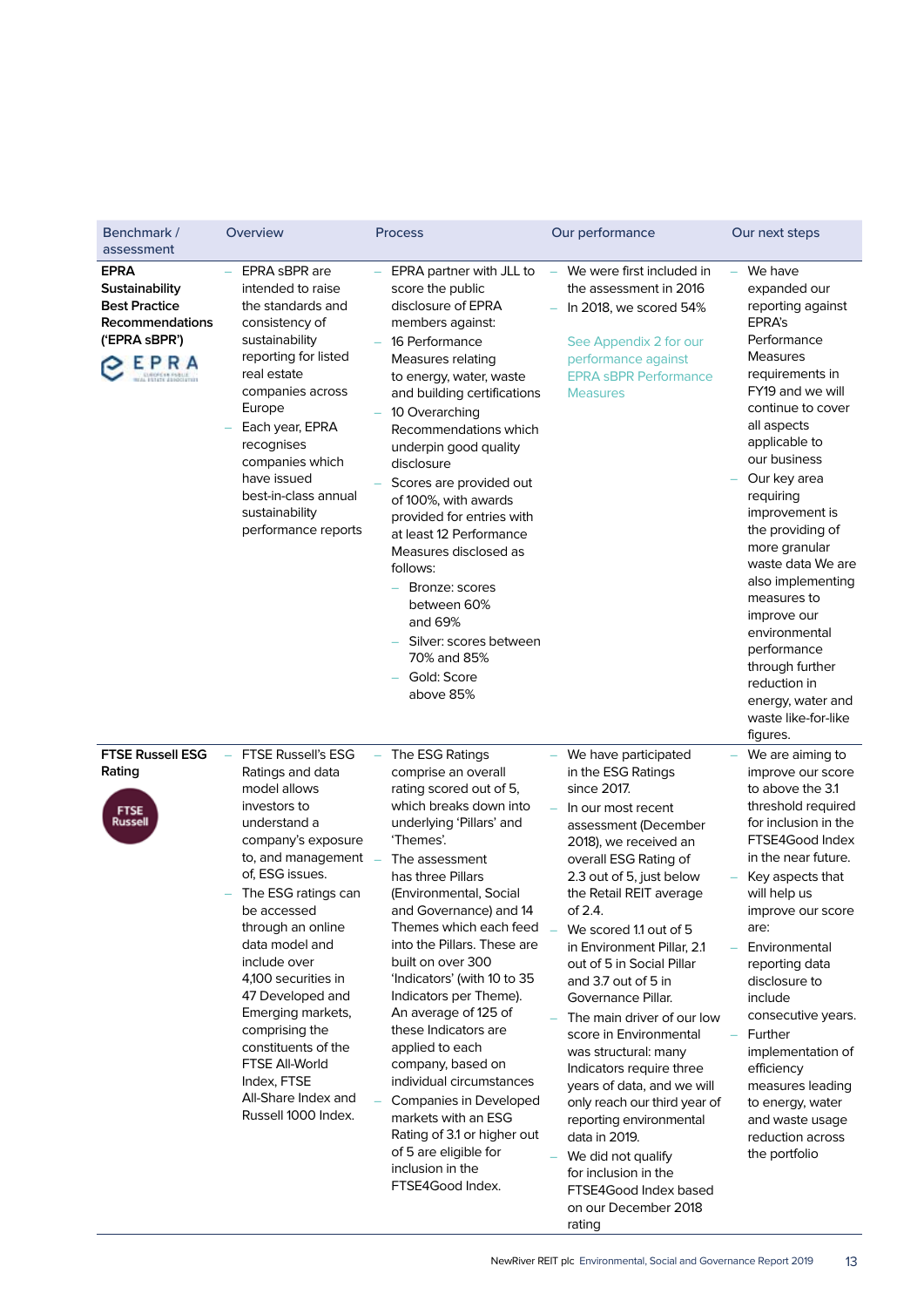| Benchmark /<br>assessment                                                                         | Overview                                                                                                                                                                                                                                                                                                                                                                                                                                                 | <b>Process</b>                                                                                                                                                                                                                                                                                                                                                                                                                                                                                                                                                                                                                              | Our performance                                                                                                                                                                                                                                                                                                                                                                                                                                                                                                                                                                                                                                                                                          | Our next steps                                                                                                                                                                                                                                                                                                                                                                                                                                                                       |
|---------------------------------------------------------------------------------------------------|----------------------------------------------------------------------------------------------------------------------------------------------------------------------------------------------------------------------------------------------------------------------------------------------------------------------------------------------------------------------------------------------------------------------------------------------------------|---------------------------------------------------------------------------------------------------------------------------------------------------------------------------------------------------------------------------------------------------------------------------------------------------------------------------------------------------------------------------------------------------------------------------------------------------------------------------------------------------------------------------------------------------------------------------------------------------------------------------------------------|----------------------------------------------------------------------------------------------------------------------------------------------------------------------------------------------------------------------------------------------------------------------------------------------------------------------------------------------------------------------------------------------------------------------------------------------------------------------------------------------------------------------------------------------------------------------------------------------------------------------------------------------------------------------------------------------------------|--------------------------------------------------------------------------------------------------------------------------------------------------------------------------------------------------------------------------------------------------------------------------------------------------------------------------------------------------------------------------------------------------------------------------------------------------------------------------------------|
| <b>EPRA</b><br>Sustainability<br><b>Best Practice</b><br>Recommendations<br>('EPRA sBPR')<br>EPRA | EPRA sBPR are<br>intended to raise<br>the standards and<br>consistency of<br>sustainability<br>reporting for listed<br>real estate<br>companies across<br>Europe<br>Each year, EPRA<br>recognises<br>companies which<br>have issued<br>best-in-class annual<br>sustainability<br>performance reports                                                                                                                                                     | EPRA partner with JLL to<br>score the public<br>disclosure of EPRA<br>members against:<br>16 Performance<br>Measures relating<br>to energy, water, waste<br>and building certifications<br>10 Overarching<br>Recommendations which<br>underpin good quality<br>disclosure<br>Scores are provided out<br>of 100%, with awards<br>provided for entries with<br>at least 12 Performance<br>Measures disclosed as<br>follows:<br>Bronze: scores<br>between 60%<br>and 69%<br>Silver: scores between<br>70% and 85%<br>Gold: Score<br>above 85%                                                                                                  | We were first included in<br>$\overline{\phantom{m}}$<br>the assessment in 2016<br>In 2018, we scored 54%<br>See Appendix 2 for our<br>performance against<br><b>EPRA sBPR Performance</b><br><b>Measures</b>                                                                                                                                                                                                                                                                                                                                                                                                                                                                                            | We have<br>expanded our<br>reporting against<br>EPRA's<br>Performance<br>Measures<br>requirements in<br>FY19 and we will<br>continue to cover<br>all aspects<br>applicable to<br>our business<br>Our key area<br>requiring<br>improvement is<br>the providing of<br>more granular<br>waste data We are<br>also implementing<br>measures to<br>improve our<br>environmental<br>performance<br>through further<br>reduction in<br>energy, water and<br>waste like-for-like<br>figures. |
| <b>FTSE Russell ESG</b><br>Rating<br><b>FTSE</b><br>Russell                                       | <b>FTSE Russell's ESG</b><br>Ratings and data<br>model allows<br>investors to<br>understand a<br>company's exposure<br>to, and management<br>of, ESG issues.<br>The ESG ratings can<br>be accessed<br>through an online<br>data model and<br>include over<br>4,100 securities in<br>47 Developed and<br>Emerging markets,<br>comprising the<br>constituents of the<br><b>FTSE All-World</b><br>Index, FTSE<br>All-Share Index and<br>Russell 1000 Index. | The ESG Ratings<br>comprise an overall<br>rating scored out of 5,<br>which breaks down into<br>underlying 'Pillars' and<br>'Themes'.<br>The assessment<br>has three Pillars<br>(Environmental, Social<br>and Governance) and 14<br>Themes which each feed<br>into the Pillars. These are<br>built on over 300<br>'Indicators' (with 10 to 35<br>Indicators per Theme).<br>An average of 125 of<br>these Indicators are<br>applied to each<br>company, based on<br>individual circumstances<br>Companies in Developed<br>markets with an ESG<br>Rating of 3.1 or higher out<br>of 5 are eligible for<br>inclusion in the<br>FTSE4Good Index. | We have participated<br>in the ESG Ratings<br>since 2017.<br>In our most recent<br>assessment (December<br>2018), we received an<br>overall ESG Rating of<br>2.3 out of 5, just below<br>the Retail REIT average<br>of 2.4.<br>We scored 1.1 out of 5<br>$\equiv$<br>in Environment Pillar, 2.1<br>out of 5 in Social Pillar<br>and 3.7 out of 5 in<br>Governance Pillar.<br>The main driver of our low<br>score in Environmental<br>was structural: many<br>Indicators require three<br>years of data, and we will<br>only reach our third year of<br>reporting environmental<br>data in 2019.<br>We did not qualify<br>for inclusion in the<br>FTSE4Good Index based<br>on our December 2018<br>rating | We are aiming to<br>improve our score<br>to above the 3.1<br>threshold required<br>for inclusion in the<br>FTSE4Good Index<br>in the near future.<br>Key aspects that<br>will help us<br>improve our score<br>are:<br>Environmental<br>reporting data<br>disclosure to<br>include<br>consecutive years.<br>Further<br>$\overline{\phantom{0}}$<br>implementation of<br>efficiency<br>measures leading<br>to energy, water<br>and waste usage<br>reduction across<br>the portfolio    |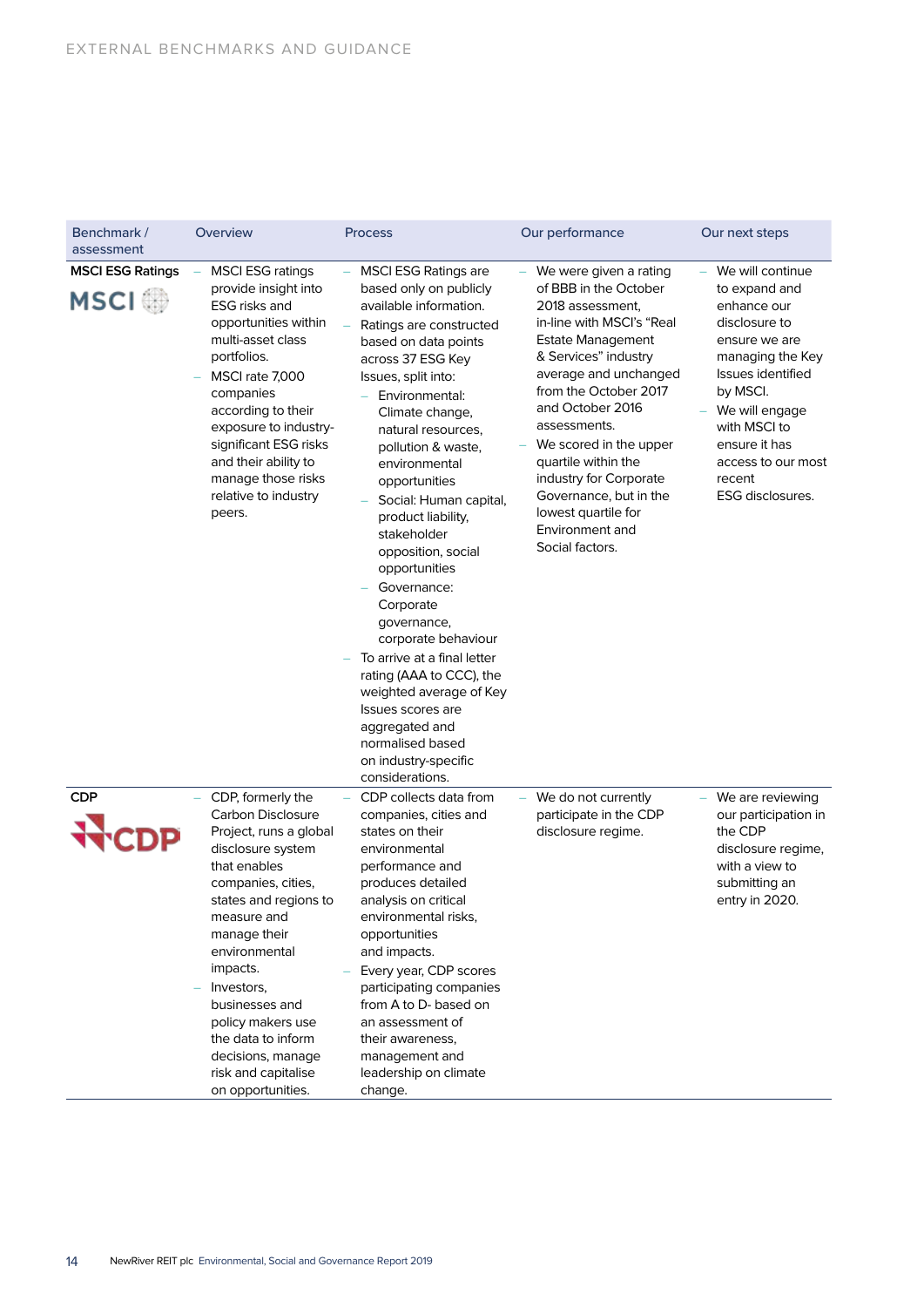| Benchmark /<br>assessment              | Overview                                                                                                                                                                                                                                                                                                                                                     | <b>Process</b>                                                                                                                                                                                                                                                                                                                                                                                                                                                                                                                                                                                                                                                        | Our performance                                                                                                                                                                                                                                                                                                                                                                                              | Our next steps                                                                                                                                                                                                                                   |  |
|----------------------------------------|--------------------------------------------------------------------------------------------------------------------------------------------------------------------------------------------------------------------------------------------------------------------------------------------------------------------------------------------------------------|-----------------------------------------------------------------------------------------------------------------------------------------------------------------------------------------------------------------------------------------------------------------------------------------------------------------------------------------------------------------------------------------------------------------------------------------------------------------------------------------------------------------------------------------------------------------------------------------------------------------------------------------------------------------------|--------------------------------------------------------------------------------------------------------------------------------------------------------------------------------------------------------------------------------------------------------------------------------------------------------------------------------------------------------------------------------------------------------------|--------------------------------------------------------------------------------------------------------------------------------------------------------------------------------------------------------------------------------------------------|--|
| <b>MSCI ESG Ratings</b><br><b>MSCI</b> | <b>MSCI ESG ratings</b><br>provide insight into<br><b>ESG</b> risks and<br>opportunities within<br>multi-asset class<br>portfolios.<br>MSCI rate 7,000<br>companies<br>according to their<br>exposure to industry-<br>significant ESG risks<br>and their ability to<br>manage those risks<br>relative to industry<br>peers.                                  | <b>MSCI ESG Ratings are</b><br>based only on publicly<br>available information.<br>Ratings are constructed<br>based on data points<br>across 37 ESG Key<br>Issues, split into:<br>Environmental:<br>Climate change,<br>natural resources,<br>pollution & waste,<br>environmental<br>opportunities<br>Social: Human capital,<br>product liability,<br>stakeholder<br>opposition, social<br>opportunities<br>Governance:<br>Corporate<br>governance,<br>corporate behaviour<br>To arrive at a final letter<br>rating (AAA to CCC), the<br>weighted average of Key<br>Issues scores are<br>aggregated and<br>normalised based<br>on industry-specific<br>considerations. | We were given a rating<br>of BBB in the October<br>2018 assessment,<br>in-line with MSCI's "Real<br><b>Estate Management</b><br>& Services" industry<br>average and unchanged<br>from the October 2017<br>and October 2016<br>assessments.<br>We scored in the upper<br>quartile within the<br>industry for Corporate<br>Governance, but in the<br>lowest quartile for<br>Environment and<br>Social factors. | - We will continue<br>to expand and<br>enhance our<br>disclosure to<br>ensure we are<br>managing the Key<br>Issues identified<br>by MSCI.<br>We will engage<br>with MSCI to<br>ensure it has<br>access to our most<br>recent<br>ESG disclosures. |  |
| <b>CDP</b>                             | CDP, formerly the<br>Carbon Disclosure<br>Project, runs a global<br>disclosure system<br>that enables<br>companies, cities,<br>states and regions to<br>measure and<br>manage their<br>environmental<br>impacts.<br>Investors,<br>businesses and<br>policy makers use<br>the data to inform<br>decisions, manage<br>risk and capitalise<br>on opportunities. | CDP collects data from<br>companies, cities and<br>states on their<br>environmental<br>performance and<br>produces detailed<br>analysis on critical<br>environmental risks,<br>opportunities<br>and impacts.<br>Every year, CDP scores<br>participating companies<br>from A to D- based on<br>an assessment of<br>their awareness,<br>management and<br>leadership on climate<br>change.                                                                                                                                                                                                                                                                              | We do not currently<br>participate in the CDP<br>disclosure regime.                                                                                                                                                                                                                                                                                                                                          | We are reviewing<br>our participation in<br>the CDP<br>disclosure regime,<br>with a view to<br>submitting an<br>entry in 2020.                                                                                                                   |  |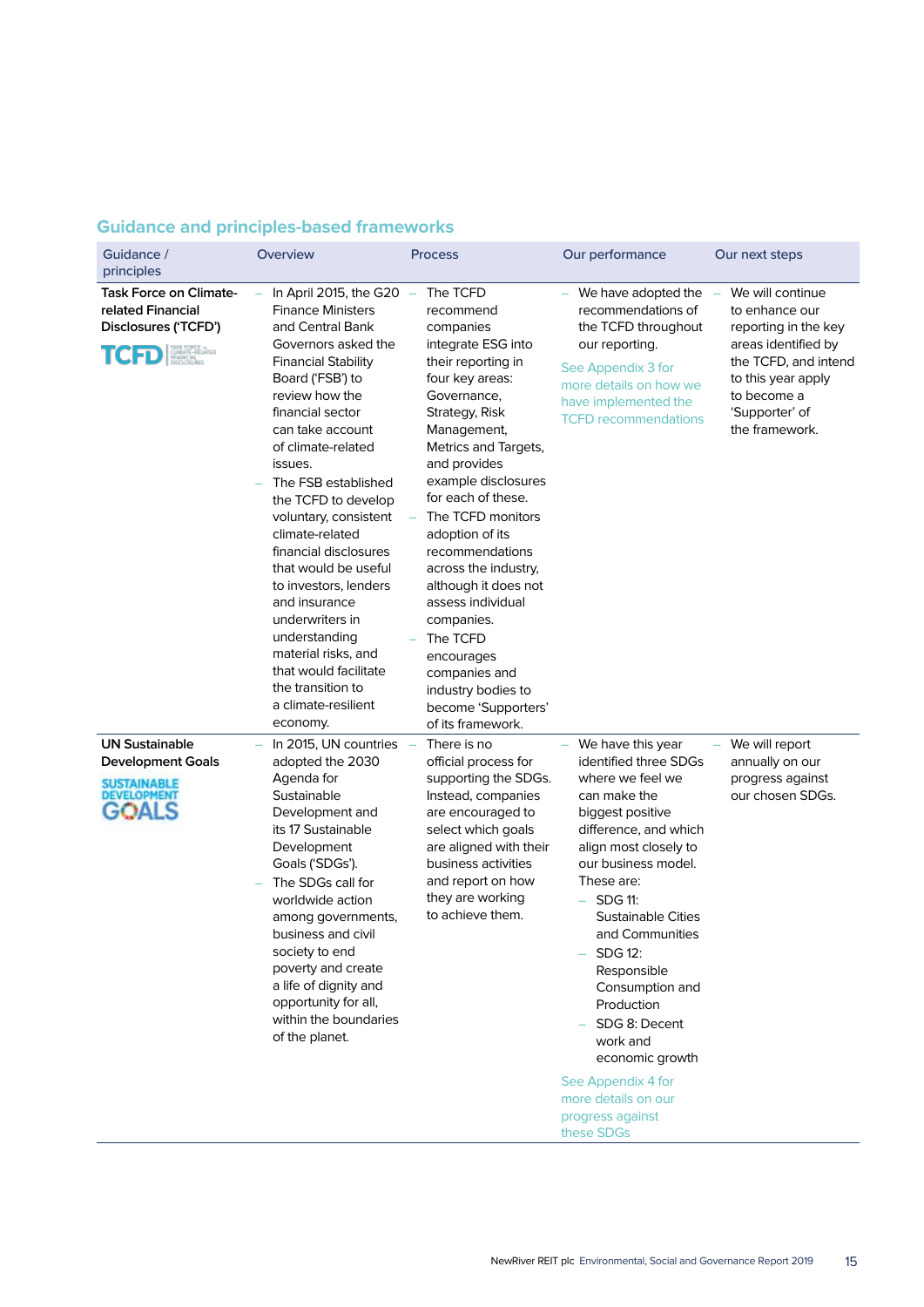## **Guidance and principles-based frameworks**

| Guidance /<br>principles                                                                     | Overview                                                                                                                                                                                                                                                                                                                                                                                                                                                                                                                                                                        | Process                                                                                                                                                                                                                                                                                                                                                                                                                                                                                           | Our performance                                                                                                                                                                                                                                                                                                                                                                                                                                       | Our next steps                                                                                                                                                                     |
|----------------------------------------------------------------------------------------------|---------------------------------------------------------------------------------------------------------------------------------------------------------------------------------------------------------------------------------------------------------------------------------------------------------------------------------------------------------------------------------------------------------------------------------------------------------------------------------------------------------------------------------------------------------------------------------|---------------------------------------------------------------------------------------------------------------------------------------------------------------------------------------------------------------------------------------------------------------------------------------------------------------------------------------------------------------------------------------------------------------------------------------------------------------------------------------------------|-------------------------------------------------------------------------------------------------------------------------------------------------------------------------------------------------------------------------------------------------------------------------------------------------------------------------------------------------------------------------------------------------------------------------------------------------------|------------------------------------------------------------------------------------------------------------------------------------------------------------------------------------|
| <b>Task Force on Climate-</b><br>related Financial<br>Disclosures ('TCFD')<br>CUMATE-RELATED | In April 2015, the G20 $-$<br><b>Finance Ministers</b><br>and Central Bank<br>Governors asked the<br><b>Financial Stability</b><br>Board ('FSB') to<br>review how the<br>financial sector<br>can take account<br>of climate-related<br>issues.<br>The FSB established<br>the TCFD to develop<br>voluntary, consistent<br>climate-related<br>financial disclosures<br>that would be useful<br>to investors, lenders<br>and insurance<br>underwriters in<br>understanding<br>material risks, and<br>that would facilitate<br>the transition to<br>a climate-resilient<br>economy. | The TCFD<br>recommend<br>companies<br>integrate ESG into<br>their reporting in<br>four key areas:<br>Governance,<br>Strategy, Risk<br>Management,<br>Metrics and Targets,<br>and provides<br>example disclosures<br>for each of these.<br>The TCFD monitors<br>adoption of its<br>recommendations<br>across the industry,<br>although it does not<br>assess individual<br>companies.<br>The TCFD<br>encourages<br>companies and<br>industry bodies to<br>become 'Supporters'<br>of its framework. | We have adopted the<br>recommendations of<br>the TCFD throughout<br>our reporting.<br>See Appendix 3 for<br>more details on how we<br>have implemented the<br><b>TCFD</b> recommendations                                                                                                                                                                                                                                                             | We will continue<br>to enhance our<br>reporting in the key<br>areas identified by<br>the TCFD, and intend<br>to this year apply<br>to become a<br>'Supporter' of<br>the framework. |
| <b>UN Sustainable</b><br><b>Development Goals</b><br>SUSTAINABLE<br>DEVELOPMENT              | In 2015, UN countries<br>adopted the 2030<br>Agenda for<br>Sustainable<br>Development and<br>its 17 Sustainable<br>Development<br>Goals ('SDGs').<br>The SDGs call for<br>worldwide action<br>among governments,<br>business and civil<br>society to end<br>poverty and create<br>a life of dignity and<br>opportunity for all,<br>within the boundaries<br>of the planet.                                                                                                                                                                                                      | There is no<br>official process for<br>supporting the SDGs.<br>Instead, companies<br>are encouraged to<br>select which goals<br>are aligned with their<br>business activities<br>and report on how<br>they are working<br>to achieve them.                                                                                                                                                                                                                                                        | We have this year<br>identified three SDGs<br>where we feel we<br>can make the<br>biggest positive<br>difference, and which<br>align most closely to<br>our business model.<br>These are:<br><b>SDG 11:</b><br><b>Sustainable Cities</b><br>and Communities<br>SDG 12:<br>Responsible<br>Consumption and<br>Production<br>SDG 8: Decent<br>work and<br>economic growth<br>See Appendix 4 for<br>more details on our<br>progress against<br>these SDGs | We will report<br>annually on our<br>progress against<br>our chosen SDGs.                                                                                                          |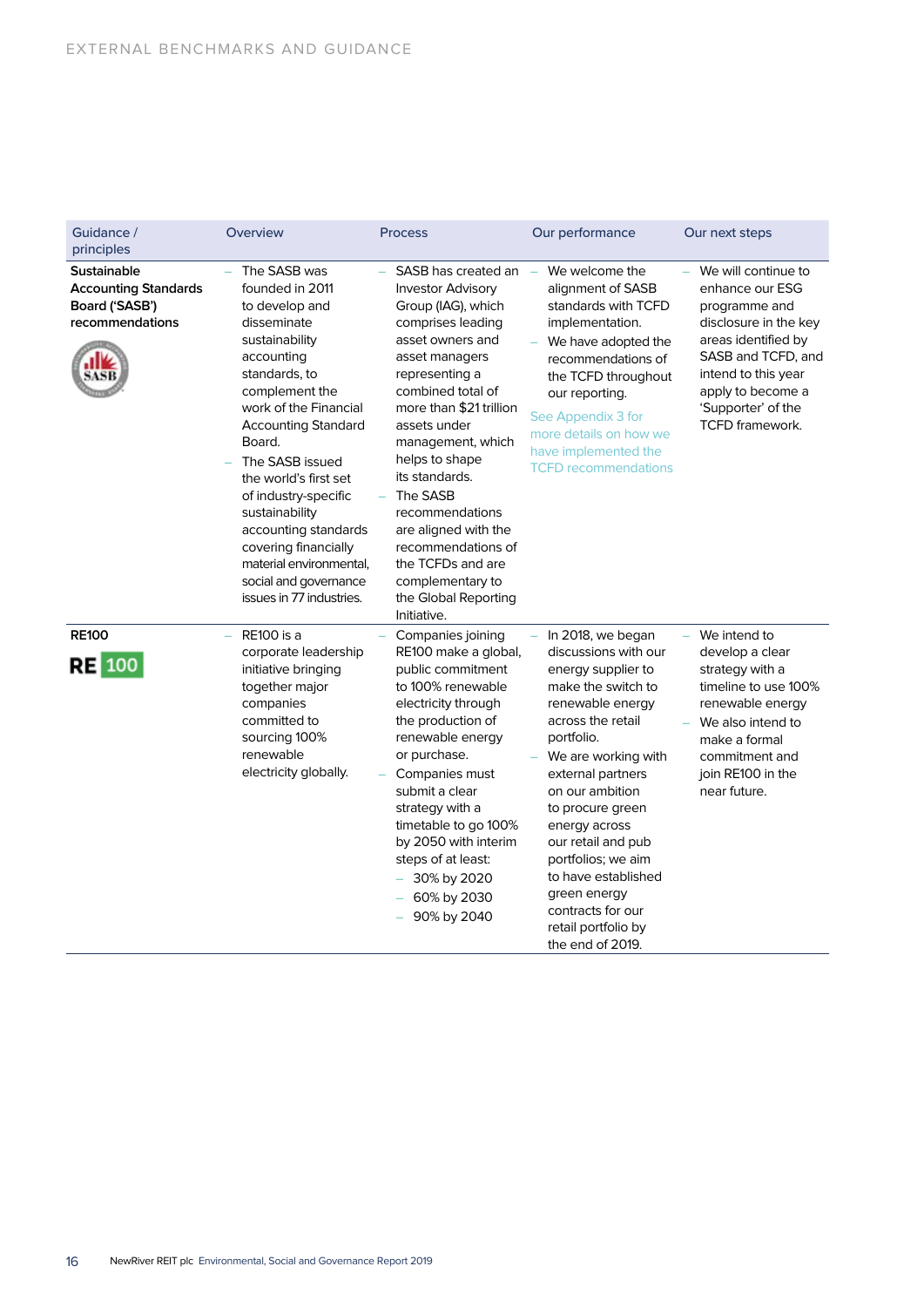| Guidance /<br>principles                                                               | Overview                                                                                                                                                                                                                                                                                                                                                                                                                   | <b>Process</b>                                                                                                                                                                                                                                                                                                                                                                                                                           | Our performance                                                                                                                                                                                                                                                                                                                                                                                     | Our next steps                                                                                                                                                                                                     |
|----------------------------------------------------------------------------------------|----------------------------------------------------------------------------------------------------------------------------------------------------------------------------------------------------------------------------------------------------------------------------------------------------------------------------------------------------------------------------------------------------------------------------|------------------------------------------------------------------------------------------------------------------------------------------------------------------------------------------------------------------------------------------------------------------------------------------------------------------------------------------------------------------------------------------------------------------------------------------|-----------------------------------------------------------------------------------------------------------------------------------------------------------------------------------------------------------------------------------------------------------------------------------------------------------------------------------------------------------------------------------------------------|--------------------------------------------------------------------------------------------------------------------------------------------------------------------------------------------------------------------|
| <b>Sustainable</b><br><b>Accounting Standards</b><br>Board ('SASB')<br>recommendations | The SASB was<br>founded in 2011<br>to develop and<br>disseminate<br>sustainability<br>accounting<br>standards, to<br>complement the<br>work of the Financial<br><b>Accounting Standard</b><br>Board.<br>The SASB issued<br>the world's first set<br>of industry-specific<br>sustainability<br>accounting standards<br>covering financially<br>material environmental,<br>social and governance<br>issues in 77 industries. | SASB has created an<br><b>Investor Advisory</b><br>Group (IAG), which<br>comprises leading<br>asset owners and<br>asset managers<br>representing a<br>combined total of<br>more than \$21 trillion<br>assets under<br>management, which<br>helps to shape<br>its standards.<br>The SASB<br>recommendations<br>are aligned with the<br>recommendations of<br>the TCFDs and are<br>complementary to<br>the Global Reporting<br>Initiative. | We welcome the<br>$\sim$<br>alignment of SASB<br>standards with TCFD<br>implementation.<br>We have adopted the<br>recommendations of<br>the TCFD throughout<br>our reporting.<br>See Appendix 3 for<br>more details on how we<br>have implemented the<br><b>TCFD</b> recommendations                                                                                                                | We will continue to<br>enhance our ESG<br>programme and<br>disclosure in the key<br>areas identified by<br>SASB and TCFD, and<br>intend to this year<br>apply to become a<br>'Supporter' of the<br>TCFD framework. |
| <b>RE100</b><br><b>RE</b> 100                                                          | <b>RE100</b> is a<br>corporate leadership<br>initiative bringing<br>together major<br>companies<br>committed to<br>sourcing 100%<br>renewable<br>electricity globally.                                                                                                                                                                                                                                                     | Companies joining<br>RE100 make a global,<br>public commitment<br>to 100% renewable<br>electricity through<br>the production of<br>renewable energy<br>or purchase.<br>Companies must<br>submit a clear<br>strategy with a<br>timetable to go 100%<br>by 2050 with interim<br>steps of at least:<br>30% by 2020<br>60% by 2030<br>90% by 2040                                                                                            | In 2018, we began<br>discussions with our<br>energy supplier to<br>make the switch to<br>renewable energy<br>across the retail<br>portfolio.<br>We are working with<br>external partners<br>on our ambition<br>to procure green<br>energy across<br>our retail and pub<br>portfolios; we aim<br>to have established<br>green energy<br>contracts for our<br>retail portfolio by<br>the end of 2019. | We intend to<br>develop a clear<br>strategy with a<br>timeline to use 100%<br>renewable energy<br>We also intend to<br>make a formal<br>commitment and<br>join RE100 in the<br>near future.                        |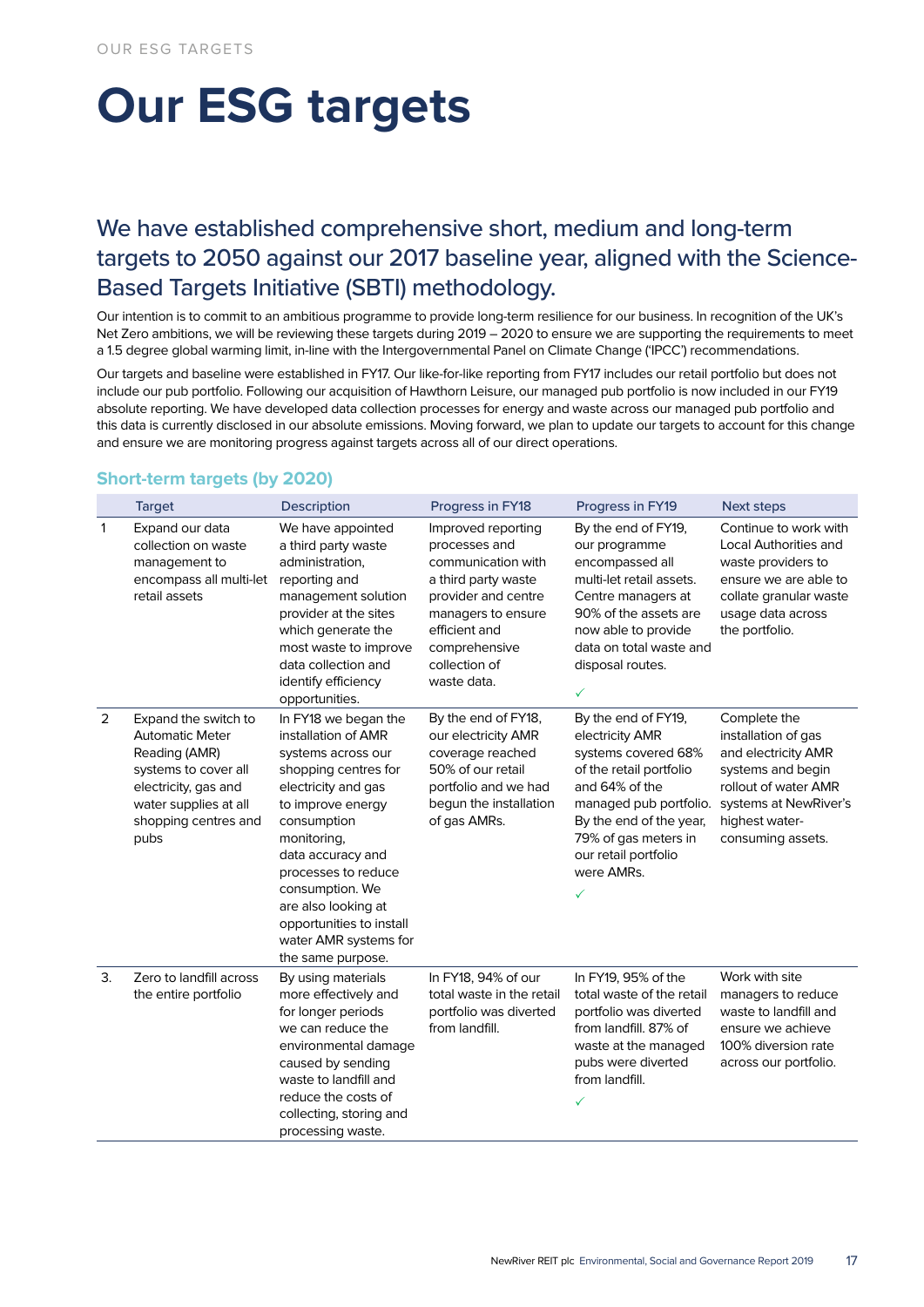## **Our ESG targets**

## We have established comprehensive short, medium and long-term targets to 2050 against our 2017 baseline year, aligned with the Science-Based Targets Initiative (SBTI) methodology.

Our intention is to commit to an ambitious programme to provide long-term resilience for our business. In recognition of the UK's Net Zero ambitions, we will be reviewing these targets during 2019 - 2020 to ensure we are supporting the requirements to meet a 1.5 degree global warming limit, in-line with the Intergovernmental Panel on Climate Change ('IPCC') recommendations.

Our targets and baseline were established in FY17. Our like-for-like reporting from FY17 includes our retail portfolio but does not include our pub portfolio. Following our acquisition of Hawthorn Leisure, our managed pub portfolio is now included in our FY19 absolute reporting. We have developed data collection processes for energy and waste across our managed pub portfolio and this data is currently disclosed in our absolute emissions. Moving forward, we plan to update our targets to account for this change and ensure we are monitoring progress against targets across all of our direct operations.

|              | <b>Target</b>                                                                                                                                                            | Description                                                                                                                                                                                                                                                                                                                         | Progress in FY18                                                                                                                                                                                | Progress in FY19                                                                                                                                                                                                                   | <b>Next steps</b>                                                                                                                                                       |
|--------------|--------------------------------------------------------------------------------------------------------------------------------------------------------------------------|-------------------------------------------------------------------------------------------------------------------------------------------------------------------------------------------------------------------------------------------------------------------------------------------------------------------------------------|-------------------------------------------------------------------------------------------------------------------------------------------------------------------------------------------------|------------------------------------------------------------------------------------------------------------------------------------------------------------------------------------------------------------------------------------|-------------------------------------------------------------------------------------------------------------------------------------------------------------------------|
| $\mathbf{1}$ | Expand our data<br>collection on waste<br>management to<br>encompass all multi-let<br>retail assets                                                                      | We have appointed<br>a third party waste<br>administration,<br>reporting and<br>management solution<br>provider at the sites<br>which generate the<br>most waste to improve<br>data collection and<br>identify efficiency<br>opportunities.                                                                                         | Improved reporting<br>processes and<br>communication with<br>a third party waste<br>provider and centre<br>managers to ensure<br>efficient and<br>comprehensive<br>collection of<br>waste data. | By the end of FY19,<br>our programme<br>encompassed all<br>multi-let retail assets.<br>Centre managers at<br>90% of the assets are<br>now able to provide<br>data on total waste and<br>disposal routes.<br>✓                      | Continue to work with<br>Local Authorities and<br>waste providers to<br>ensure we are able to<br>collate granular waste<br>usage data across<br>the portfolio.          |
| 2            | Expand the switch to<br><b>Automatic Meter</b><br>Reading (AMR)<br>systems to cover all<br>electricity, gas and<br>water supplies at all<br>shopping centres and<br>pubs | In FY18 we began the<br>installation of AMR<br>systems across our<br>shopping centres for<br>electricity and gas<br>to improve energy<br>consumption<br>monitoring,<br>data accuracy and<br>processes to reduce<br>consumption. We<br>are also looking at<br>opportunities to install<br>water AMR systems for<br>the same purpose. | By the end of FY18,<br>our electricity AMR<br>coverage reached<br>50% of our retail<br>portfolio and we had<br>begun the installation<br>of gas AMRs.                                           | By the end of FY19,<br>electricity AMR<br>systems covered 68%<br>of the retail portfolio<br>and 64% of the<br>managed pub portfolio.<br>By the end of the year,<br>79% of gas meters in<br>our retail portfolio<br>were AMRs.<br>✓ | Complete the<br>installation of gas<br>and electricity AMR<br>systems and begin<br>rollout of water AMR<br>systems at NewRiver's<br>highest water-<br>consuming assets. |
| 3.           | Zero to landfill across<br>the entire portfolio                                                                                                                          | By using materials<br>more effectively and<br>for longer periods<br>we can reduce the<br>environmental damage<br>caused by sending<br>waste to landfill and<br>reduce the costs of<br>collecting, storing and<br>processing waste.                                                                                                  | In FY18, 94% of our<br>total waste in the retail<br>portfolio was diverted<br>from landfill.                                                                                                    | In FY19, 95% of the<br>total waste of the retail<br>portfolio was diverted<br>from landfill. 87% of<br>waste at the managed<br>pubs were diverted<br>from landfill.<br>✓                                                           | Work with site<br>managers to reduce<br>waste to landfill and<br>ensure we achieve<br>100% diversion rate<br>across our portfolio.                                      |

## **Short-term targets (by 2020)**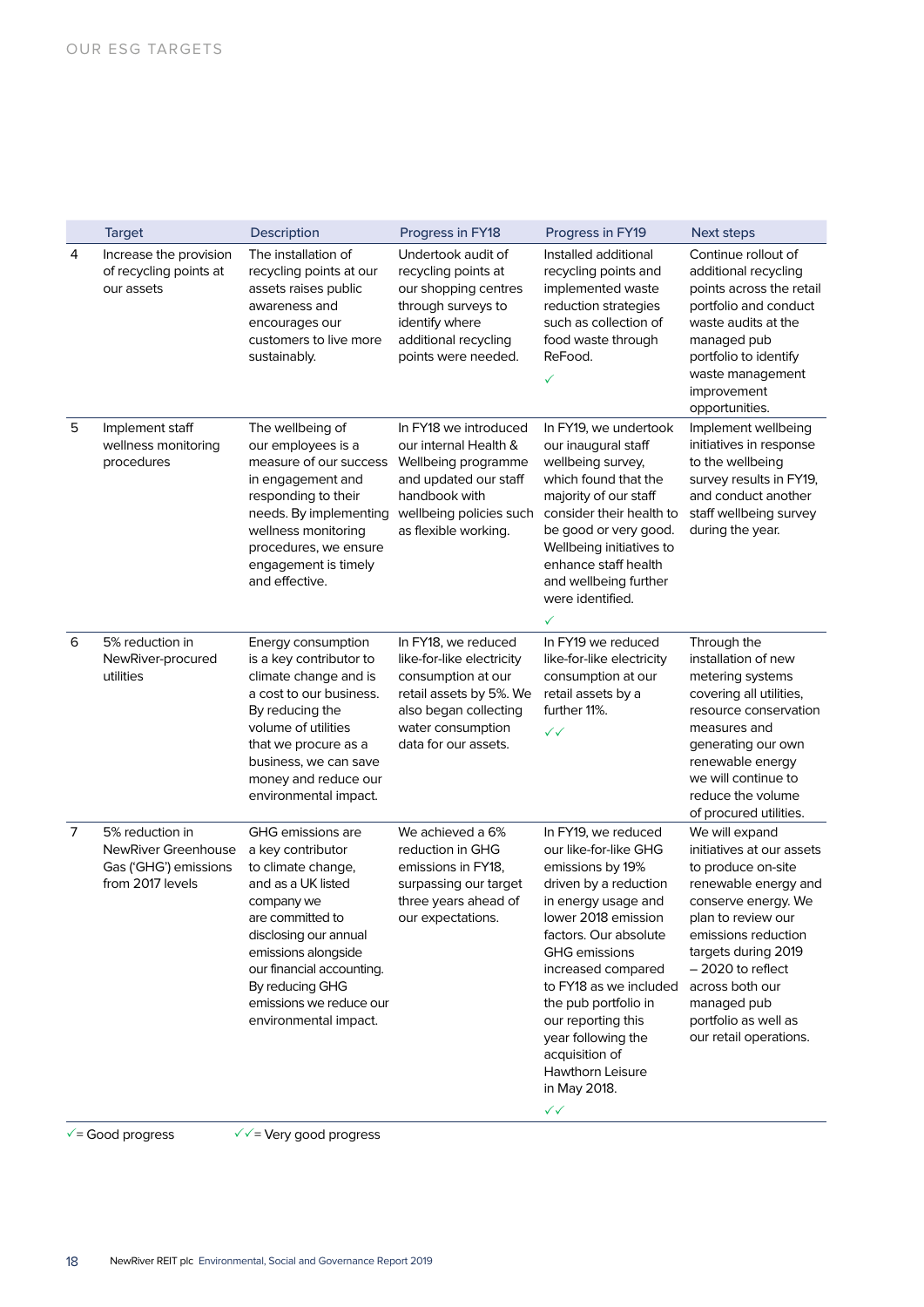|   | <b>Target</b>                                                                       | <b>Description</b>                                                                                                                                                                                                                                                       | Progress in FY18                                                                                                                                                        | Progress in FY19                                                                                                                                                                                                                                                                                                                                                                   | <b>Next steps</b>                                                                                                                                                                                                                                                                              |
|---|-------------------------------------------------------------------------------------|--------------------------------------------------------------------------------------------------------------------------------------------------------------------------------------------------------------------------------------------------------------------------|-------------------------------------------------------------------------------------------------------------------------------------------------------------------------|------------------------------------------------------------------------------------------------------------------------------------------------------------------------------------------------------------------------------------------------------------------------------------------------------------------------------------------------------------------------------------|------------------------------------------------------------------------------------------------------------------------------------------------------------------------------------------------------------------------------------------------------------------------------------------------|
| 4 | Increase the provision<br>of recycling points at<br>our assets                      | The installation of<br>recycling points at our<br>assets raises public<br>awareness and<br>encourages our<br>customers to live more<br>sustainably.                                                                                                                      | Undertook audit of<br>recycling points at<br>our shopping centres<br>through surveys to<br>identify where<br>additional recycling<br>points were needed.                | Installed additional<br>recycling points and<br>implemented waste<br>reduction strategies<br>such as collection of<br>food waste through<br>ReFood.<br>✓                                                                                                                                                                                                                           | Continue rollout of<br>additional recycling<br>points across the retail<br>portfolio and conduct<br>waste audits at the<br>managed pub<br>portfolio to identify<br>waste management<br>improvement<br>opportunities.                                                                           |
| 5 | Implement staff<br>wellness monitoring<br>procedures                                | The wellbeing of<br>our employees is a<br>measure of our success<br>in engagement and<br>responding to their<br>needs. By implementing<br>wellness monitoring<br>procedures, we ensure<br>engagement is timely<br>and effective.                                         | In FY18 we introduced<br>our internal Health &<br>Wellbeing programme<br>and updated our staff<br>handbook with<br>wellbeing policies such<br>as flexible working.      | In FY19, we undertook<br>our inaugural staff<br>wellbeing survey,<br>which found that the<br>majority of our staff<br>consider their health to<br>be good or very good.<br>Wellbeing initiatives to<br>enhance staff health<br>and wellbeing further<br>were identified.<br>✓                                                                                                      | Implement wellbeing<br>initiatives in response<br>to the wellbeing<br>survey results in FY19,<br>and conduct another<br>staff wellbeing survey<br>during the year.                                                                                                                             |
| 6 | 5% reduction in<br>NewRiver-procured<br>utilities                                   | Energy consumption<br>is a key contributor to<br>climate change and is<br>a cost to our business.<br>By reducing the<br>volume of utilities<br>that we procure as a<br>business, we can save<br>money and reduce our<br>environmental impact.                            | In FY18, we reduced<br>like-for-like electricity<br>consumption at our<br>retail assets by 5%. We<br>also began collecting<br>water consumption<br>data for our assets. | In FY19 we reduced<br>like-for-like electricity<br>consumption at our<br>retail assets by a<br>further 11%.<br>$\checkmark$                                                                                                                                                                                                                                                        | Through the<br>installation of new<br>metering systems<br>covering all utilities,<br>resource conservation<br>measures and<br>generating our own<br>renewable energy<br>we will continue to<br>reduce the volume<br>of procured utilities.                                                     |
| 7 | 5% reduction in<br>NewRiver Greenhouse<br>Gas ('GHG') emissions<br>from 2017 levels | GHG emissions are<br>a key contributor<br>to climate change,<br>and as a UK listed<br>company we<br>are committed to<br>disclosing our annual<br>emissions alongside<br>our financial accounting.<br>By reducing GHG<br>emissions we reduce our<br>environmental impact. | We achieved a 6%<br>reduction in GHG<br>emissions in FY18,<br>surpassing our target<br>three years ahead of<br>our expectations.                                        | In FY19, we reduced<br>our like-for-like GHG<br>emissions by 19%<br>driven by a reduction<br>in energy usage and<br>lower 2018 emission<br>factors. Our absolute<br><b>GHG</b> emissions<br>increased compared<br>to FY18 as we included<br>the pub portfolio in<br>our reporting this<br>year following the<br>acquisition of<br>Hawthorn Leisure<br>in May 2018.<br>$\checkmark$ | We will expand<br>initiatives at our assets<br>to produce on-site<br>renewable energy and<br>conserve energy. We<br>plan to review our<br>emissions reduction<br>targets during 2019<br>$-2020$ to reflect<br>across both our<br>managed pub<br>portfolio as well as<br>our retail operations. |
|   | $\sqrt{ }$ = Good progress                                                          | $\sqrt{2}$ Very good progress                                                                                                                                                                                                                                            |                                                                                                                                                                         |                                                                                                                                                                                                                                                                                                                                                                                    |                                                                                                                                                                                                                                                                                                |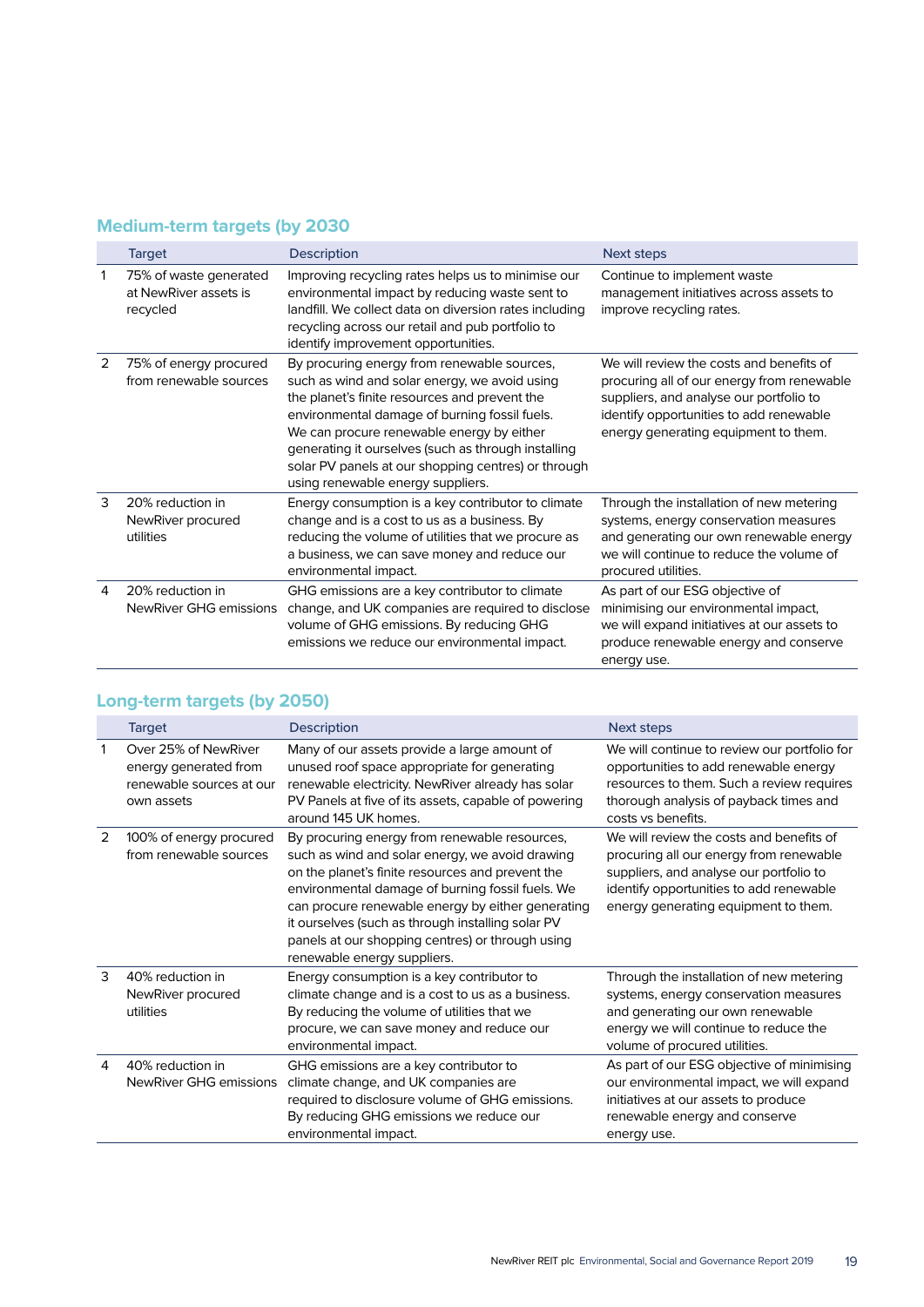## **Medium-term targets (by 2030**

|   | <b>Target</b>                                               | <b>Description</b>                                                                                                                                                                                                                                                                                                                                                                             | Next steps                                                                                                                                                                                                           |
|---|-------------------------------------------------------------|------------------------------------------------------------------------------------------------------------------------------------------------------------------------------------------------------------------------------------------------------------------------------------------------------------------------------------------------------------------------------------------------|----------------------------------------------------------------------------------------------------------------------------------------------------------------------------------------------------------------------|
| 1 | 75% of waste generated<br>at NewRiver assets is<br>recycled | Improving recycling rates helps us to minimise our<br>environmental impact by reducing waste sent to<br>landfill. We collect data on diversion rates including<br>recycling across our retail and pub portfolio to<br>identify improvement opportunities.                                                                                                                                      | Continue to implement waste<br>management initiatives across assets to<br>improve recycling rates.                                                                                                                   |
| 2 | 75% of energy procured<br>from renewable sources            | By procuring energy from renewable sources,<br>such as wind and solar energy, we avoid using<br>the planet's finite resources and prevent the<br>environmental damage of burning fossil fuels.<br>We can procure renewable energy by either<br>generating it ourselves (such as through installing<br>solar PV panels at our shopping centres) or through<br>using renewable energy suppliers. | We will review the costs and benefits of<br>procuring all of our energy from renewable<br>suppliers, and analyse our portfolio to<br>identify opportunities to add renewable<br>energy generating equipment to them. |
| 3 | 20% reduction in<br>NewRiver procured<br>utilities          | Energy consumption is a key contributor to climate<br>change and is a cost to us as a business. By<br>reducing the volume of utilities that we procure as<br>a business, we can save money and reduce our<br>environmental impact.                                                                                                                                                             | Through the installation of new metering<br>systems, energy conservation measures<br>and generating our own renewable energy<br>we will continue to reduce the volume of<br>procured utilities.                      |
| 4 | 20% reduction in<br>NewRiver GHG emissions                  | GHG emissions are a key contributor to climate<br>change, and UK companies are required to disclose<br>volume of GHG emissions. By reducing GHG<br>emissions we reduce our environmental impact.                                                                                                                                                                                               | As part of our ESG objective of<br>minimising our environmental impact,<br>we will expand initiatives at our assets to<br>produce renewable energy and conserve<br>energy use.                                       |

## **Long-term targets (by 2050)**

|   | <b>Target</b>                                                                           | <b>Description</b>                                                                                                                                                                                                                                                                                                                                                                                    | Next steps                                                                                                                                                                                                        |
|---|-----------------------------------------------------------------------------------------|-------------------------------------------------------------------------------------------------------------------------------------------------------------------------------------------------------------------------------------------------------------------------------------------------------------------------------------------------------------------------------------------------------|-------------------------------------------------------------------------------------------------------------------------------------------------------------------------------------------------------------------|
|   | Over 25% of NewRiver<br>energy generated from<br>renewable sources at our<br>own assets | Many of our assets provide a large amount of<br>unused roof space appropriate for generating<br>renewable electricity. New River already has solar<br>PV Panels at five of its assets, capable of powering<br>around 145 UK homes.                                                                                                                                                                    | We will continue to review our portfolio for<br>opportunities to add renewable energy<br>resources to them. Such a review requires<br>thorough analysis of payback times and<br>costs vs benefits.                |
| 2 | 100% of energy procured<br>from renewable sources                                       | By procuring energy from renewable resources,<br>such as wind and solar energy, we avoid drawing<br>on the planet's finite resources and prevent the<br>environmental damage of burning fossil fuels. We<br>can procure renewable energy by either generating<br>it ourselves (such as through installing solar PV<br>panels at our shopping centres) or through using<br>renewable energy suppliers. | We will review the costs and benefits of<br>procuring all our energy from renewable<br>suppliers, and analyse our portfolio to<br>identify opportunities to add renewable<br>energy generating equipment to them. |
| 3 | 40% reduction in<br>NewRiver procured<br>utilities                                      | Energy consumption is a key contributor to<br>climate change and is a cost to us as a business.<br>By reducing the volume of utilities that we<br>procure, we can save money and reduce our<br>environmental impact.                                                                                                                                                                                  | Through the installation of new metering<br>systems, energy conservation measures<br>and generating our own renewable<br>energy we will continue to reduce the<br>volume of procured utilities.                   |
| 4 | 40% reduction in<br>NewRiver GHG emissions                                              | GHG emissions are a key contributor to<br>climate change, and UK companies are<br>required to disclosure volume of GHG emissions.<br>By reducing GHG emissions we reduce our<br>environmental impact.                                                                                                                                                                                                 | As part of our ESG objective of minimising<br>our environmental impact, we will expand<br>initiatives at our assets to produce<br>renewable energy and conserve<br>energy use.                                    |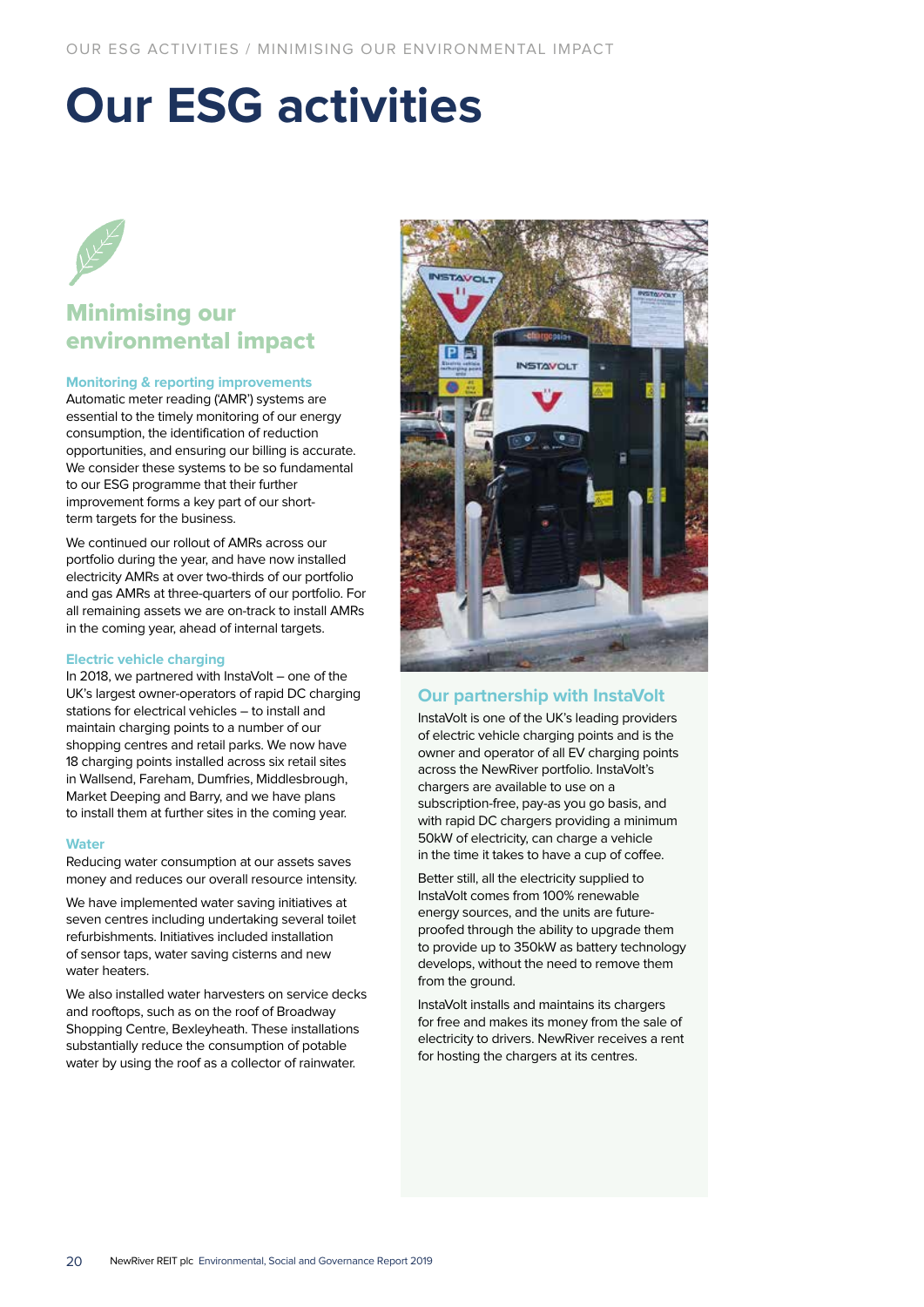## **Our ESG activities**

## Minimising our environmental impact

## **Monitoring & reporting improvements**

Automatic meter reading ('AMR') systems are essential to the timely monitoring of our energy consumption, the identification of reduction opportunities, and ensuring our billing is accurate. We consider these systems to be so fundamental to our ESG programme that their further improvement forms a key part of our shortterm targets for the business.

We continued our rollout of AMRs across our portfolio during the year, and have now installed electricity AMRs at over two-thirds of our portfolio and gas AMRs at three-quarters of our portfolio. For all remaining assets we are on-track to install AMRs in the coming year, ahead of internal targets.

#### **Electric vehicle charging**

In 2018, we partnered with InstaVolt – one of the UK's largest owner-operators of rapid DC charging stations for electrical vehicles – to install and maintain charging points to a number of our shopping centres and retail parks. We now have 18 charging points installed across six retail sites in Wallsend, Fareham, Dumfries, Middlesbrough, Market Deeping and Barry, and we have plans to install them at further sites in the coming year.

#### **Water**

Reducing water consumption at our assets saves money and reduces our overall resource intensity.

We have implemented water saving initiatives at seven centres including undertaking several toilet refurbishments. Initiatives included installation of sensor taps, water saving cisterns and new water heaters.

We also installed water harvesters on service decks and rooftops, such as on the roof of Broadway Shopping Centre, Bexleyheath. These installations substantially reduce the consumption of potable water by using the roof as a collector of rainwater.



## **Our partnership with InstaVolt**

InstaVolt is one of the UK's leading providers of electric vehicle charging points and is the owner and operator of all EV charging points across the NewRiver portfolio. InstaVolt's chargers are available to use on a subscription-free, pay-as you go basis, and with rapid DC chargers providing a minimum 50kW of electricity, can charge a vehicle in the time it takes to have a cup of coffee.

Better still, all the electricity supplied to InstaVolt comes from 100% renewable energy sources, and the units are futureproofed through the ability to upgrade them to provide up to 350kW as battery technology develops, without the need to remove them from the ground.

InstaVolt installs and maintains its chargers for free and makes its money from the sale of electricity to drivers. NewRiver receives a rent for hosting the chargers at its centres.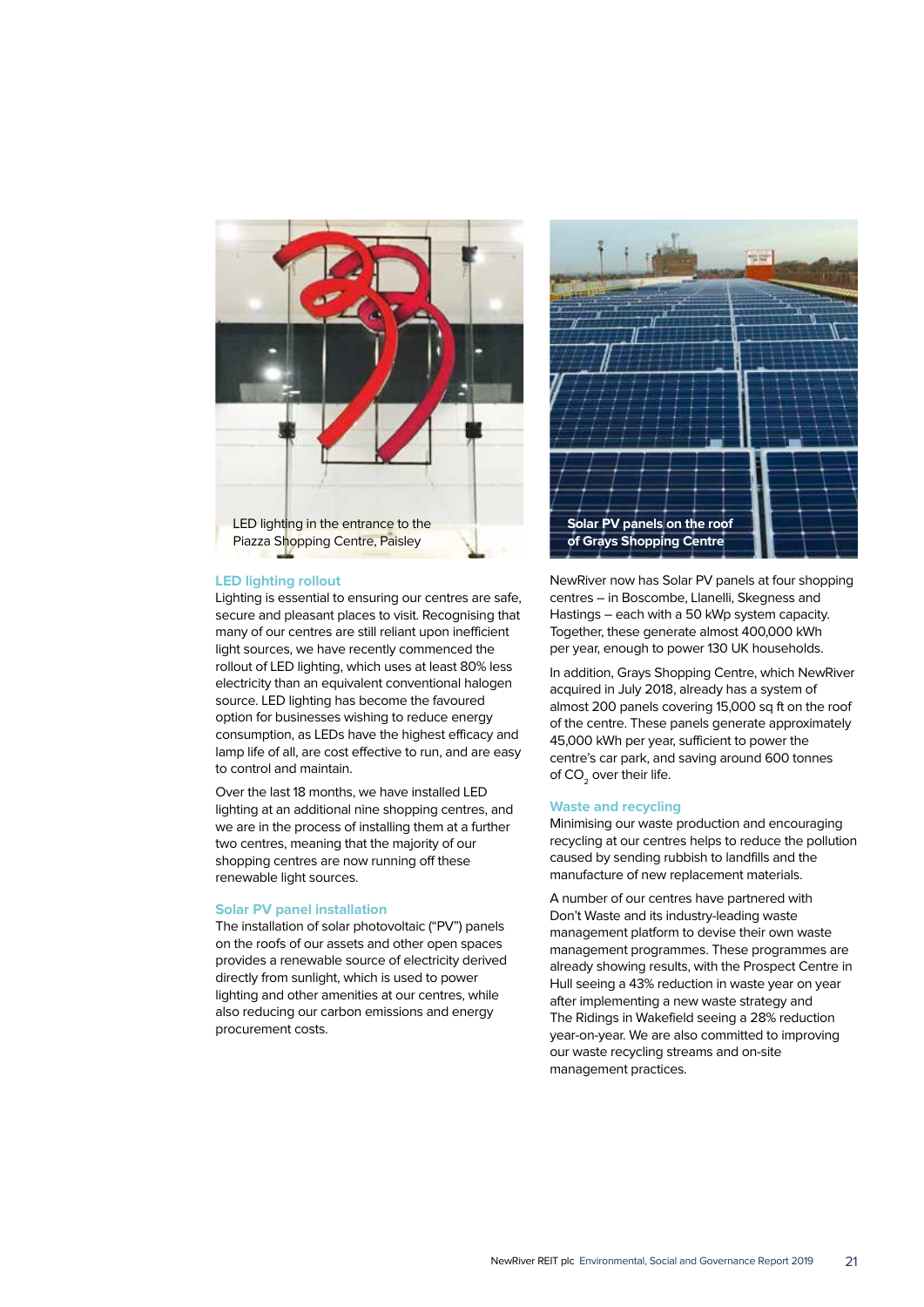

#### **LED lighting rollout**

Lighting is essential to ensuring our centres are safe, secure and pleasant places to visit. Recognising that many of our centres are still reliant upon inefficient light sources, we have recently commenced the rollout of LED lighting, which uses at least 80% less electricity than an equivalent conventional halogen source. LED lighting has become the favoured option for businesses wishing to reduce energy consumption, as LEDs have the highest efficacy and lamp life of all, are cost effective to run, and are easy to control and maintain.

Over the last 18 months, we have installed LED lighting at an additional nine shopping centres, and we are in the process of installing them at a further two centres, meaning that the majority of our shopping centres are now running off these renewable light sources.

#### **Solar PV panel installation**

The installation of solar photovoltaic ("PV") panels on the roofs of our assets and other open spaces provides a renewable source of electricity derived directly from sunlight, which is used to power lighting and other amenities at our centres, while also reducing our carbon emissions and energy procurement costs.



NewRiver now has Solar PV panels at four shopping centres – in Boscombe, Llanelli, Skegness and Hastings – each with a 50 kWp system capacity. Together, these generate almost 400,000 kWh per year, enough to power 130 UK households.

In addition, Grays Shopping Centre, which NewRiver acquired in July 2018, already has a system of almost 200 panels covering 15,000 sq ft on the roof of the centre. These panels generate approximately 45,000 kWh per year, sufficient to power the centre's car park, and saving around 600 tonnes of  $CO<sub>2</sub>$  over their life.

#### **Waste and recycling**

Minimising our waste production and encouraging recycling at our centres helps to reduce the pollution caused by sending rubbish to landfills and the manufacture of new replacement materials.

A number of our centres have partnered with Don't Waste and its industry-leading waste management platform to devise their own waste management programmes. These programmes are already showing results, with the Prospect Centre in Hull seeing a 43% reduction in waste year on year after implementing a new waste strategy and The Ridings in Wakefield seeing a 28% reduction year-on-year. We are also committed to improving our waste recycling streams and on-site management practices.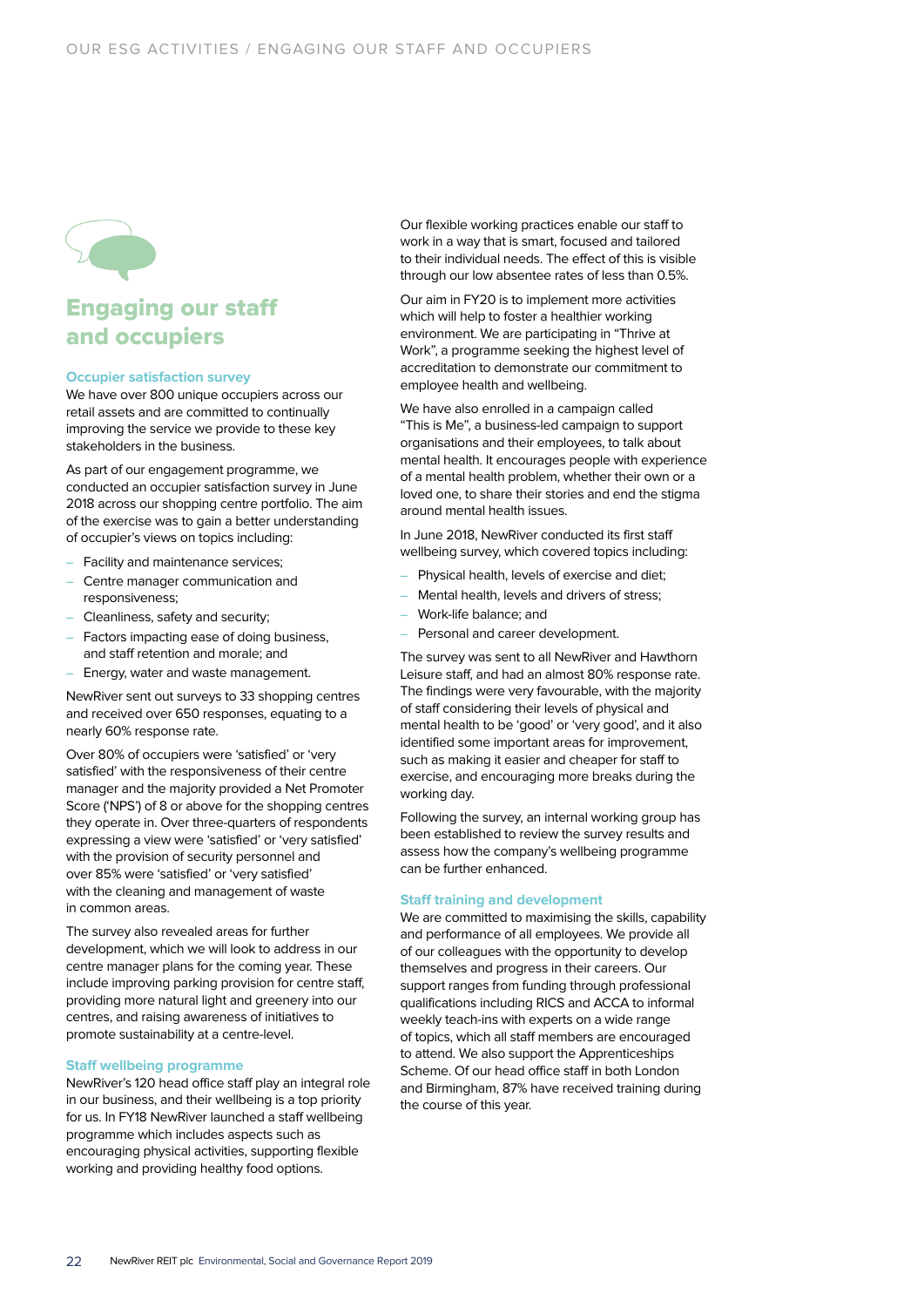

## Engaging our staff and occupiers

#### **Occupier satisfaction survey**

We have over 800 unique occupiers across our retail assets and are committed to continually improving the service we provide to these key stakeholders in the business.

As part of our engagement programme, we conducted an occupier satisfaction survey in June 2018 across our shopping centre portfolio. The aim of the exercise was to gain a better understanding of occupier's views on topics including:

- Facility and maintenance services;
- Centre manager communication and responsiveness;
- Cleanliness, safety and security;
- Factors impacting ease of doing business, and staff retention and morale; and
- Energy, water and waste management.

NewRiver sent out surveys to 33 shopping centres and received over 650 responses, equating to a nearly 60% response rate.

Over 80% of occupiers were 'satisfied' or 'very satisfied' with the responsiveness of their centre manager and the majority provided a Net Promoter Score ('NPS') of 8 or above for the shopping centres they operate in. Over three-quarters of respondents expressing a view were 'satisfied' or 'very satisfied' with the provision of security personnel and over 85% were 'satisfied' or 'very satisfied' with the cleaning and management of waste in common areas.

The survey also revealed areas for further development, which we will look to address in our centre manager plans for the coming year. These include improving parking provision for centre staff, providing more natural light and greenery into our centres, and raising awareness of initiatives to promote sustainability at a centre-level.

#### **Staff wellbeing programme**

NewRiver's 120 head office staff play an integral role in our business, and their wellbeing is a top priority for us. In FY18 NewRiver launched a staff wellbeing programme which includes aspects such as encouraging physical activities, supporting flexible working and providing healthy food options.

Our flexible working practices enable our staff to work in a way that is smart, focused and tailored to their individual needs. The effect of this is visible through our low absentee rates of less than 0.5%.

Our aim in FY20 is to implement more activities which will help to foster a healthier working environment. We are participating in "Thrive at Work", a programme seeking the highest level of accreditation to demonstrate our commitment to employee health and wellbeing.

We have also enrolled in a campaign called "This is Me", a business-led campaign to support organisations and their employees, to talk about mental health. It encourages people with experience of a mental health problem, whether their own or a loved one, to share their stories and end the stigma around mental health issues.

In June 2018, NewRiver conducted its first staff wellbeing survey, which covered topics including:

- Physical health, levels of exercise and diet;
- Mental health, levels and drivers of stress;
- Work-life balance; and
- Personal and career development.

The survey was sent to all NewRiver and Hawthorn Leisure staff, and had an almost 80% response rate. The findings were very favourable, with the majority of staff considering their levels of physical and mental health to be 'good' or 'very good', and it also identified some important areas for improvement, such as making it easier and cheaper for staff to exercise, and encouraging more breaks during the working day.

Following the survey, an internal working group has been established to review the survey results and assess how the company's wellbeing programme can be further enhanced.

#### **Staff training and development**

We are committed to maximising the skills, capability and performance of all employees. We provide all of our colleagues with the opportunity to develop themselves and progress in their careers. Our support ranges from funding through professional qualifications including RICS and ACCA to informal weekly teach-ins with experts on a wide range of topics, which all staff members are encouraged to attend. We also support the Apprenticeships Scheme. Of our head office staff in both London and Birmingham, 87% have received training during the course of this year.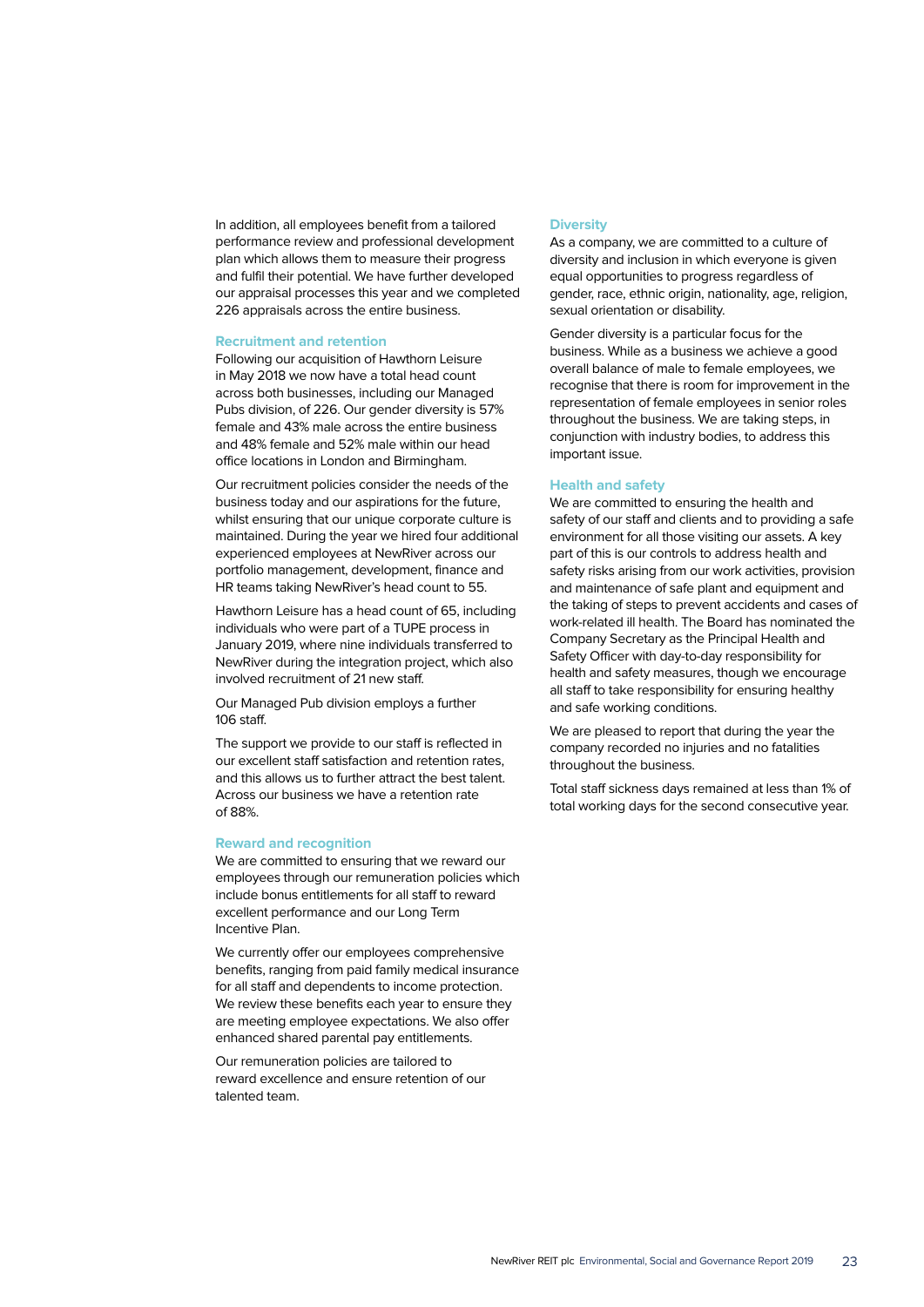In addition, all employees benefit from a tailored performance review and professional development plan which allows them to measure their progress and fulfil their potential. We have further developed our appraisal processes this year and we completed 226 appraisals across the entire business.

#### **Recruitment and retention**

Following our acquisition of Hawthorn Leisure in May 2018 we now have a total head count across both businesses, including our Managed Pubs division, of 226. Our gender diversity is 57% female and 43% male across the entire business and 48% female and 52% male within our head office locations in London and Birmingham.

Our recruitment policies consider the needs of the business today and our aspirations for the future, whilst ensuring that our unique corporate culture is maintained. During the year we hired four additional experienced employees at NewRiver across our portfolio management, development, finance and HR teams taking NewRiver's head count to 55.

Hawthorn Leisure has a head count of 65, including individuals who were part of a TUPE process in January 2019, where nine individuals transferred to NewRiver during the integration project, which also involved recruitment of 21 new staff.

Our Managed Pub division employs a further 106 staff.

The support we provide to our staff is reflected in our excellent staff satisfaction and retention rates, and this allows us to further attract the best talent. Across our business we have a retention rate of 88%.

#### **Reward and recognition**

We are committed to ensuring that we reward our employees through our remuneration policies which include bonus entitlements for all staff to reward excellent performance and our Long Term Incentive Plan.

We currently offer our employees comprehensive benefits, ranging from paid family medical insurance for all staff and dependents to income protection. We review these benefits each year to ensure they are meeting employee expectations. We also offer enhanced shared parental pay entitlements.

Our remuneration policies are tailored to reward excellence and ensure retention of our talented team.

#### **Diversity**

As a company, we are committed to a culture of diversity and inclusion in which everyone is given equal opportunities to progress regardless of gender, race, ethnic origin, nationality, age, religion, sexual orientation or disability.

Gender diversity is a particular focus for the business. While as a business we achieve a good overall balance of male to female employees, we recognise that there is room for improvement in the representation of female employees in senior roles throughout the business. We are taking steps, in conjunction with industry bodies, to address this important issue.

#### **Health and safety**

We are committed to ensuring the health and safety of our staff and clients and to providing a safe environment for all those visiting our assets. A key part of this is our controls to address health and safety risks arising from our work activities, provision and maintenance of safe plant and equipment and the taking of steps to prevent accidents and cases of work-related ill health. The Board has nominated the Company Secretary as the Principal Health and Safety Officer with day-to-day responsibility for health and safety measures, though we encourage all staff to take responsibility for ensuring healthy and safe working conditions.

We are pleased to report that during the year the company recorded no injuries and no fatalities throughout the business.

Total staff sickness days remained at less than 1% of total working days for the second consecutive year.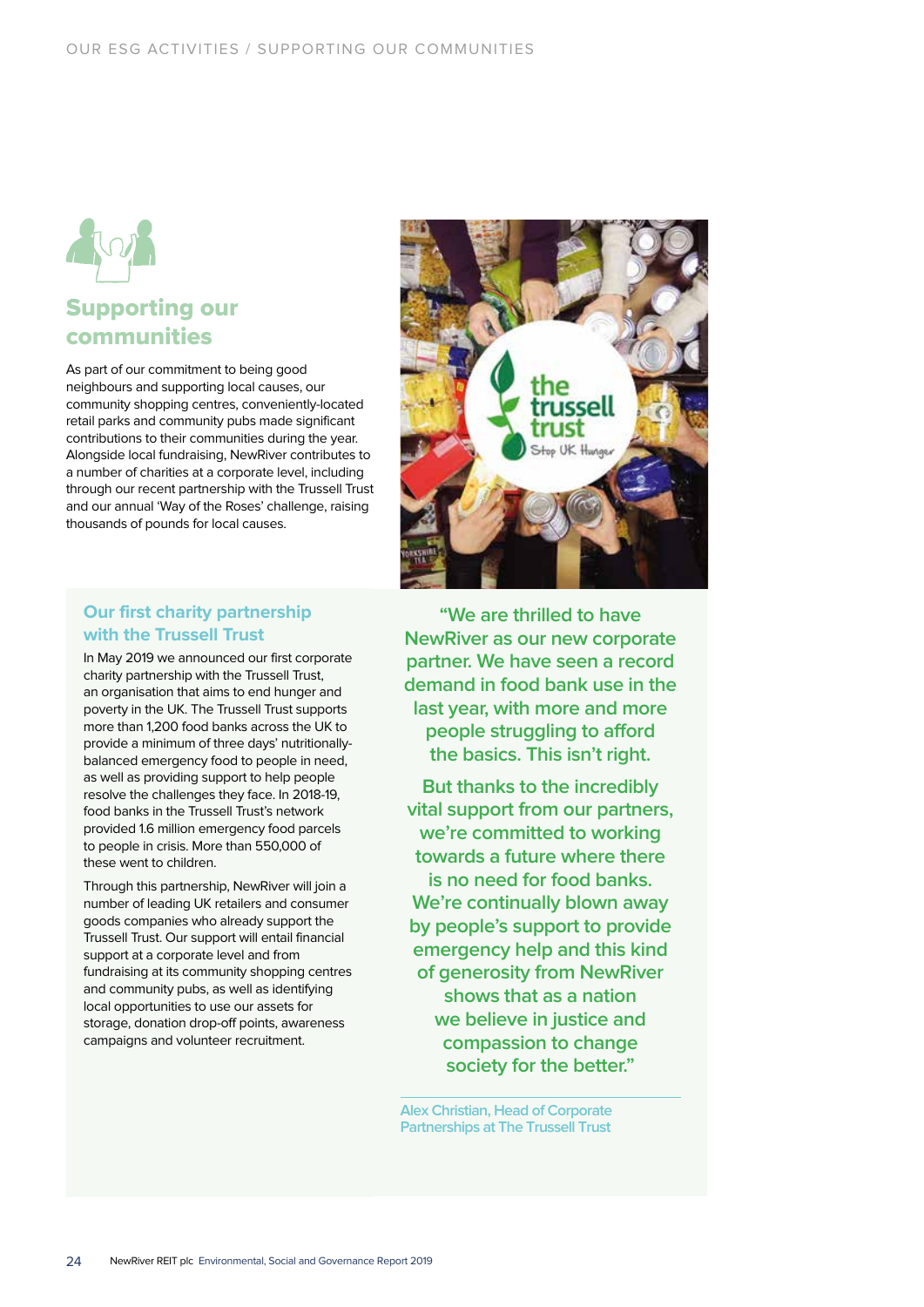

## Supporting our communities

As part of our commitment to being good neighbours and supporting local causes, our community shopping centres, conveniently-located retail parks and community pubs made significant contributions to their communities during the year. Alongside local fundraising, NewRiver contributes to a number of charities at a corporate level, including through our recent partnership with the Trussell Trust and our annual 'Way of the Roses' challenge, raising thousands of pounds for local causes.



## **Our first charity partnership with the Trussell Trust**

In May 2019 we announced our first corporate charity partnership with the Trussell Trust, an organisation that aims to end hunger and poverty in the UK. The Trussell Trust supports more than 1,200 food banks across the UK to provide a minimum of three days' nutritionallybalanced emergency food to people in need, as well as providing support to help people resolve the challenges they face. In 2018-19, food banks in the Trussell Trust's network provided 1.6 million emergency food parcels to people in crisis. More than 550,000 of these went to children.

Through this partnership, NewRiver will join a number of leading UK retailers and consumer goods companies who already support the Trussell Trust. Our support will entail financial support at a corporate level and from fundraising at its community shopping centres and community pubs, as well as identifying local opportunities to use our assets for storage, donation drop-off points, awareness campaigns and volunteer recruitment.

**"We are thrilled to have NewRiver as our new corporate partner. We have seen a record demand in food bank use in the last year, with more and more people struggling to afford the basics. This isn't right.**

**But thanks to the incredibly vital support from our partners, we're committed to working towards a future where there is no need for food banks. We're continually blown away by people's support to provide emergency help and this kind of generosity from NewRiver shows that as a nation we believe in justice and compassion to change society for the better."**

**Alex Christian, Head of Corporate Partnerships at The Trussell Trust**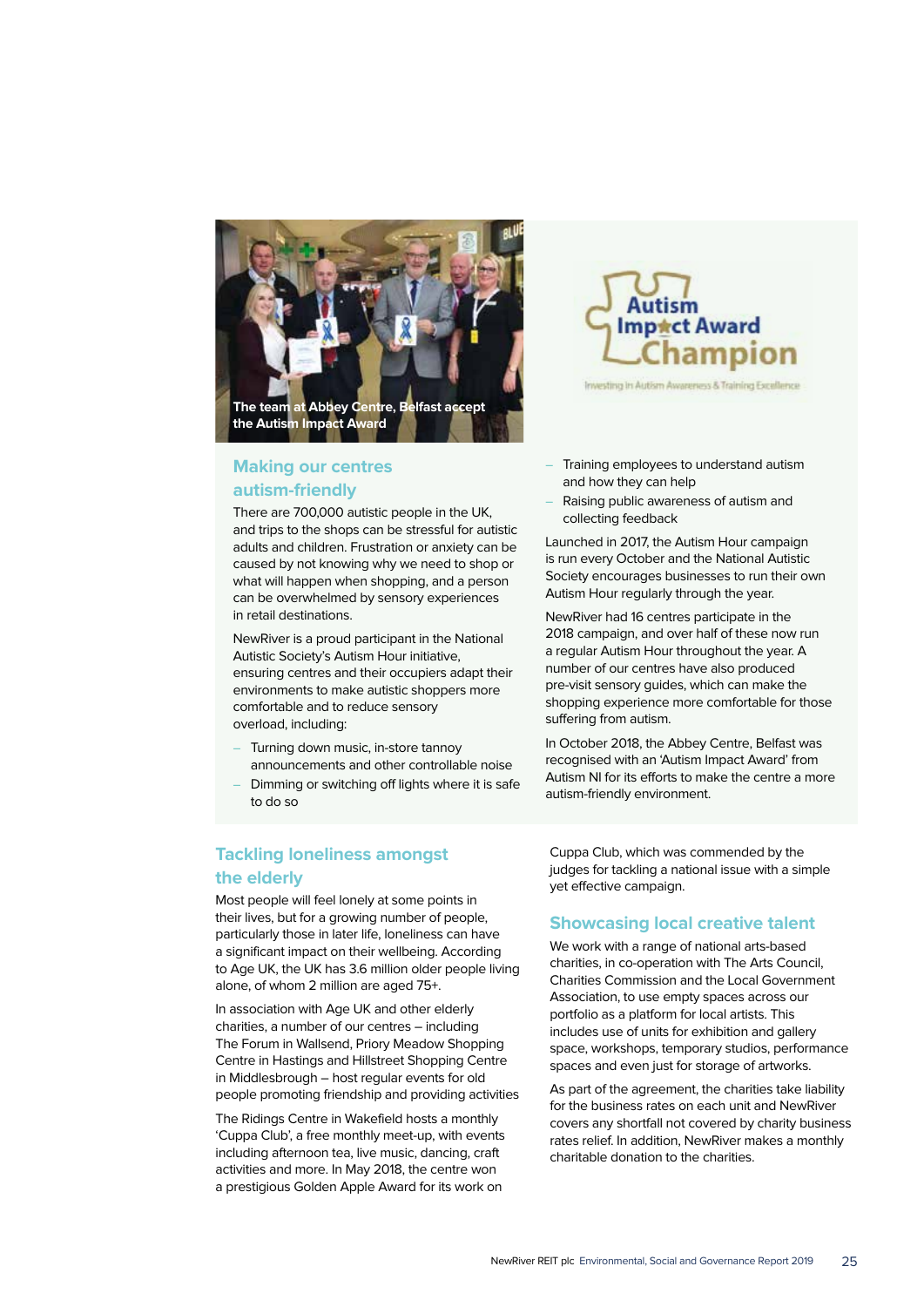

## **Making our centres autism-friendly**

There are 700,000 autistic people in the UK, and trips to the shops can be stressful for autistic adults and children. Frustration or anxiety can be caused by not knowing why we need to shop or what will happen when shopping, and a person can be overwhelmed by sensory experiences in retail destinations.

NewRiver is a proud participant in the National Autistic Society's Autism Hour initiative, ensuring centres and their occupiers adapt their environments to make autistic shoppers more comfortable and to reduce sensory overload, including:

- Turning down music, in-store tannoy announcements and other controllable noise
- Dimming or switching off lights where it is safe to do so

## **Tackling loneliness amongst the elderly**

Most people will feel lonely at some points in their lives, but for a growing number of people, particularly those in later life, loneliness can have a significant impact on their wellbeing. According to Age UK, the UK has 3.6 million older people living alone, of whom 2 million are aged 75+.

In association with Age UK and other elderly charities, a number of our centres – including The Forum in Wallsend, Priory Meadow Shopping Centre in Hastings and Hillstreet Shopping Centre in Middlesbrough – host regular events for old people promoting friendship and providing activities

The Ridings Centre in Wakefield hosts a monthly 'Cuppa Club', a free monthly meet-up, with events including afternoon tea, live music, dancing, craft activities and more. In May 2018, the centre won a prestigious Golden Apple Award for its work on



Investing In Autism Awareness & Training Excellence

- Training employees to understand autism and how they can help
- Raising public awareness of autism and collecting feedback

Launched in 2017, the Autism Hour campaign is run every October and the National Autistic Society encourages businesses to run their own Autism Hour regularly through the year.

NewRiver had 16 centres participate in the 2018 campaign, and over half of these now run a regular Autism Hour throughout the year. A number of our centres have also produced pre-visit sensory guides, which can make the shopping experience more comfortable for those suffering from autism.

In October 2018, the Abbey Centre, Belfast was recognised with an 'Autism Impact Award' from Autism NI for its efforts to make the centre a more autism-friendly environment.

Cuppa Club, which was commended by the judges for tackling a national issue with a simple yet effective campaign.

## **Showcasing local creative talent**

We work with a range of national arts-based charities, in co-operation with The Arts Council, Charities Commission and the Local Government Association, to use empty spaces across our portfolio as a platform for local artists. This includes use of units for exhibition and gallery space, workshops, temporary studios, performance spaces and even just for storage of artworks.

As part of the agreement, the charities take liability for the business rates on each unit and NewRiver covers any shortfall not covered by charity business rates relief. In addition, NewRiver makes a monthly charitable donation to the charities.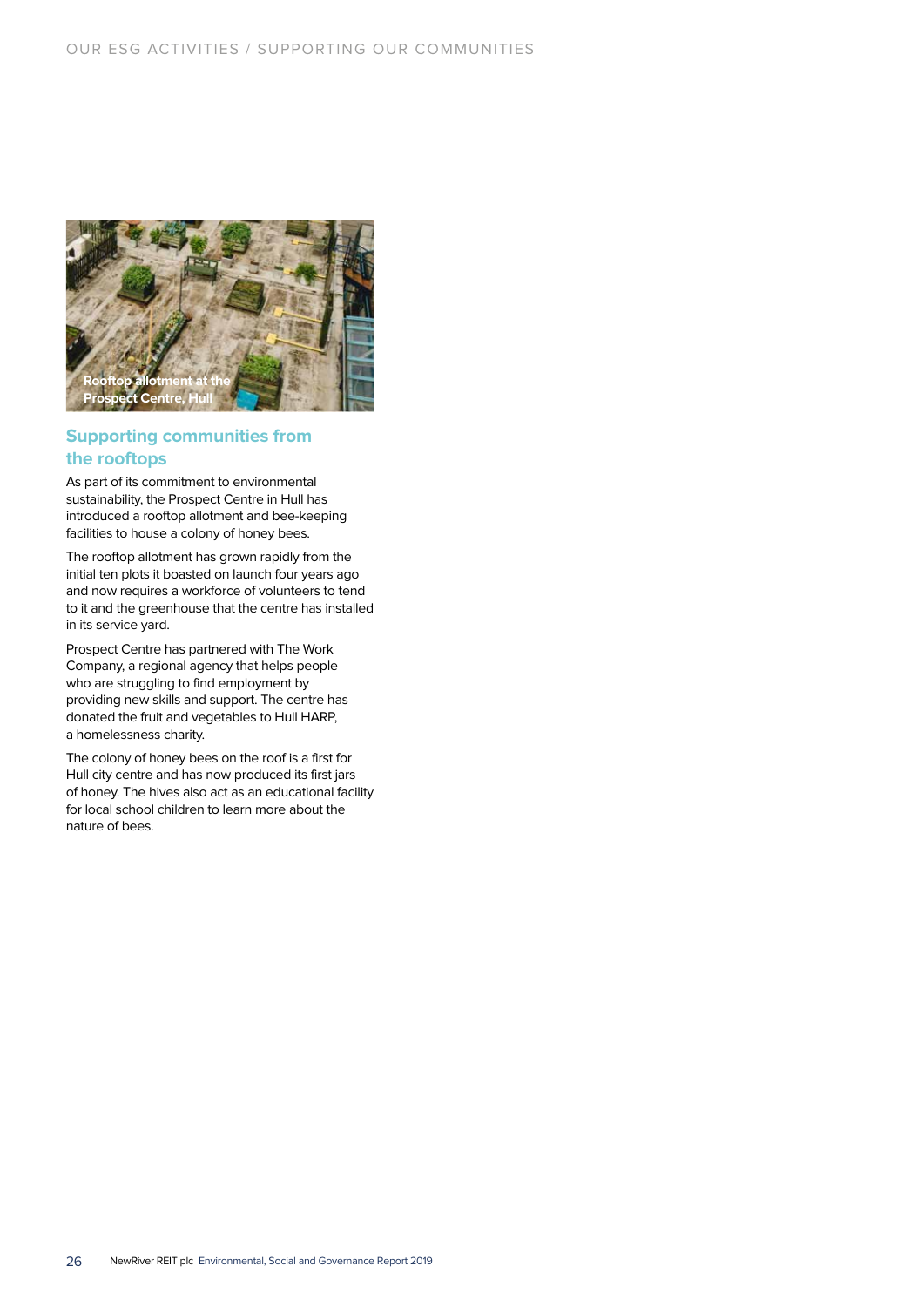

## **Supporting communities from the rooftops**

As part of its commitment to environmental sustainability, the Prospect Centre in Hull has introduced a rooftop allotment and bee-keeping facilities to house a colony of honey bees.

The rooftop allotment has grown rapidly from the initial ten plots it boasted on launch four years ago and now requires a workforce of volunteers to tend to it and the greenhouse that the centre has installed in its service yard.

Prospect Centre has partnered with The Work Company, a regional agency that helps people who are struggling to find employment by providing new skills and support. The centre has donated the fruit and vegetables to Hull HARP, a homelessness charity.

The colony of honey bees on the roof is a first for Hull city centre and has now produced its first jars of honey. The hives also act as an educational facility for local school children to learn more about the nature of bees.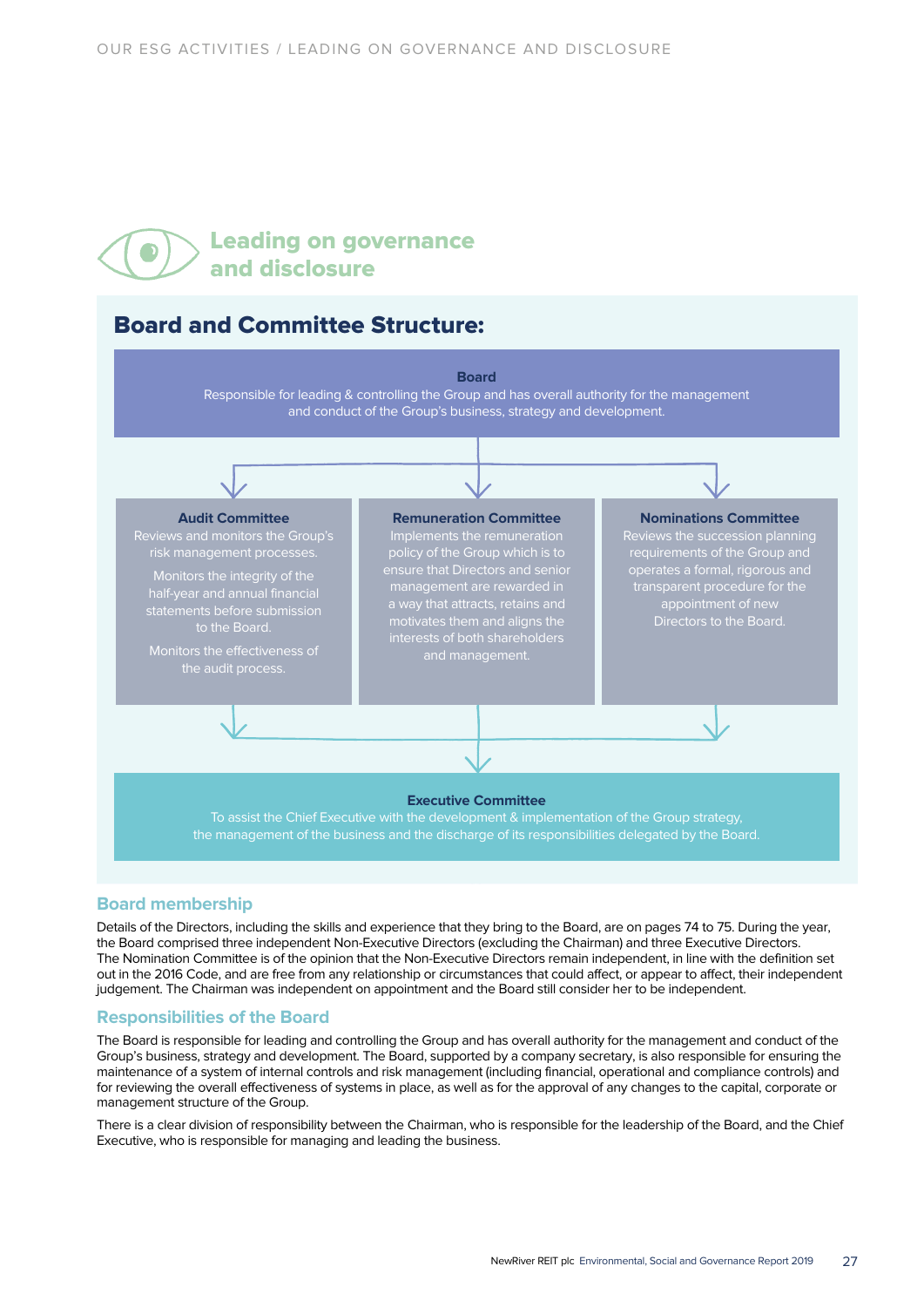## Leading on governance and disclosure

## Board and Committee Structure:



## **Board membership**

Details of the Directors, including the skills and experience that they bring to the Board, are on pages 74 to 75. During the year, the Board comprised three independent Non-Executive Directors (excluding the Chairman) and three Executive Directors. The Nomination Committee is of the opinion that the Non-Executive Directors remain independent, in line with the definition set out in the 2016 Code, and are free from any relationship or circumstances that could affect, or appear to affect, their independent judgement. The Chairman was independent on appointment and the Board still consider her to be independent.

## **Responsibilities of the Board**

The Board is responsible for leading and controlling the Group and has overall authority for the management and conduct of the Group's business, strategy and development. The Board, supported by a company secretary, is also responsible for ensuring the maintenance of a system of internal controls and risk management (including financial, operational and compliance controls) and for reviewing the overall effectiveness of systems in place, as well as for the approval of any changes to the capital, corporate or management structure of the Group.

There is a clear division of responsibility between the Chairman, who is responsible for the leadership of the Board, and the Chief Executive, who is responsible for managing and leading the business.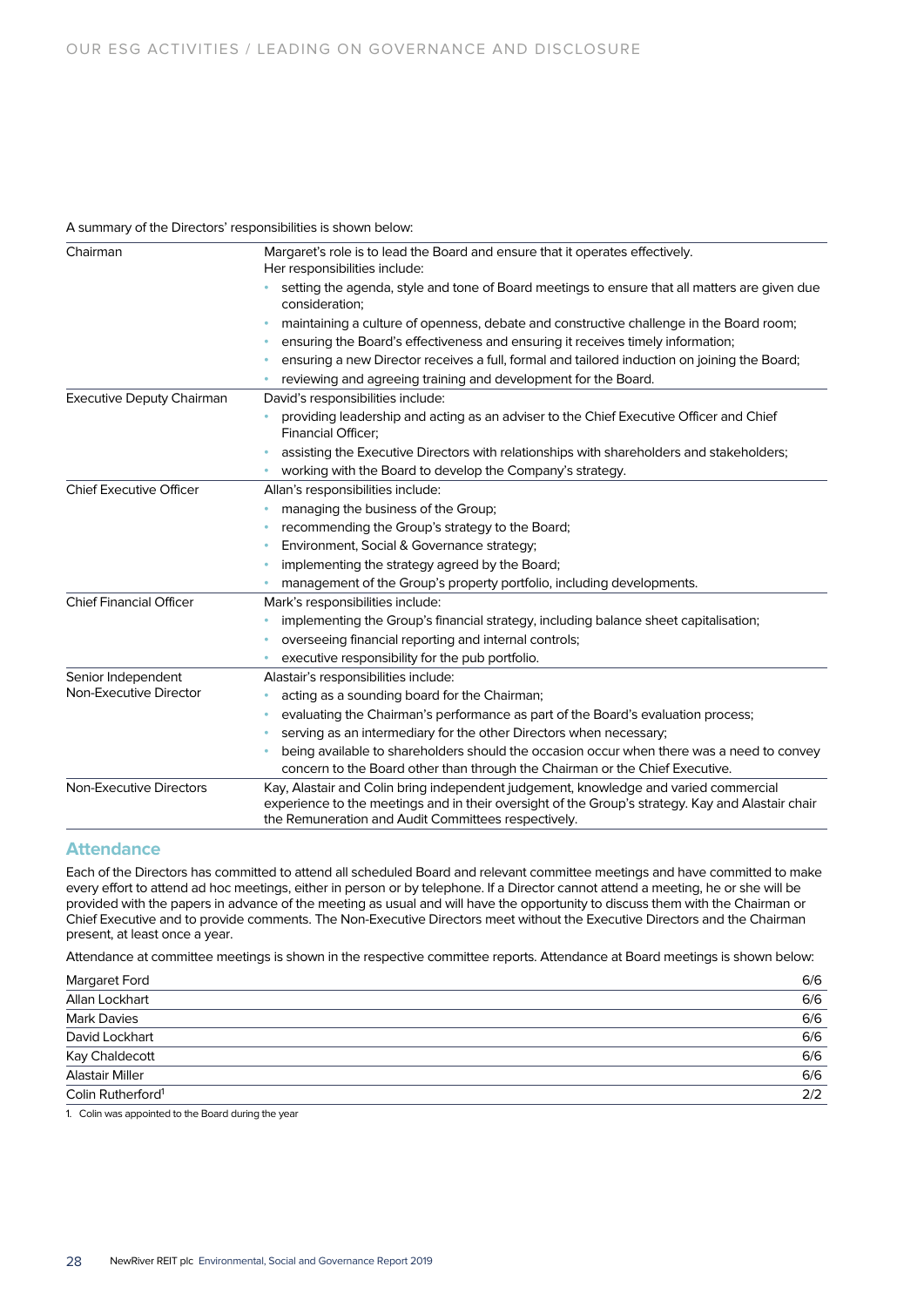## A summary of the Directors' responsibilities is shown below:

| Chairman                         | Margaret's role is to lead the Board and ensure that it operates effectively.<br>Her responsibilities include:                                                                                                                                   |  |  |  |
|----------------------------------|--------------------------------------------------------------------------------------------------------------------------------------------------------------------------------------------------------------------------------------------------|--|--|--|
|                                  | setting the agenda, style and tone of Board meetings to ensure that all matters are given due<br>consideration:                                                                                                                                  |  |  |  |
|                                  | maintaining a culture of openness, debate and constructive challenge in the Board room;                                                                                                                                                          |  |  |  |
|                                  | ensuring the Board's effectiveness and ensuring it receives timely information;                                                                                                                                                                  |  |  |  |
|                                  | ensuring a new Director receives a full, formal and tailored induction on joining the Board;                                                                                                                                                     |  |  |  |
|                                  | reviewing and agreeing training and development for the Board.                                                                                                                                                                                   |  |  |  |
| <b>Executive Deputy Chairman</b> | David's responsibilities include:                                                                                                                                                                                                                |  |  |  |
|                                  | providing leadership and acting as an adviser to the Chief Executive Officer and Chief<br><b>Financial Officer;</b>                                                                                                                              |  |  |  |
|                                  | assisting the Executive Directors with relationships with shareholders and stakeholders;                                                                                                                                                         |  |  |  |
|                                  | working with the Board to develop the Company's strategy.                                                                                                                                                                                        |  |  |  |
| <b>Chief Executive Officer</b>   | Allan's responsibilities include:                                                                                                                                                                                                                |  |  |  |
|                                  | managing the business of the Group;                                                                                                                                                                                                              |  |  |  |
|                                  | recommending the Group's strategy to the Board;                                                                                                                                                                                                  |  |  |  |
|                                  | Environment, Social & Governance strategy;                                                                                                                                                                                                       |  |  |  |
|                                  | implementing the strategy agreed by the Board;                                                                                                                                                                                                   |  |  |  |
|                                  | management of the Group's property portfolio, including developments.                                                                                                                                                                            |  |  |  |
| <b>Chief Financial Officer</b>   | Mark's responsibilities include:                                                                                                                                                                                                                 |  |  |  |
|                                  | implementing the Group's financial strategy, including balance sheet capitalisation;                                                                                                                                                             |  |  |  |
|                                  | overseeing financial reporting and internal controls;                                                                                                                                                                                            |  |  |  |
|                                  | executive responsibility for the pub portfolio.                                                                                                                                                                                                  |  |  |  |
| Senior Independent               | Alastair's responsibilities include:                                                                                                                                                                                                             |  |  |  |
| Non-Executive Director           | acting as a sounding board for the Chairman;                                                                                                                                                                                                     |  |  |  |
|                                  | evaluating the Chairman's performance as part of the Board's evaluation process;                                                                                                                                                                 |  |  |  |
|                                  | serving as an intermediary for the other Directors when necessary;                                                                                                                                                                               |  |  |  |
|                                  | being available to shareholders should the occasion occur when there was a need to convey                                                                                                                                                        |  |  |  |
|                                  | concern to the Board other than through the Chairman or the Chief Executive.                                                                                                                                                                     |  |  |  |
| Non-Executive Directors          | Kay, Alastair and Colin bring independent judgement, knowledge and varied commercial<br>experience to the meetings and in their oversight of the Group's strategy. Kay and Alastair chair<br>the Remuneration and Audit Committees respectively. |  |  |  |

## **Attendance**

Each of the Directors has committed to attend all scheduled Board and relevant committee meetings and have committed to make every effort to attend ad hoc meetings, either in person or by telephone. If a Director cannot attend a meeting, he or she will be provided with the papers in advance of the meeting as usual and will have the opportunity to discuss them with the Chairman or Chief Executive and to provide comments. The Non-Executive Directors meet without the Executive Directors and the Chairman present, at least once a year.

Attendance at committee meetings is shown in the respective committee reports. Attendance at Board meetings is shown below:

| <b>Margaret Ford</b>          | 6/6 |
|-------------------------------|-----|
| Allan Lockhart                | 6/6 |
| <b>Mark Davies</b>            | 6/6 |
| David Lockhart                | 6/6 |
| Kay Chaldecott                | 6/6 |
| <b>Alastair Miller</b>        | 6/6 |
| Colin Rutherford <sup>1</sup> | 2/2 |

1. Colin was appointed to the Board during the year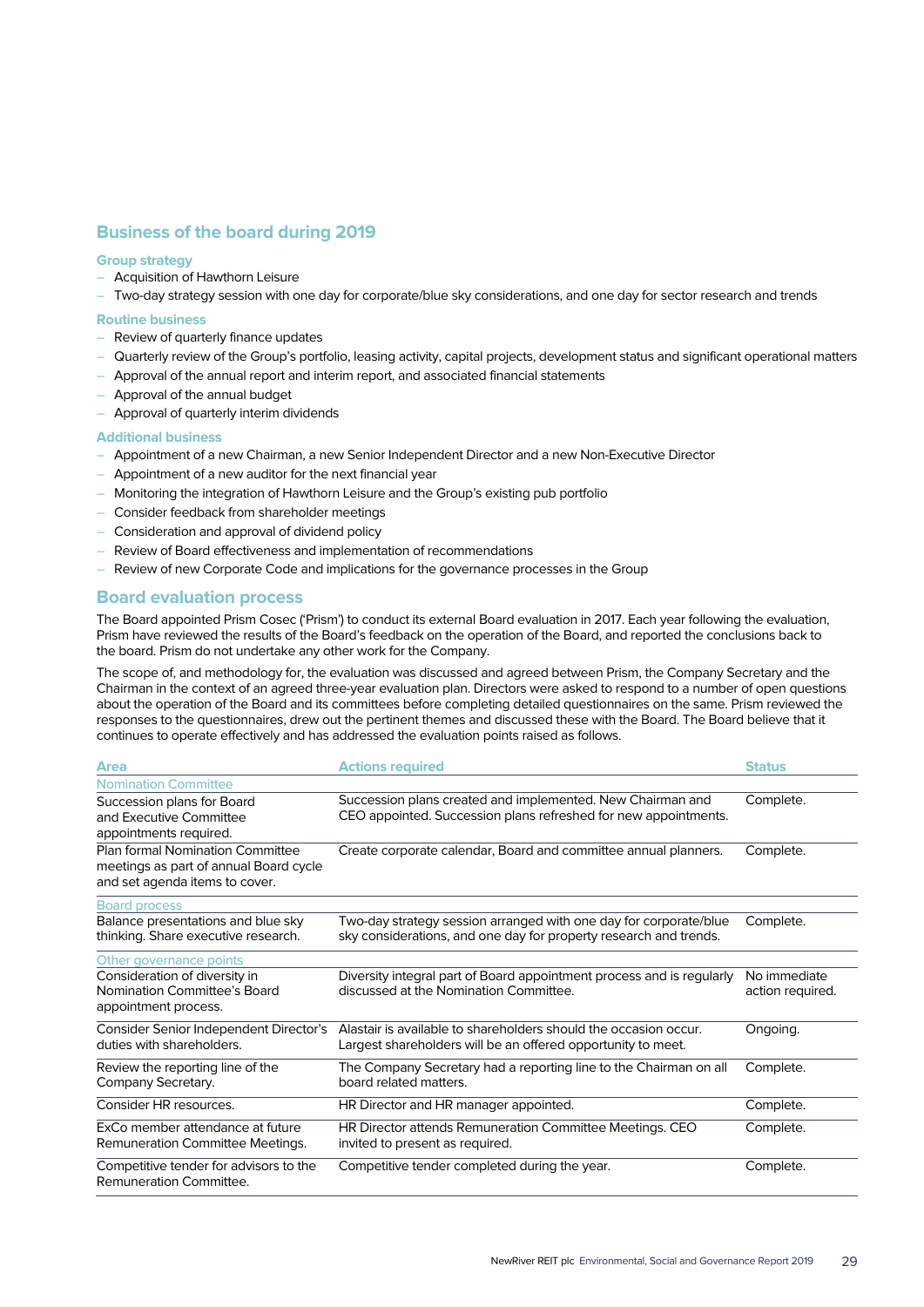## **Business of the board during 2019**

## **Group strategy**

- Acquisition of Hawthorn Leisure
- Two-day strategy session with one day for corporate/blue sky considerations, and one day for sector research and trends

### **Routine business**

- Review of quarterly finance updates
- Quarterly review of the Group's portfolio, leasing activity, capital projects, development status and significant operational matters
- Approval of the annual report and interim report, and associated financial statements
- Approval of the annual budget
- Approval of quarterly interim dividends

#### **Additional business**

- Appointment of a new Chairman, a new Senior Independent Director and a new Non-Executive Director
- Appointment of a new auditor for the next financial year
- Monitoring the integration of Hawthorn Leisure and the Group's existing pub portfolio
- Consider feedback from shareholder meetings
- Consideration and approval of dividend policy
- Review of Board effectiveness and implementation of recommendations
- Review of new Corporate Code and implications for the governance processes in the Group

## **Board evaluation process**

The Board appointed Prism Cosec ('Prism') to conduct its external Board evaluation in 2017. Each year following the evaluation, Prism have reviewed the results of the Board's feedback on the operation of the Board, and reported the conclusions back to the board. Prism do not undertake any other work for the Company.

The scope of, and methodology for, the evaluation was discussed and agreed between Prism, the Company Secretary and the Chairman in the context of an agreed three-year evaluation plan. Directors were asked to respond to a number of open questions about the operation of the Board and its committees before completing detailed questionnaires on the same. Prism reviewed the responses to the questionnaires, drew out the pertinent themes and discussed these with the Board. The Board believe that it continues to operate effectively and has addressed the evaluation points raised as follows.

| <b>Area</b>                                                                                                  | <b>Actions required</b>                                                                                                                | <b>Status</b>                    |
|--------------------------------------------------------------------------------------------------------------|----------------------------------------------------------------------------------------------------------------------------------------|----------------------------------|
| <b>Nomination Committee</b>                                                                                  |                                                                                                                                        |                                  |
| Succession plans for Board<br>and Executive Committee                                                        | Succession plans created and implemented. New Chairman and<br>CEO appointed. Succession plans refreshed for new appointments.          | Complete.                        |
| appointments required.                                                                                       |                                                                                                                                        |                                  |
| Plan formal Nomination Committee<br>meetings as part of annual Board cycle<br>and set agenda items to cover. | Create corporate calendar, Board and committee annual planners.                                                                        | Complete.                        |
| <b>Board process</b>                                                                                         |                                                                                                                                        |                                  |
| Balance presentations and blue sky<br>thinking. Share executive research.                                    | Two-day strategy session arranged with one day for corporate/blue<br>sky considerations, and one day for property research and trends. | Complete.                        |
| Other governance points                                                                                      |                                                                                                                                        |                                  |
| Consideration of diversity in<br>Nomination Committee's Board<br>appointment process.                        | Diversity integral part of Board appointment process and is regularly<br>discussed at the Nomination Committee.                        | No immediate<br>action required. |
| Consider Senior Independent Director's<br>duties with shareholders.                                          | Alastair is available to shareholders should the occasion occur.<br>Largest shareholders will be an offered opportunity to meet.       | Ongoing.                         |
| Review the reporting line of the<br>Company Secretary.                                                       | The Company Secretary had a reporting line to the Chairman on all<br>board related matters.                                            | Complete.                        |
| Consider HR resources.                                                                                       | HR Director and HR manager appointed.                                                                                                  | Complete.                        |
| ExCo member attendance at future<br>Remuneration Committee Meetings.                                         | HR Director attends Remuneration Committee Meetings. CEO<br>invited to present as required.                                            | Complete.                        |
| Competitive tender for advisors to the<br>Remuneration Committee.                                            | Competitive tender completed during the year.                                                                                          | Complete.                        |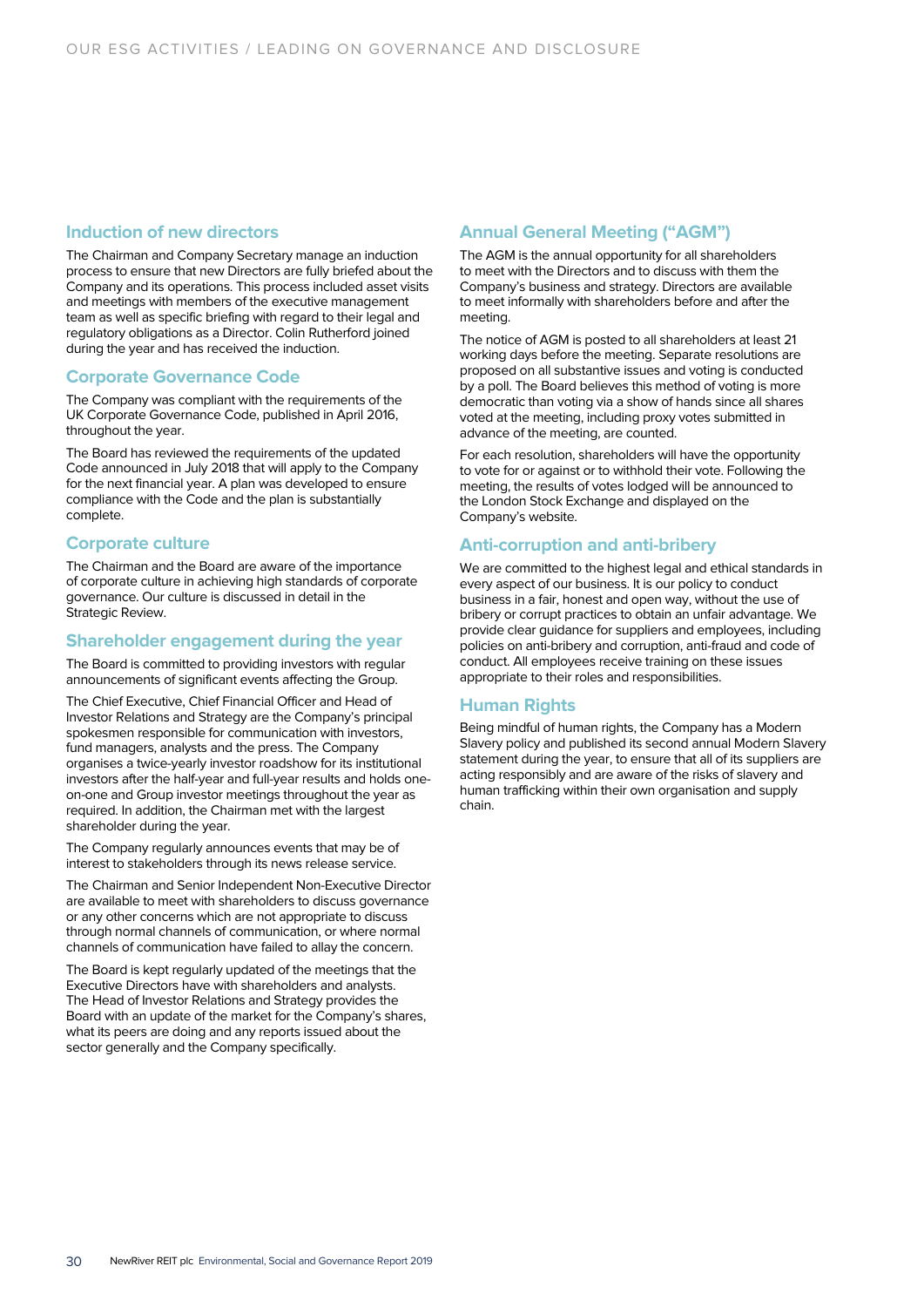## **Induction of new directors**

The Chairman and Company Secretary manage an induction process to ensure that new Directors are fully briefed about the Company and its operations. This process included asset visits and meetings with members of the executive management team as well as specific briefing with regard to their legal and regulatory obligations as a Director. Colin Rutherford joined during the year and has received the induction.

## **Corporate Governance Code**

The Company was compliant with the requirements of the UK Corporate Governance Code, published in April 2016, throughout the year.

The Board has reviewed the requirements of the updated Code announced in July 2018 that will apply to the Company for the next financial year. A plan was developed to ensure compliance with the Code and the plan is substantially complete.

## **Corporate culture**

The Chairman and the Board are aware of the importance of corporate culture in achieving high standards of corporate governance. Our culture is discussed in detail in the Strategic Review.

## **Shareholder engagement during the year**

The Board is committed to providing investors with regular announcements of significant events affecting the Group.

The Chief Executive, Chief Financial Officer and Head of Investor Relations and Strategy are the Company's principal spokesmen responsible for communication with investors, fund managers, analysts and the press. The Company organises a twice-yearly investor roadshow for its institutional investors after the half-year and full-year results and holds oneon-one and Group investor meetings throughout the year as required. In addition, the Chairman met with the largest shareholder during the year.

The Company regularly announces events that may be of interest to stakeholders through its news release service.

The Chairman and Senior Independent Non-Executive Director are available to meet with shareholders to discuss governance or any other concerns which are not appropriate to discuss through normal channels of communication, or where normal channels of communication have failed to allay the concern.

The Board is kept regularly updated of the meetings that the Executive Directors have with shareholders and analysts. The Head of Investor Relations and Strategy provides the Board with an update of the market for the Company's shares, what its peers are doing and any reports issued about the sector generally and the Company specifically.

## **Annual General Meeting ("AGM")**

The AGM is the annual opportunity for all shareholders to meet with the Directors and to discuss with them the Company's business and strategy. Directors are available to meet informally with shareholders before and after the meeting.

The notice of AGM is posted to all shareholders at least 21 working days before the meeting. Separate resolutions are proposed on all substantive issues and voting is conducted by a poll. The Board believes this method of voting is more democratic than voting via a show of hands since all shares voted at the meeting, including proxy votes submitted in advance of the meeting, are counted.

For each resolution, shareholders will have the opportunity to vote for or against or to withhold their vote. Following the meeting, the results of votes lodged will be announced to the London Stock Exchange and displayed on the Company's website.

## **Anti-corruption and anti-bribery**

We are committed to the highest legal and ethical standards in every aspect of our business. It is our policy to conduct business in a fair, honest and open way, without the use of bribery or corrupt practices to obtain an unfair advantage. We provide clear guidance for suppliers and employees, including policies on anti-bribery and corruption, anti-fraud and code of conduct. All employees receive training on these issues appropriate to their roles and responsibilities.

## **Human Rights**

Being mindful of human rights, the Company has a Modern Slavery policy and published its second annual Modern Slavery statement during the year, to ensure that all of its suppliers are acting responsibly and are aware of the risks of slavery and human trafficking within their own organisation and supply chain.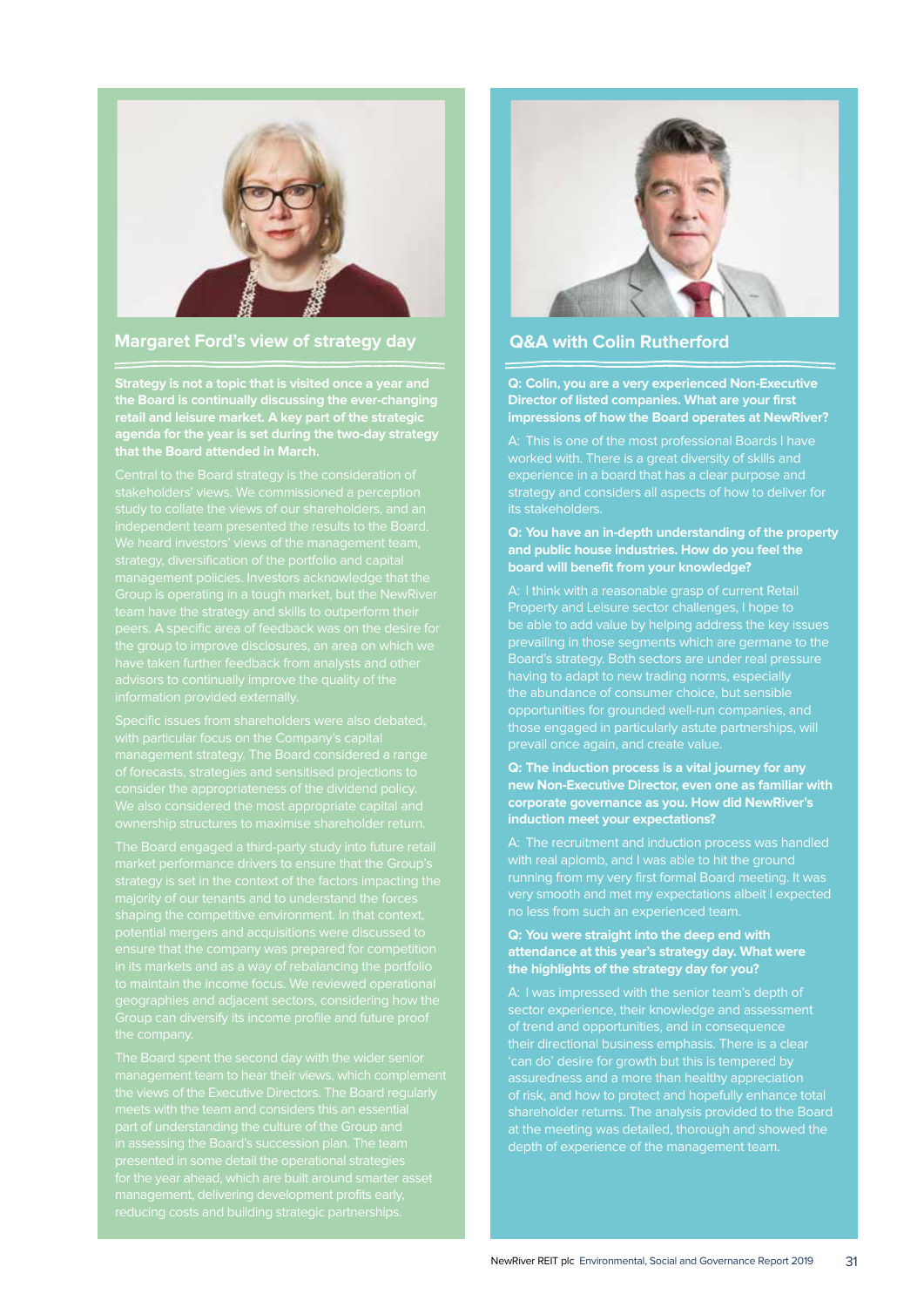

## **Margaret Ford's view of strategy day**

**Strategy is not a topic that is visited once a year and the Board is continually discussing the ever-changing retail and leisure market. A key part of the strategic agenda for the year is set during the two-day strategy** 



## **Q&A with Colin Rutherford**

**Q: Colin, you are a very experienced Non-Executive Director of listed companies. What are your first impressions of how the Board operates at NewRiver?**

A: This is one of the most professional Boards I have worked with. There is a great diversity of skills and experience in a board that has a clear purpose and strategy and considers all aspects of how to deliver for its stakeholders.

#### **Q: You have an in-depth understanding of the property and public house industries. How do you feel the board will benefit from your knowledge?**

Property and Leisure sector challenges, I hope to prevailing in those segments which are germane to the Board's strategy. Both sectors are under real pressure having to adapt to new trading norms, especially the abundance of consumer choice, but sensible opportunities for grounded well-run companies, and those engaged in particularly astute partnerships, will prevail once again, and create value.

#### **Q: The induction process is a vital journey for any new Non-Executive Director, even one as familiar with corporate governance as you. How did NewRiver's induction meet your expectations?**

with real aplomb, and I was able to hit the ground running from my very first formal Board meeting. It was very smooth and met my expectations albeit I expected no less from such an experienced team.

## **Q: You were straight into the deep end with attendance at this year's strategy day. What were the highlights of the strategy day for you?**

 $\overline{\mathbf{a}}$  suredness and a more than healthy appreciation at the meeting was detailed, thorough and showed the depth of experience of the management team.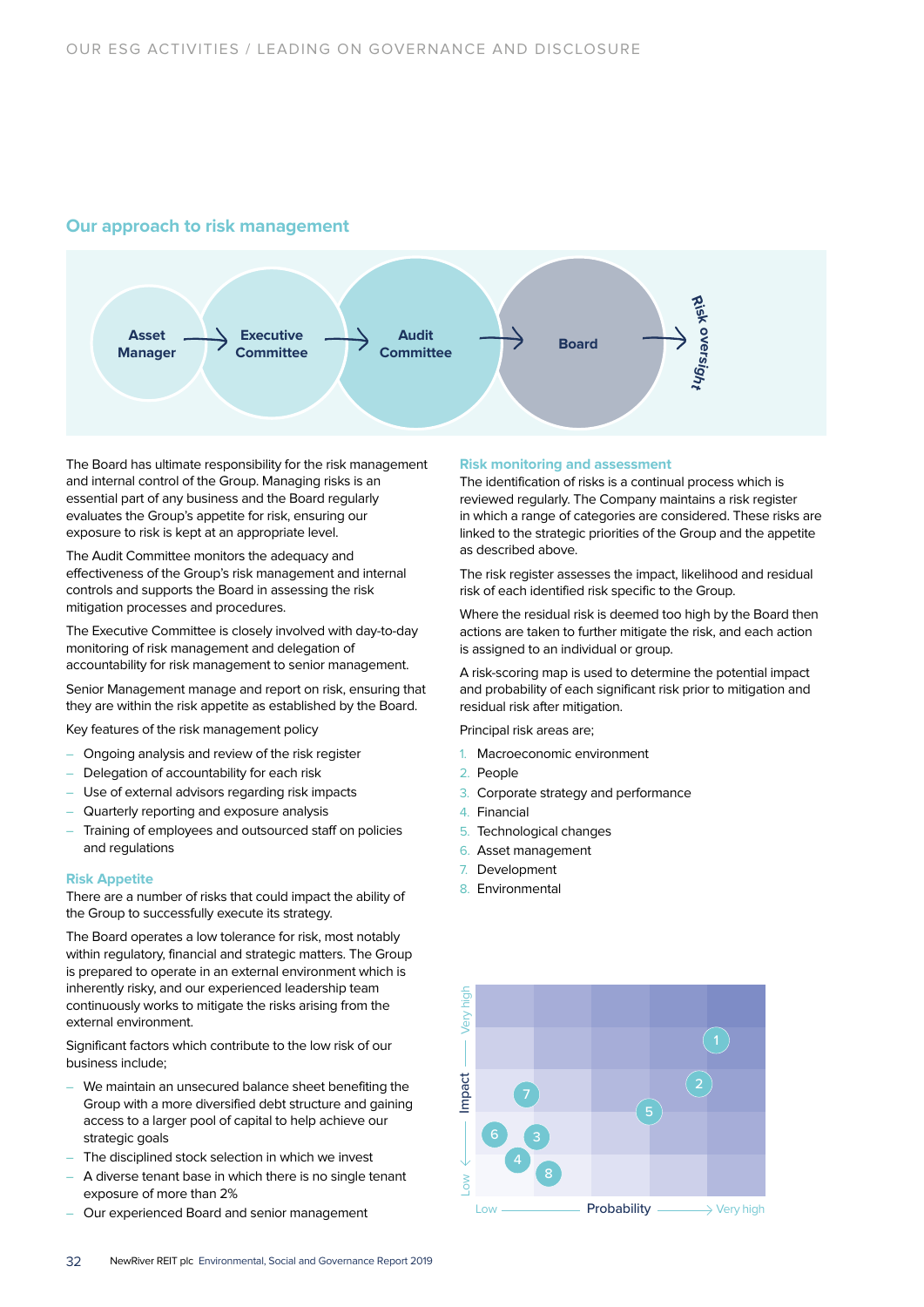## **Our approach to risk management**



The Board has ultimate responsibility for the risk management and internal control of the Group. Managing risks is an essential part of any business and the Board regularly evaluates the Group's appetite for risk, ensuring our exposure to risk is kept at an appropriate level.

The Audit Committee monitors the adequacy and effectiveness of the Group's risk management and internal controls and supports the Board in assessing the risk mitigation processes and procedures.

The Executive Committee is closely involved with day-to-day monitoring of risk management and delegation of accountability for risk management to senior management.

Senior Management manage and report on risk, ensuring that they are within the risk appetite as established by the Board.

Key features of the risk management policy

- Ongoing analysis and review of the risk register
- Delegation of accountability for each risk
- Use of external advisors regarding risk impacts
- Quarterly reporting and exposure analysis
- Training of employees and outsourced staff on policies and regulations

#### **Risk Appetite**

There are a number of risks that could impact the ability of the Group to successfully execute its strategy.

The Board operates a low tolerance for risk, most notably within regulatory, financial and strategic matters. The Group is prepared to operate in an external environment which is inherently risky, and our experienced leadership team continuously works to mitigate the risks arising from the external environment.

Significant factors which contribute to the low risk of our business include;

- We maintain an unsecured balance sheet benefiting the Group with a more diversified debt structure and gaining access to a larger pool of capital to help achieve our strategic goals
- The disciplined stock selection in which we invest
- A diverse tenant base in which there is no single tenant exposure of more than 2%
- Our experienced Board and senior management

#### **Risk monitoring and assessment**

The identification of risks is a continual process which is reviewed regularly. The Company maintains a risk register in which a range of categories are considered. These risks are linked to the strategic priorities of the Group and the appetite as described above.

The risk register assesses the impact, likelihood and residual risk of each identified risk specific to the Group.

Where the residual risk is deemed too high by the Board then actions are taken to further mitigate the risk, and each action is assigned to an individual or group.

A risk-scoring map is used to determine the potential impact and probability of each significant risk prior to mitigation and residual risk after mitigation.

Principal risk areas are;

- 1. Macroeconomic environment
- 2. People
- 3. Corporate strategy and performance
- 4. Financial
- 5. Technological changes
- 6. Asset management
- 7. Development
- 8. Environmental

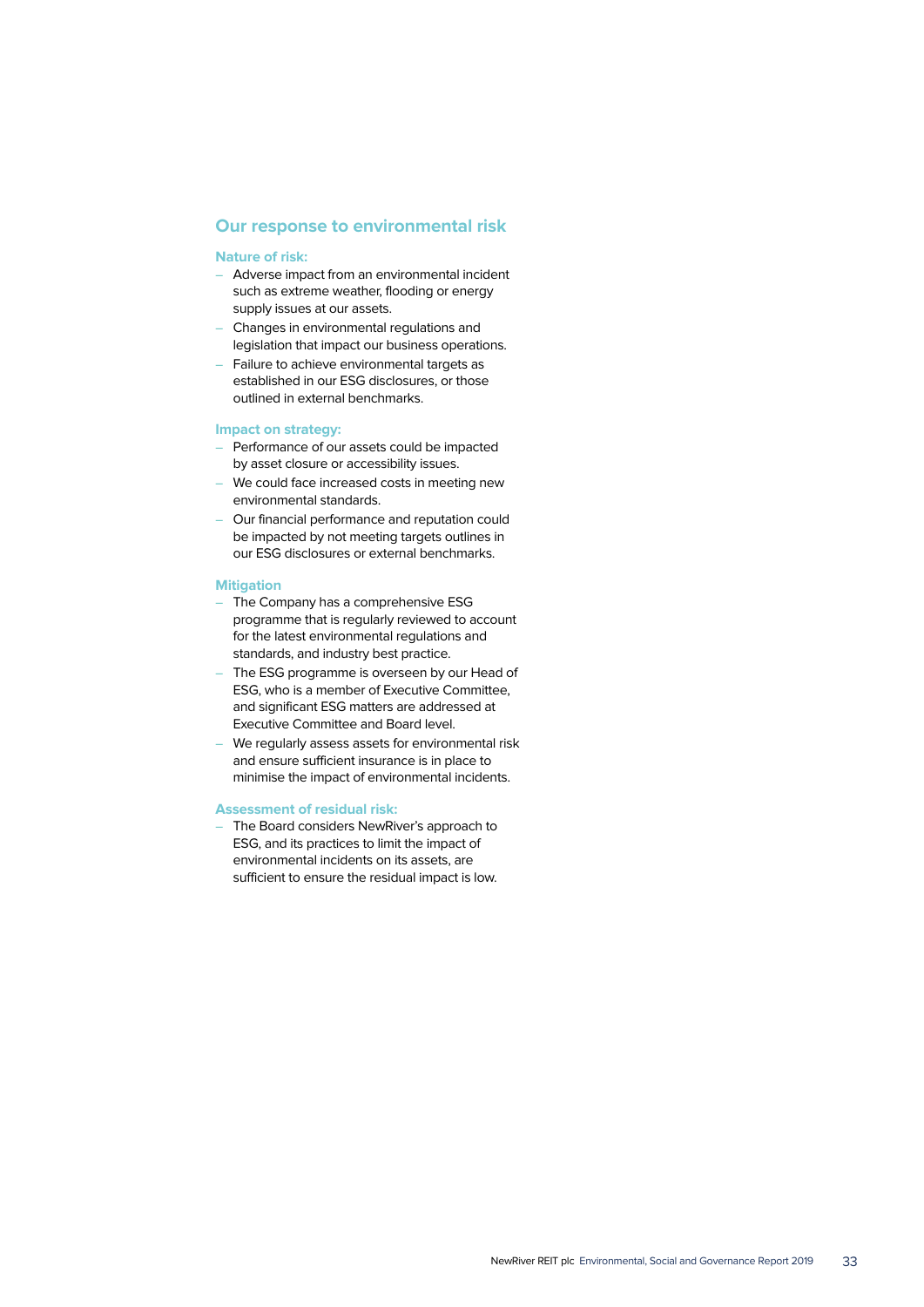## **Our response to environmental risk**

#### **Nature of risk:**

- Adverse impact from an environmental incident such as extreme weather, flooding or energy supply issues at our assets.
- Changes in environmental regulations and legislation that impact our business operations.
- Failure to achieve environmental targets as established in our ESG disclosures, or those outlined in external benchmarks.

#### **Impact on strategy:**

- Performance of our assets could be impacted by asset closure or accessibility issues.
- We could face increased costs in meeting new environmental standards.
- Our financial performance and reputation could be impacted by not meeting targets outlines in our ESG disclosures or external benchmarks.

### **Mitigation**

- The Company has a comprehensive ESG programme that is regularly reviewed to account for the latest environmental regulations and standards, and industry best practice.
- The ESG programme is overseen by our Head of ESG, who is a member of Executive Committee, and significant ESG matters are addressed at Executive Committee and Board level.
- We regularly assess assets for environmental risk and ensure sufficient insurance is in place to minimise the impact of environmental incidents.

### **Assessment of residual risk:**

– The Board considers NewRiver's approach to ESG, and its practices to limit the impact of environmental incidents on its assets, are sufficient to ensure the residual impact is low.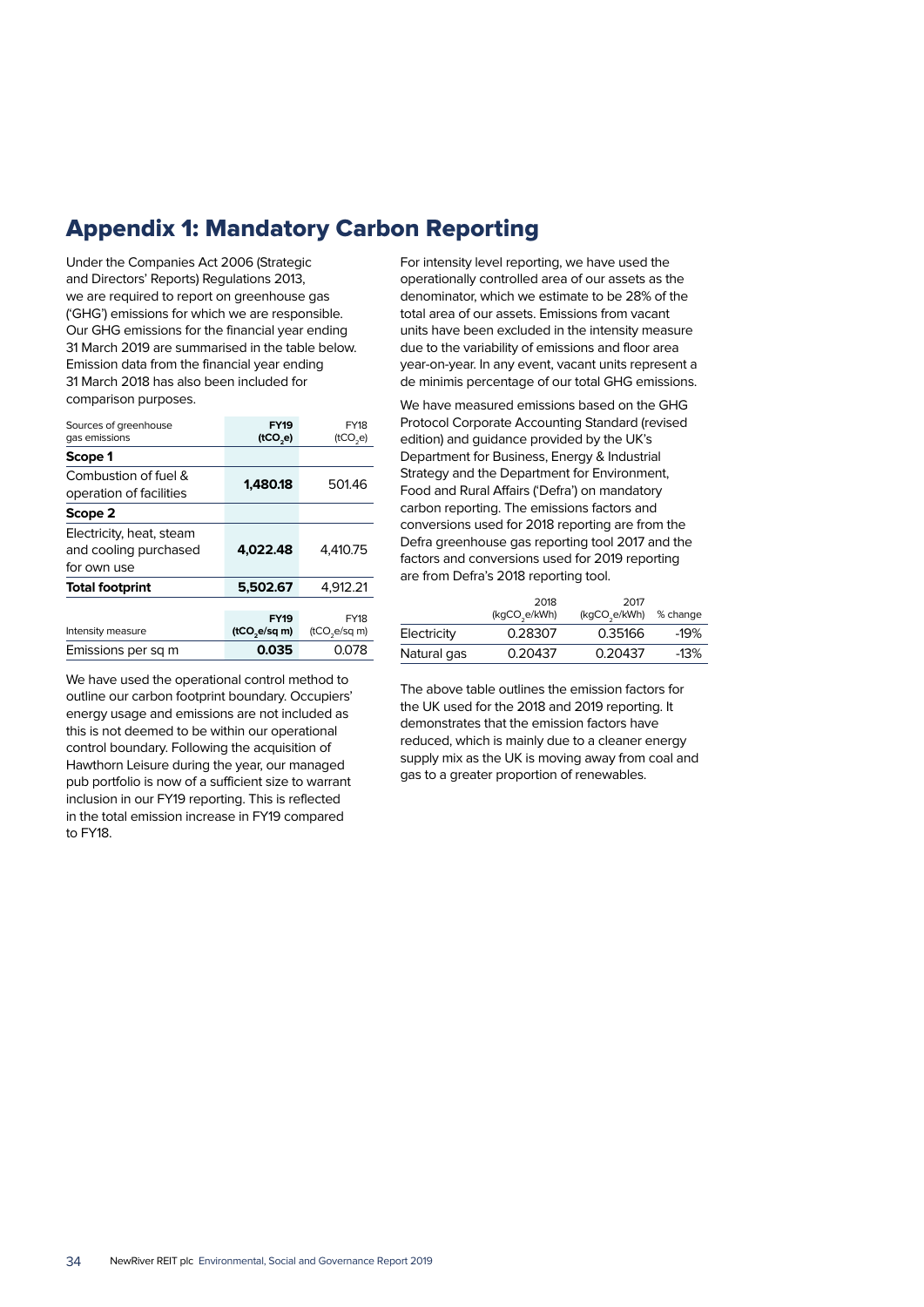## Appendix 1: Mandatory Carbon Reporting

Under the Companies Act 2006 (Strategic and Directors' Reports) Regulations 2013, we are required to report on greenhouse gas ('GHG') emissions for which we are responsible. Our GHG emissions for the financial year ending 31 March 2019 are summarised in the table below. Emission data from the financial year ending 31 March 2018 has also been included for comparison purposes.

| Sources of greenhouse<br>gas emissions                           | <b>FY19</b><br>(1CO,e)                  | <b>FY18</b><br>(tCO,e)                   |
|------------------------------------------------------------------|-----------------------------------------|------------------------------------------|
| Scope 1                                                          |                                         |                                          |
| Combustion of fuel &<br>operation of facilities                  | 1.480.18                                | 501.46                                   |
| Scope 2                                                          |                                         |                                          |
| Electricity, heat, steam<br>and cooling purchased<br>for own use | 4.022.48                                | 4.410.75                                 |
| <b>Total footprint</b>                                           | 5.502.67                                | 4.912.21                                 |
| Intensity measure                                                | <b>FY19</b><br>(tCO <sub>se/sq m)</sub> | <b>FY18</b><br>(tCO <sub>2</sub> e/sq m) |
| Emissions per sq m                                               | 0.035                                   | 0.078                                    |

We have used the operational control method to outline our carbon footprint boundary. Occupiers' energy usage and emissions are not included as this is not deemed to be within our operational control boundary. Following the acquisition of Hawthorn Leisure during the year, our managed pub portfolio is now of a sufficient size to warrant inclusion in our FY19 reporting. This is reflected in the total emission increase in FY19 compared to FY18.

For intensity level reporting, we have used the operationally controlled area of our assets as the denominator, which we estimate to be 28% of the total area of our assets. Emissions from vacant units have been excluded in the intensity measure due to the variability of emissions and floor area year-on-year. In any event, vacant units represent a de minimis percentage of our total GHG emissions.

We have measured emissions based on the GHG Protocol Corporate Accounting Standard (revised edition) and guidance provided by the UK's Department for Business, Energy & Industrial Strategy and the Department for Environment, Food and Rural Affairs ('Defra') on mandatory carbon reporting. The emissions factors and conversions used for 2018 reporting are from the Defra greenhouse gas reporting tool 2017 and the factors and conversions used for 2019 reporting are from Defra's 2018 reporting tool.

|             | 2018<br>(kgCO <sub>3</sub> e/kWh) | 2017<br>(kgCO <sub>s</sub> e/kWh) | % change |
|-------------|-----------------------------------|-----------------------------------|----------|
| Electricity | 0.28307                           | 0.35166                           | $-19%$   |
| Natural gas | 0.20437                           | 0.20437                           | $-13%$   |

The above table outlines the emission factors for the UK used for the 2018 and 2019 reporting. It demonstrates that the emission factors have reduced, which is mainly due to a cleaner energy supply mix as the UK is moving away from coal and gas to a greater proportion of renewables.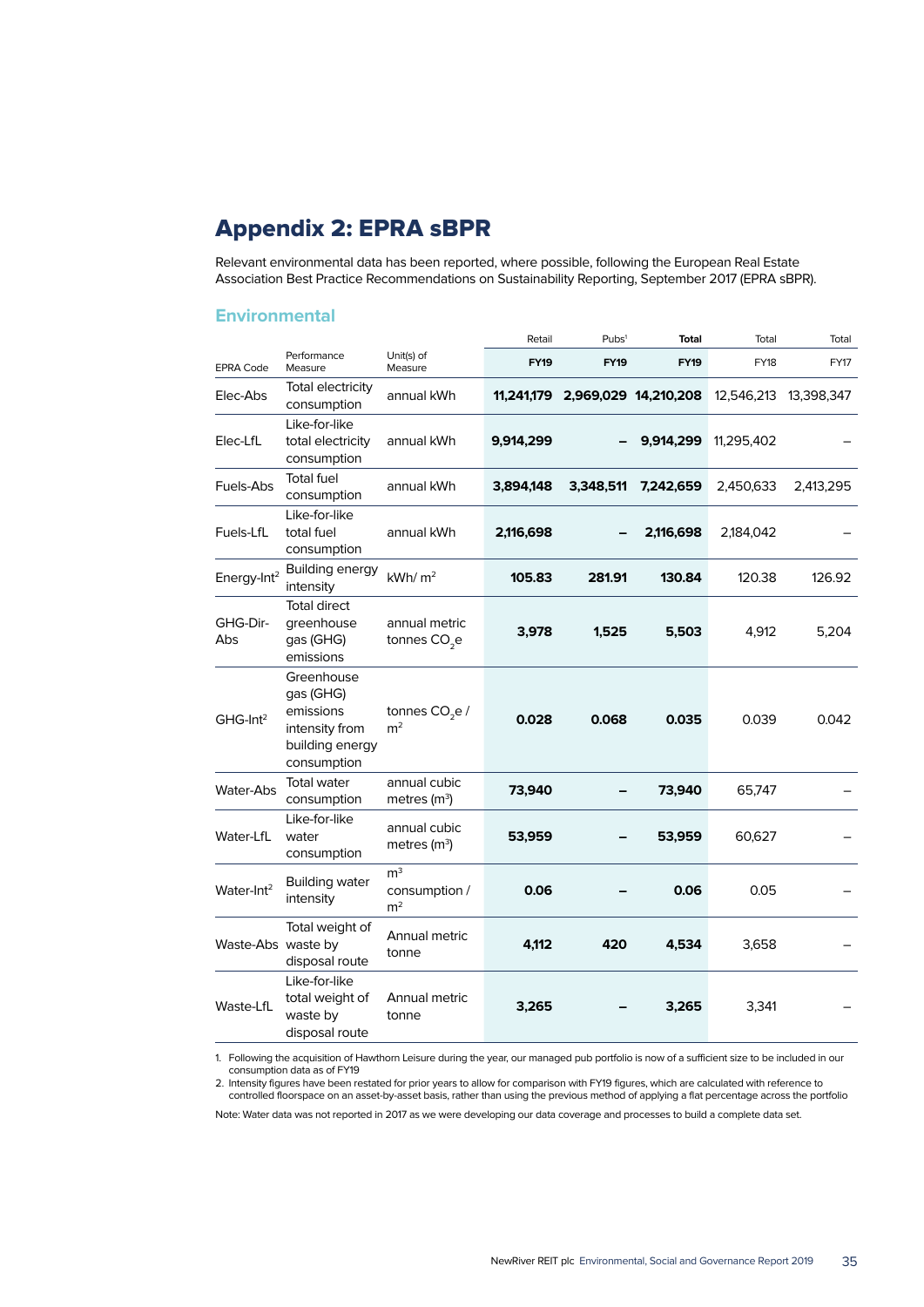## Appendix 2: EPRA sBPR

Relevant environmental data has been reported, where possible, following the European Real Estate Association Best Practice Recommendations on Sustainability Reporting, September 2017 (EPRA sBPR).

## **Environmental**

|                         |                                                                                          |                                                   | Retail      | Pubs <sup>1</sup> | <b>Total</b>         | Total       | Total      |
|-------------------------|------------------------------------------------------------------------------------------|---------------------------------------------------|-------------|-------------------|----------------------|-------------|------------|
| <b>EPRA Code</b>        | Performance<br>Measure                                                                   | Unit(s) of<br>Measure                             | <b>FY19</b> | <b>FY19</b>       | <b>FY19</b>          | <b>FY18</b> | FY17       |
| Elec-Abs                | Total electricity<br>consumption                                                         | annual kWh                                        | 11,241,179  |                   | 2,969,029 14,210,208 | 12,546,213  | 13,398,347 |
| Elec-LfL                | Like-for-like<br>total electricity<br>consumption                                        | annual kWh                                        | 9,914,299   |                   | 9,914,299            | 11,295,402  |            |
| Fuels-Abs               | <b>Total fuel</b><br>consumption                                                         | annual kWh                                        | 3,894,148   | 3,348,511         | 7,242,659            | 2,450,633   | 2,413,295  |
| Fuels-LfL               | Like-for-like<br>total fuel<br>consumption                                               | annual kWh                                        | 2,116,698   |                   | 2,116,698            | 2,184,042   |            |
| Energy-Int <sup>2</sup> | <b>Building energy</b><br>intensity                                                      | kWh/m <sup>2</sup>                                | 105.83      | 281.91            | 130.84               | 120.38      | 126.92     |
| GHG-Dir-<br>Abs         | <b>Total direct</b><br>greenhouse<br>gas (GHG)<br>emissions                              | annual metric<br>tonnes CO <sub>2</sub> e         | 3,978       | 1,525             | 5,503                | 4,912       | 5,204      |
| $GHG-Int2$              | Greenhouse<br>gas (GHG)<br>emissions<br>intensity from<br>building energy<br>consumption | tonnes CO <sub>2</sub> e /<br>m <sup>2</sup>      | 0.028       | 0.068             | 0.035                | 0.039       | 0.042      |
| <b>Water-Abs</b>        | <b>Total water</b><br>consumption                                                        | annual cubic<br>metres $(m^3)$                    | 73,940      |                   | 73,940               | 65.747      |            |
| Water-LfL               | Like-for-like<br>water<br>consumption                                                    | annual cubic<br>metres $(m^3)$                    | 53,959      |                   | 53,959               | 60,627      |            |
| Water-Int <sup>2</sup>  | <b>Building water</b><br>intensity                                                       | m <sup>3</sup><br>consumption /<br>m <sup>2</sup> | 0.06        |                   | 0.06                 | 0.05        |            |
| Waste-Abs waste by      | Total weight of<br>disposal route                                                        | Annual metric<br>tonne                            | 4,112       | 420               | 4,534                | 3,658       |            |
| Waste-LfL               | Like-for-like<br>total weight of<br>waste by<br>disposal route                           | Annual metric<br>tonne                            | 3,265       |                   | 3,265                | 3,341       |            |

1. Following the acquisition of Hawthorn Leisure during the year, our managed pub portfolio is now of a sufficient size to be included in our consumption data as of FY19

2. Intensity figures have been restated for prior years to allow for comparison with FY19 figures, which are calculated with reference to controlled floorspace on an asset-by-asset basis, rather than using the previous method of applying a flat percentage across the portfolio

Note: Water data was not reported in 2017 as we were developing our data coverage and processes to build a complete data set.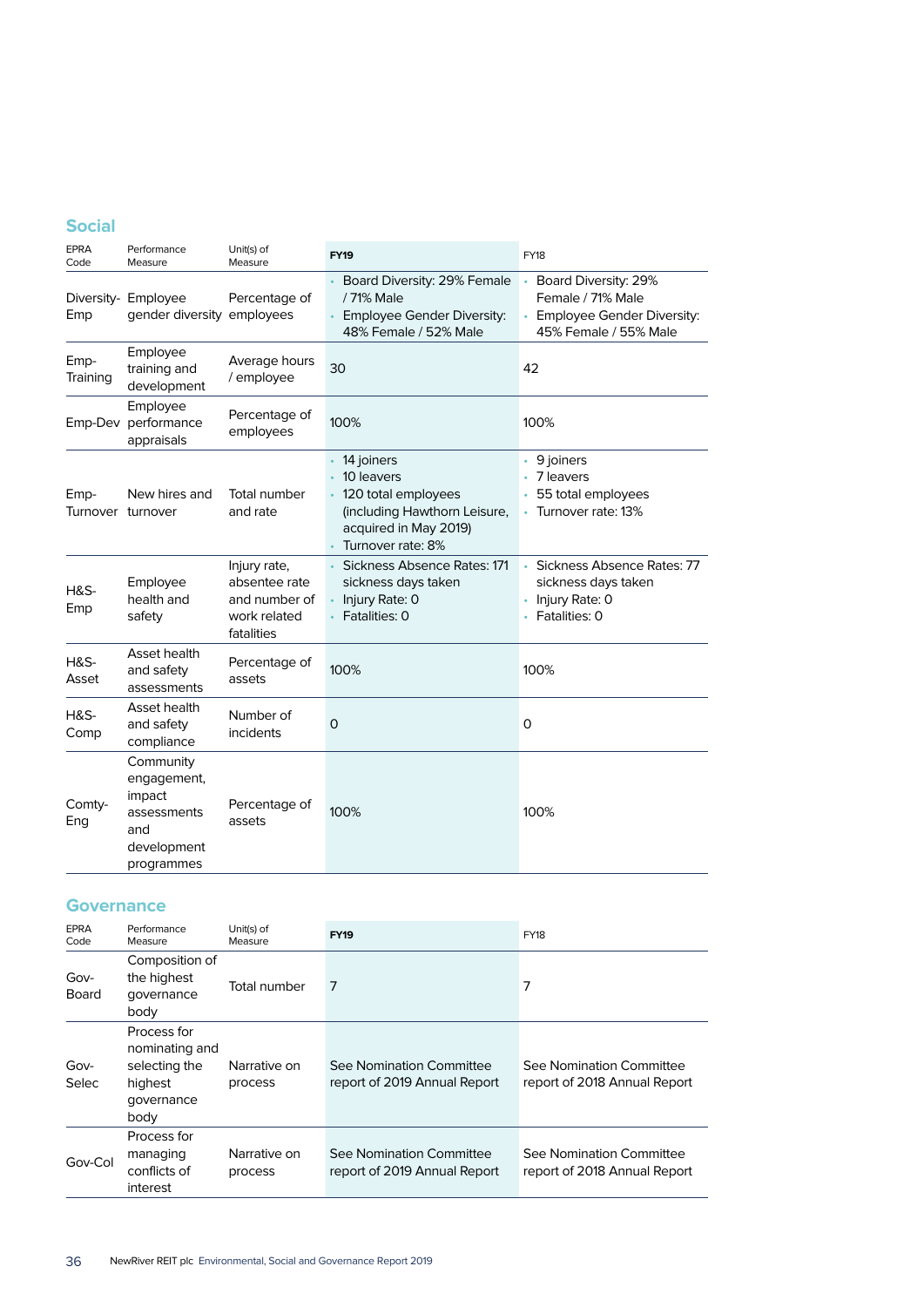## **Social**

| <b>EPRA</b><br>Code       | Performance<br>Measure                                                                | Unit(s) of<br>Measure                                                        | <b>FY19</b>                                                                                                                   | <b>FY18</b>                                                                                      |
|---------------------------|---------------------------------------------------------------------------------------|------------------------------------------------------------------------------|-------------------------------------------------------------------------------------------------------------------------------|--------------------------------------------------------------------------------------------------|
| Emp                       | Diversity- Employee<br>gender diversity employees                                     | Percentage of                                                                | Board Diversity: 29% Female<br>/ 71% Male<br><b>Employee Gender Diversity:</b><br>48% Female / 52% Male                       | Board Diversity: 29%<br>Female / 71% Male<br>Employee Gender Diversity:<br>45% Female / 55% Male |
| Emp-<br>Training          | Employee<br>training and<br>development                                               | Average hours<br>/ employee                                                  | 30                                                                                                                            | 42                                                                                               |
| Emp-Dev                   | Employee<br>performance<br>appraisals                                                 | Percentage of<br>employees                                                   | 100%                                                                                                                          | 100%                                                                                             |
| Emp-<br>Turnover turnover | New hires and                                                                         | <b>Total number</b><br>and rate                                              | 14 joiners<br>10 leavers<br>120 total employees<br>(including Hawthorn Leisure,<br>acquired in May 2019)<br>Turnover rate: 8% | 9 joiners<br>• 7 leavers<br>55 total employees<br>Turnover rate: 13%                             |
| <b>H&amp;S-</b><br>Emp    | Employee<br>health and<br>safety                                                      | Injury rate,<br>absentee rate<br>and number of<br>work related<br>fatalities | Sickness Absence Rates: 171<br>sickness days taken<br>Injury Rate: 0<br>Fatalities: 0                                         | Sickness Absence Rates: 77<br>sickness days taken<br>Injury Rate: 0<br>Fatalities: 0             |
| <b>H&amp;S-</b><br>Asset  | Asset health<br>and safety<br>assessments                                             | Percentage of<br>assets                                                      | 100%                                                                                                                          | 100%                                                                                             |
| <b>H&amp;S-</b><br>Comp   | Asset health<br>and safety<br>compliance                                              | Number of<br>incidents                                                       | $\overline{O}$                                                                                                                | $\Omega$                                                                                         |
| Comty-<br>Eng             | Community<br>engagement,<br>impact<br>assessments<br>and<br>development<br>programmes | Percentage of<br>assets                                                      | 100%                                                                                                                          | 100%                                                                                             |

## **Governance**

| EPRA<br>Code         | Performance<br>Measure                                                          | Unit(s) of<br>Measure   | <b>FY19</b>                                              | <b>FY18</b>                                              |
|----------------------|---------------------------------------------------------------------------------|-------------------------|----------------------------------------------------------|----------------------------------------------------------|
| Gov-<br>Board        | Composition of<br>the highest<br>governance<br>body                             | Total number            | 7                                                        | 7                                                        |
| Gov-<br><b>Selec</b> | Process for<br>nominating and<br>selecting the<br>highest<br>governance<br>body | Narrative on<br>process | See Nomination Committee<br>report of 2019 Annual Report | See Nomination Committee<br>report of 2018 Annual Report |
| Gov-Col              | Process for<br>managing<br>conflicts of<br>interest                             | Narrative on<br>process | See Nomination Committee<br>report of 2019 Annual Report | See Nomination Committee<br>report of 2018 Annual Report |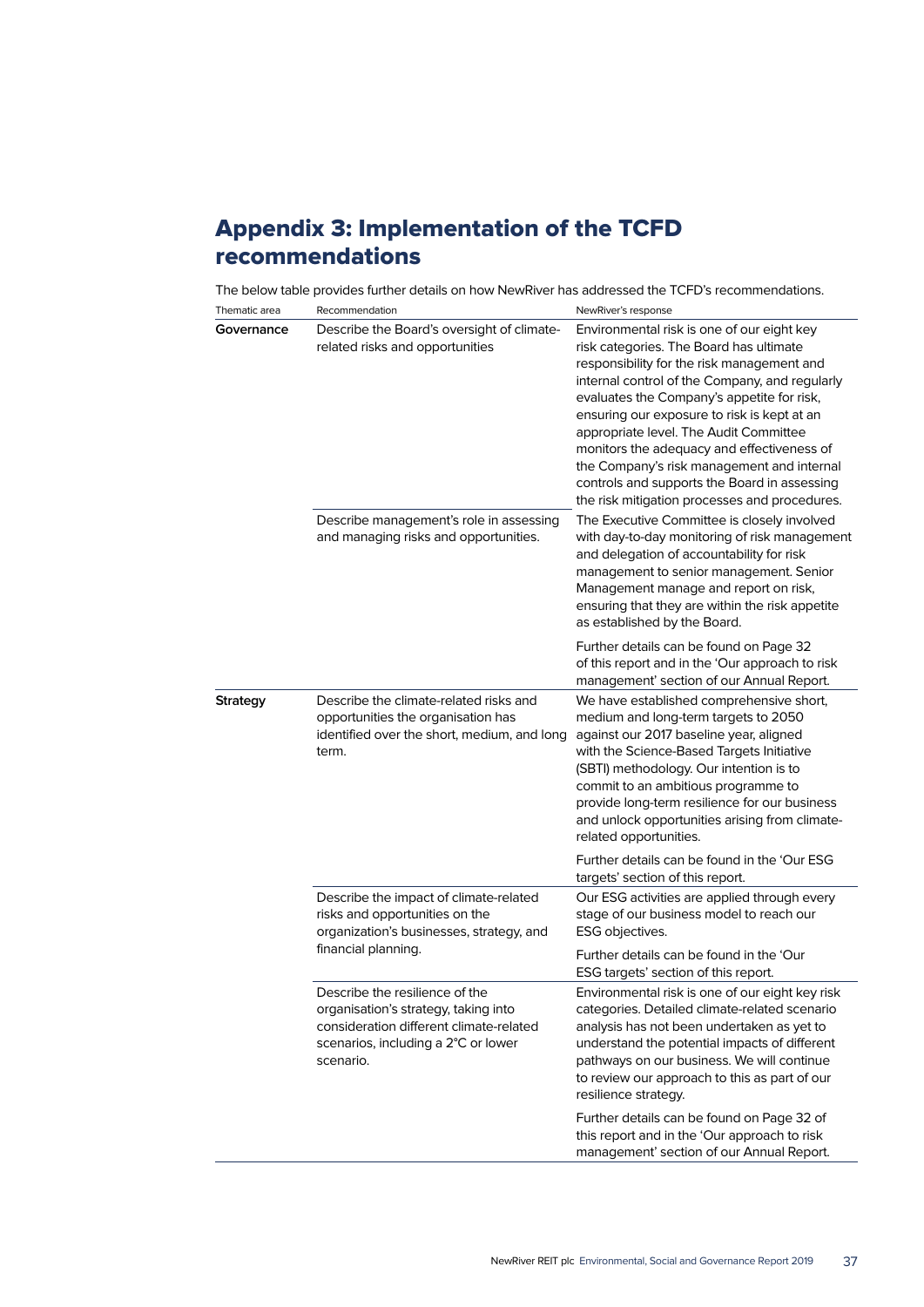## Appendix 3: Implementation of the TCFD recommendations

The below table provides further details on how NewRiver has addressed the TCFD's recommendations.

| Thematic area   | Recommendation                                                                                                                                                        | NewRiver's response                                                                                                                                                                                                                                                                                                                                                                                                                                                                                                       |
|-----------------|-----------------------------------------------------------------------------------------------------------------------------------------------------------------------|---------------------------------------------------------------------------------------------------------------------------------------------------------------------------------------------------------------------------------------------------------------------------------------------------------------------------------------------------------------------------------------------------------------------------------------------------------------------------------------------------------------------------|
| Governance      | Describe the Board's oversight of climate-<br>related risks and opportunities                                                                                         | Environmental risk is one of our eight key<br>risk categories. The Board has ultimate<br>responsibility for the risk management and<br>internal control of the Company, and regularly<br>evaluates the Company's appetite for risk,<br>ensuring our exposure to risk is kept at an<br>appropriate level. The Audit Committee<br>monitors the adequacy and effectiveness of<br>the Company's risk management and internal<br>controls and supports the Board in assessing<br>the risk mitigation processes and procedures. |
|                 | Describe management's role in assessing<br>and managing risks and opportunities.                                                                                      | The Executive Committee is closely involved<br>with day-to-day monitoring of risk management<br>and delegation of accountability for risk<br>management to senior management. Senior<br>Management manage and report on risk,<br>ensuring that they are within the risk appetite<br>as established by the Board.                                                                                                                                                                                                          |
|                 |                                                                                                                                                                       | Further details can be found on Page 32<br>of this report and in the 'Our approach to risk<br>management' section of our Annual Report.                                                                                                                                                                                                                                                                                                                                                                                   |
| <b>Strategy</b> | Describe the climate-related risks and<br>opportunities the organisation has<br>identified over the short, medium, and long<br>term.                                  | We have established comprehensive short,<br>medium and long-term targets to 2050<br>against our 2017 baseline year, aligned<br>with the Science-Based Targets Initiative<br>(SBTI) methodology. Our intention is to<br>commit to an ambitious programme to<br>provide long-term resilience for our business<br>and unlock opportunities arising from climate-<br>related opportunities.                                                                                                                                   |
|                 |                                                                                                                                                                       | Further details can be found in the 'Our ESG<br>targets' section of this report.                                                                                                                                                                                                                                                                                                                                                                                                                                          |
|                 | Describe the impact of climate-related<br>risks and opportunities on the<br>organization's businesses, strategy, and<br>financial planning.                           | Our ESG activities are applied through every<br>stage of our business model to reach our<br>ESG objectives.                                                                                                                                                                                                                                                                                                                                                                                                               |
|                 |                                                                                                                                                                       | Further details can be found in the 'Our<br>ESG targets' section of this report.                                                                                                                                                                                                                                                                                                                                                                                                                                          |
|                 | Describe the resilience of the<br>organisation's strategy, taking into<br>consideration different climate-related<br>scenarios, including a 2°C or lower<br>scenario. | Environmental risk is one of our eight key risk<br>categories. Detailed climate-related scenario<br>analysis has not been undertaken as yet to<br>understand the potential impacts of different<br>pathways on our business. We will continue<br>to review our approach to this as part of our<br>resilience strategy.                                                                                                                                                                                                    |
|                 |                                                                                                                                                                       | Further details can be found on Page 32 of<br>this report and in the 'Our approach to risk<br>management' section of our Annual Report.                                                                                                                                                                                                                                                                                                                                                                                   |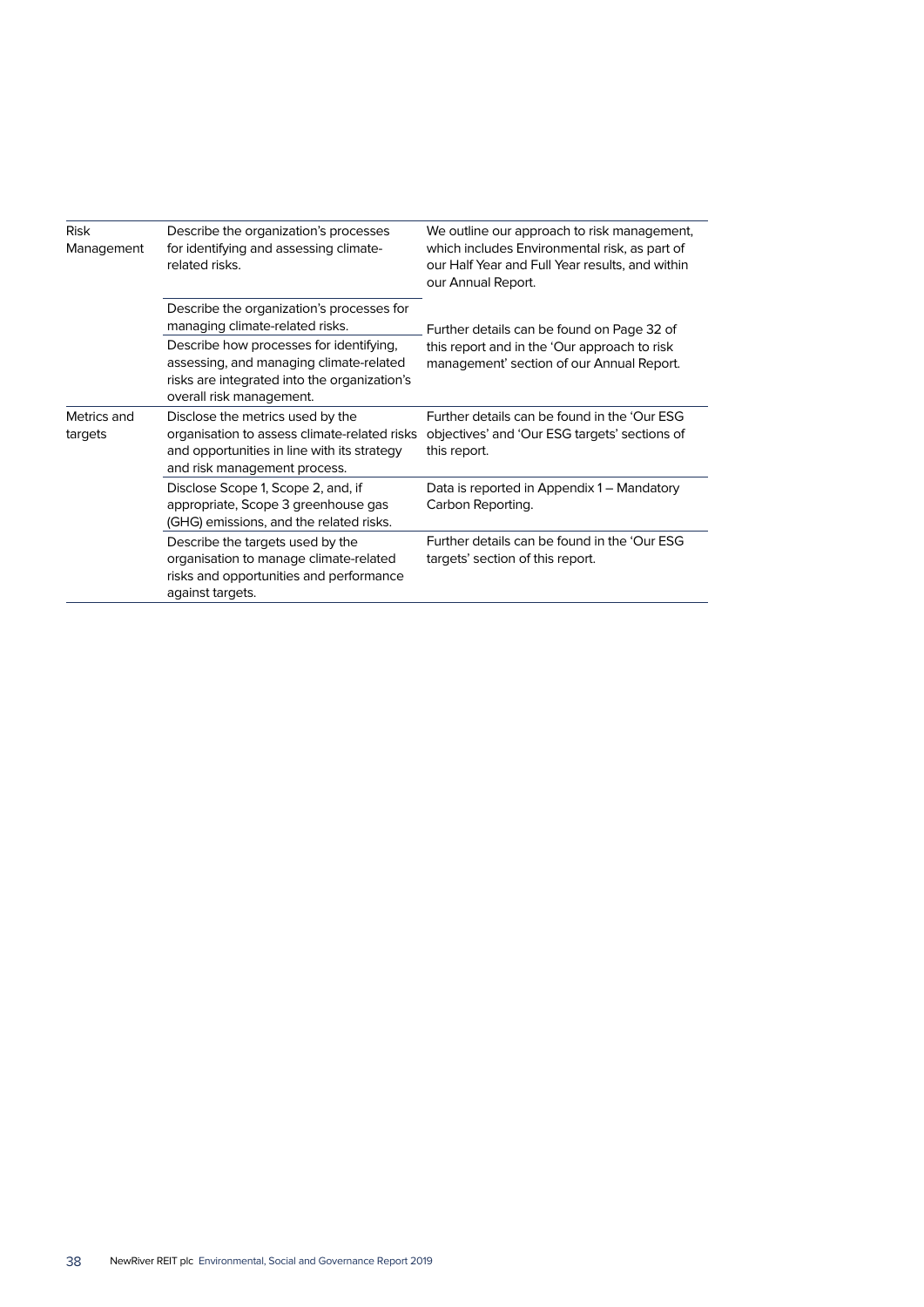| Risk<br>Management     | Describe the organization's processes<br>for identifying and assessing climate-<br>related risks.                                                               | We outline our approach to risk management,<br>which includes Environmental risk, as part of<br>our Half Year and Full Year results, and within<br>our Annual Report. |  |
|------------------------|-----------------------------------------------------------------------------------------------------------------------------------------------------------------|-----------------------------------------------------------------------------------------------------------------------------------------------------------------------|--|
|                        | Describe the organization's processes for<br>managing climate-related risks.                                                                                    | Further details can be found on Page 32 of                                                                                                                            |  |
|                        | Describe how processes for identifying,<br>assessing, and managing climate-related<br>risks are integrated into the organization's<br>overall risk management.  | this report and in the 'Our approach to risk<br>management' section of our Annual Report.                                                                             |  |
| Metrics and<br>targets | Disclose the metrics used by the<br>organisation to assess climate-related risks<br>and opportunities in line with its strategy<br>and risk management process. | Further details can be found in the 'Our ESG<br>objectives' and 'Our ESG targets' sections of<br>this report.                                                         |  |
|                        | Disclose Scope 1, Scope 2, and, if<br>appropriate, Scope 3 greenhouse gas<br>(GHG) emissions, and the related risks.                                            | Data is reported in Appendix 1 – Mandatory<br>Carbon Reporting.                                                                                                       |  |
|                        | Describe the targets used by the<br>organisation to manage climate-related<br>risks and opportunities and performance<br>against targets.                       | Further details can be found in the 'Our ESG<br>targets' section of this report.                                                                                      |  |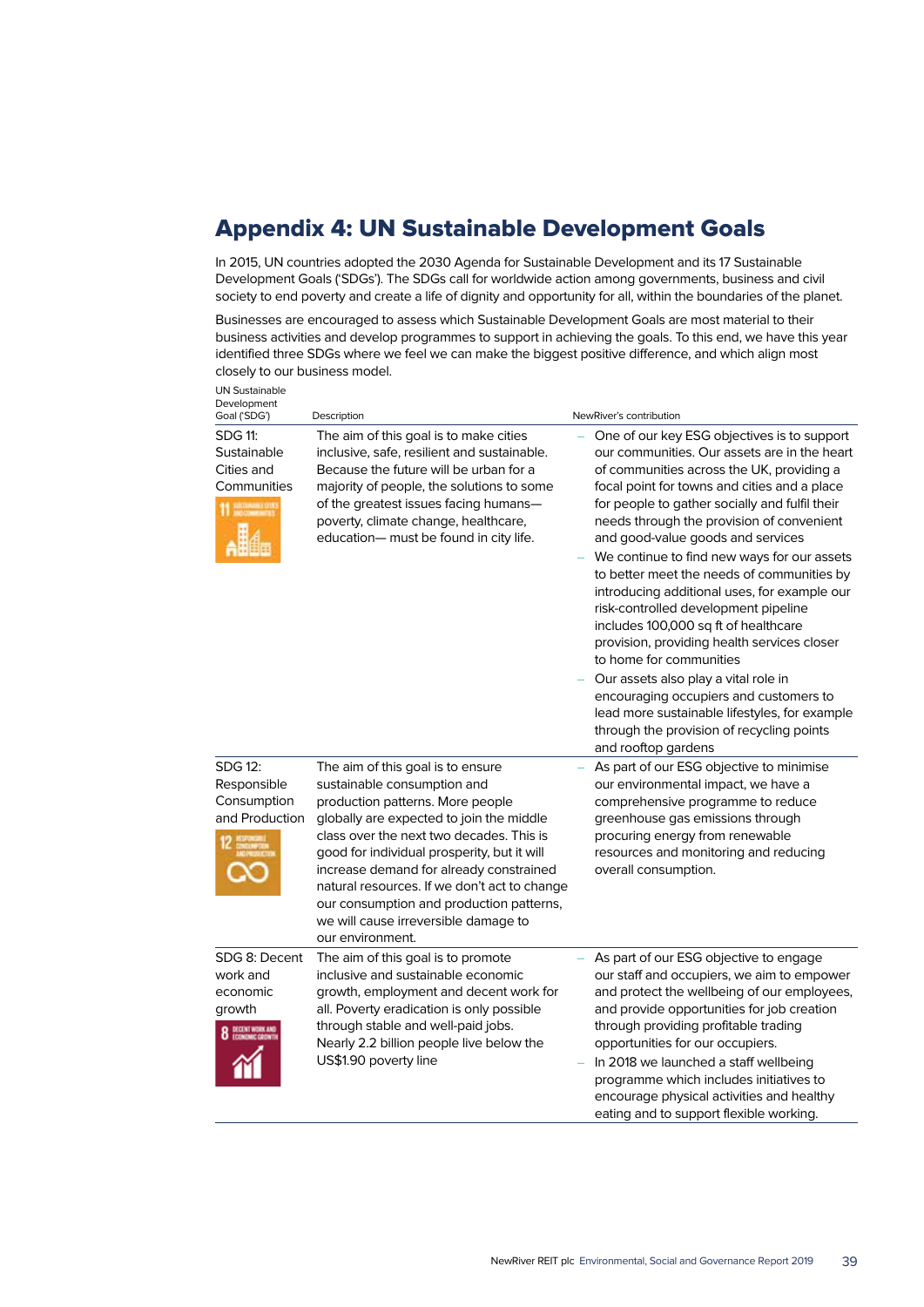## Appendix 4: UN Sustainable Development Goals

In 2015, UN countries adopted the 2030 Agenda for Sustainable Development and its 17 Sustainable Development Goals ('SDGs'). The SDGs call for worldwide action among governments, business and civil society to end poverty and create a life of dignity and opportunity for all, within the boundaries of the planet.

Businesses are encouraged to assess which Sustainable Development Goals are most material to their business activities and develop programmes to support in achieving the goals. To this end, we have this year identified three SDGs where we feel we can make the biggest positive difference, and which align most closely to our business model.

| <b>UN Sustainable</b><br>Development<br>Goal ('SDG')               | Description                                                                                                                                                                                                                                                                                                                                                                                                                                    | NewRiver's contribution                                                                                                                                                                                                                                                                                                                                                                                                                                                                                                                                                                                                                                                                                                                                                                                                                    |
|--------------------------------------------------------------------|------------------------------------------------------------------------------------------------------------------------------------------------------------------------------------------------------------------------------------------------------------------------------------------------------------------------------------------------------------------------------------------------------------------------------------------------|--------------------------------------------------------------------------------------------------------------------------------------------------------------------------------------------------------------------------------------------------------------------------------------------------------------------------------------------------------------------------------------------------------------------------------------------------------------------------------------------------------------------------------------------------------------------------------------------------------------------------------------------------------------------------------------------------------------------------------------------------------------------------------------------------------------------------------------------|
| <b>SDG 11:</b><br>Sustainable<br>Cities and<br>Communities         | The aim of this goal is to make cities<br>inclusive, safe, resilient and sustainable.<br>Because the future will be urban for a<br>majority of people, the solutions to some<br>of the greatest issues facing humans—<br>poverty, climate change, healthcare,<br>education- must be found in city life.                                                                                                                                        | One of our key ESG objectives is to support<br>our communities. Our assets are in the heart<br>of communities across the UK, providing a<br>focal point for towns and cities and a place<br>for people to gather socially and fulfil their<br>needs through the provision of convenient<br>and good-value goods and services<br>We continue to find new ways for our assets<br>to better meet the needs of communities by<br>introducing additional uses, for example our<br>risk-controlled development pipeline<br>includes 100,000 sq ft of healthcare<br>provision, providing health services closer<br>to home for communities<br>Our assets also play a vital role in<br>encouraging occupiers and customers to<br>lead more sustainable lifestyles, for example<br>through the provision of recycling points<br>and rooftop gardens |
| SDG 12:<br>Responsible<br>Consumption<br>and Production            | The aim of this goal is to ensure<br>sustainable consumption and<br>production patterns. More people<br>globally are expected to join the middle<br>class over the next two decades. This is<br>good for individual prosperity, but it will<br>increase demand for already constrained<br>natural resources. If we don't act to change<br>our consumption and production patterns,<br>we will cause irreversible damage to<br>our environment. | As part of our ESG objective to minimise<br>our environmental impact, we have a<br>comprehensive programme to reduce<br>greenhouse gas emissions through<br>procuring energy from renewable<br>resources and monitoring and reducing<br>overall consumption.                                                                                                                                                                                                                                                                                                                                                                                                                                                                                                                                                                               |
| SDG 8: Decent<br>work and<br>economic<br>growth<br>DECENT WORK AND | The aim of this goal is to promote<br>inclusive and sustainable economic<br>growth, employment and decent work for<br>all. Poverty eradication is only possible<br>through stable and well-paid jobs.<br>Nearly 2.2 billion people live below the<br>US\$1.90 poverty line                                                                                                                                                                     | As part of our ESG objective to engage<br>our staff and occupiers, we aim to empower<br>and protect the wellbeing of our employees,<br>and provide opportunities for job creation<br>through providing profitable trading<br>opportunities for our occupiers.<br>In 2018 we launched a staff wellbeing<br>programme which includes initiatives to<br>encourage physical activities and healthy<br>eating and to support flexible working.                                                                                                                                                                                                                                                                                                                                                                                                  |